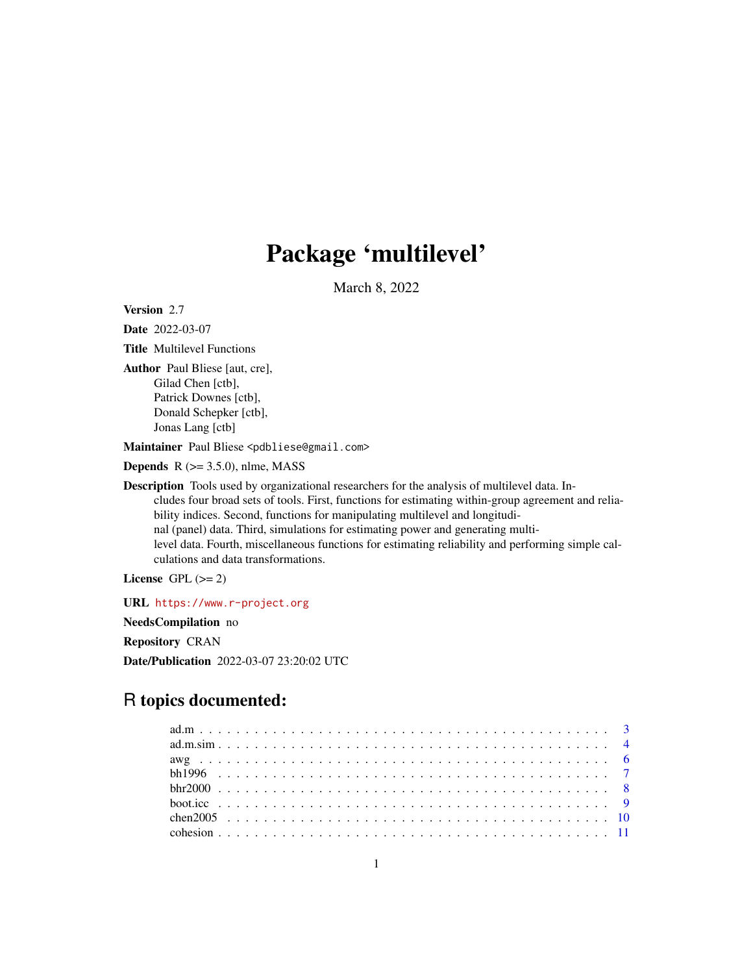# Package 'multilevel'

March 8, 2022

<span id="page-0-0"></span>Version 2.7

Date 2022-03-07 Title Multilevel Functions Author Paul Bliese [aut, cre], Gilad Chen [ctb], Patrick Downes [ctb], Donald Schepker [ctb],

Jonas Lang [ctb]

Maintainer Paul Bliese <pdbliese@gmail.com>

**Depends**  $R$  ( $>= 3.5.0$ ), nlme, MASS

Description Tools used by organizational researchers for the analysis of multilevel data. Includes four broad sets of tools. First, functions for estimating within-group agreement and reliability indices. Second, functions for manipulating multilevel and longitudinal (panel) data. Third, simulations for estimating power and generating multilevel data. Fourth, miscellaneous functions for estimating reliability and performing simple calculations and data transformations.

License GPL  $(>= 2)$ 

URL <https://www.r-project.org> NeedsCompilation no Repository CRAN Date/Publication 2022-03-07 23:20:02 UTC

# R topics documented: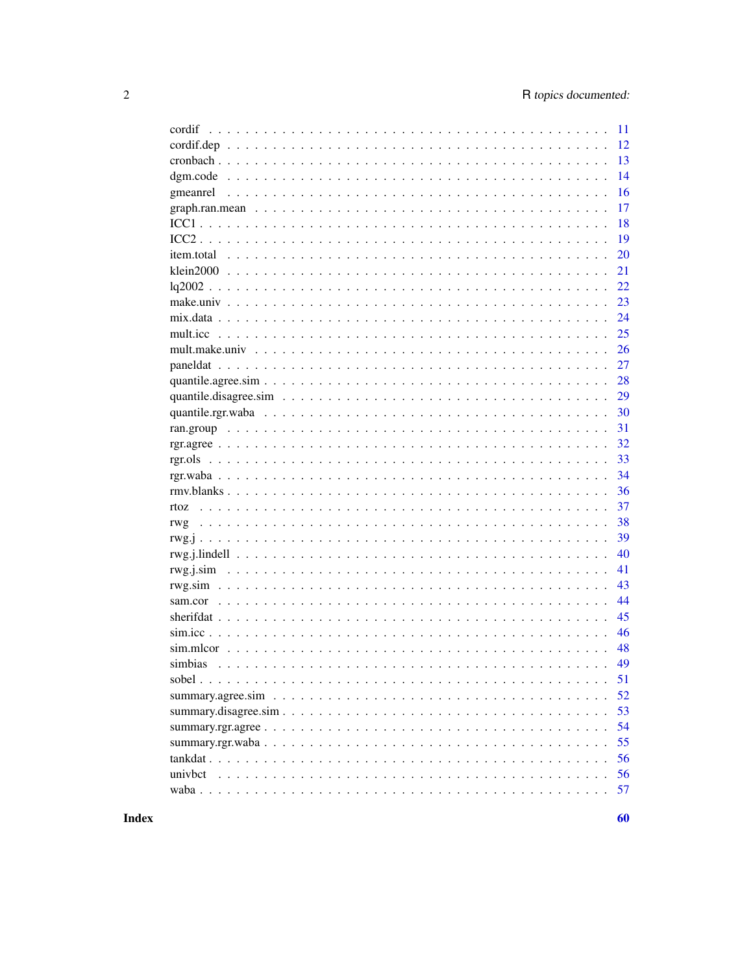|                                                                                                                                   | 11 |
|-----------------------------------------------------------------------------------------------------------------------------------|----|
| $\text{cordif}. \text{dep} \dots \dots \dots \dots \dots \dots \dots \dots \dots \dots \dots \dots \dots \dots \dots \dots \dots$ | 12 |
|                                                                                                                                   | 13 |
|                                                                                                                                   | 14 |
|                                                                                                                                   | 16 |
|                                                                                                                                   | 17 |
|                                                                                                                                   | 18 |
|                                                                                                                                   | 19 |
|                                                                                                                                   | 20 |
|                                                                                                                                   | 21 |
|                                                                                                                                   | 22 |
|                                                                                                                                   | 23 |
|                                                                                                                                   | 24 |
|                                                                                                                                   | 25 |
|                                                                                                                                   | 26 |
|                                                                                                                                   | 27 |
|                                                                                                                                   | 28 |
|                                                                                                                                   | 29 |
|                                                                                                                                   | 30 |
|                                                                                                                                   | 31 |
|                                                                                                                                   | 32 |
|                                                                                                                                   | 33 |
|                                                                                                                                   | 34 |
|                                                                                                                                   | 36 |
|                                                                                                                                   | 37 |
|                                                                                                                                   | 38 |
|                                                                                                                                   | 39 |
|                                                                                                                                   | 40 |
|                                                                                                                                   | 41 |
|                                                                                                                                   | 43 |
|                                                                                                                                   | 44 |
|                                                                                                                                   | 45 |
|                                                                                                                                   | 46 |
|                                                                                                                                   | 48 |
| simbias                                                                                                                           | 49 |
|                                                                                                                                   | 51 |
|                                                                                                                                   | 52 |
|                                                                                                                                   | 53 |
|                                                                                                                                   | 54 |
|                                                                                                                                   | 55 |
|                                                                                                                                   | 56 |
| univbct                                                                                                                           | 56 |
|                                                                                                                                   | 57 |
|                                                                                                                                   |    |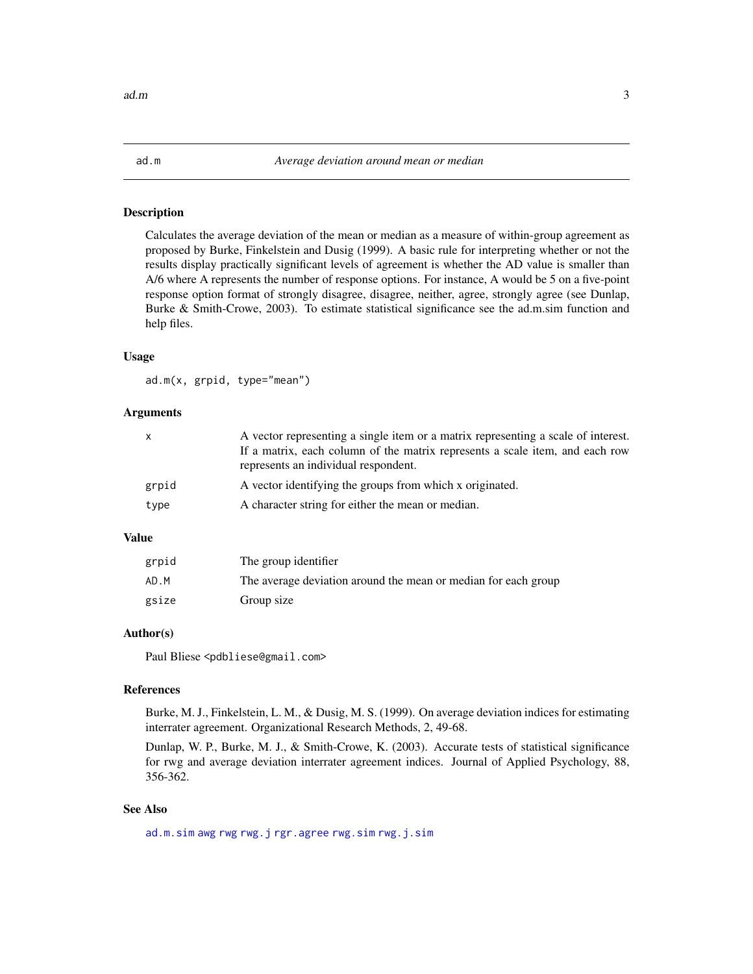<span id="page-2-1"></span><span id="page-2-0"></span>Calculates the average deviation of the mean or median as a measure of within-group agreement as proposed by Burke, Finkelstein and Dusig (1999). A basic rule for interpreting whether or not the results display practically significant levels of agreement is whether the AD value is smaller than A/6 where A represents the number of response options. For instance, A would be 5 on a five-point response option format of strongly disagree, disagree, neither, agree, strongly agree (see Dunlap, Burke & Smith-Crowe, 2003). To estimate statistical significance see the ad.m.sim function and help files.

#### Usage

ad.m(x, grpid, type="mean")

#### Arguments

| $\mathsf{x}$ | A vector representing a single item or a matrix representing a scale of interest.<br>If a matrix, each column of the matrix represents a scale item, and each row<br>represents an individual respondent. |
|--------------|-----------------------------------------------------------------------------------------------------------------------------------------------------------------------------------------------------------|
| grpid        | A vector identifying the groups from which x originated.                                                                                                                                                  |
| type         | A character string for either the mean or median.                                                                                                                                                         |

# Value

| grpid | The group identifier                                           |
|-------|----------------------------------------------------------------|
| AD.M  | The average deviation around the mean or median for each group |
| gsize | Group size                                                     |

# Author(s)

Paul Bliese <pdbliese@gmail.com>

# References

Burke, M. J., Finkelstein, L. M., & Dusig, M. S. (1999). On average deviation indices for estimating interrater agreement. Organizational Research Methods, 2, 49-68.

Dunlap, W. P., Burke, M. J., & Smith-Crowe, K. (2003). Accurate tests of statistical significance for rwg and average deviation interrater agreement indices. Journal of Applied Psychology, 88, 356-362.

# See Also

[ad.m.sim](#page-3-1) [awg](#page-5-1) [rwg](#page-37-1) [rwg.j](#page-38-1) [rgr.agree](#page-31-1) [rwg.sim](#page-42-1) [rwg.j.sim](#page-40-1)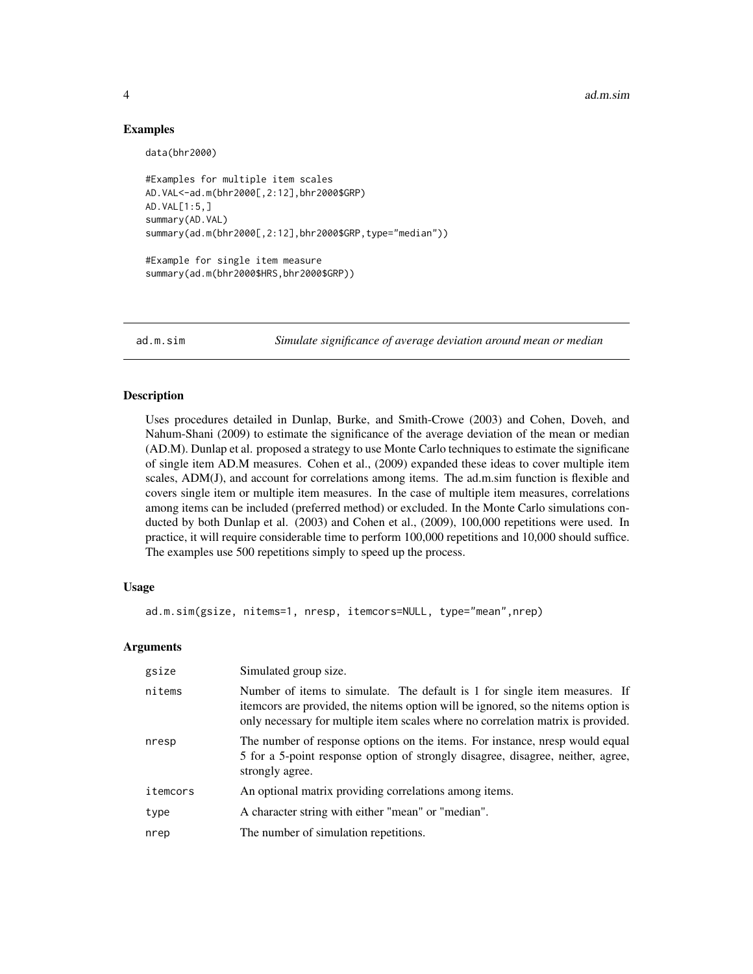#### 4 ad.m.sim

### Examples

data(bhr2000)

```
#Examples for multiple item scales
AD.VAL<-ad.m(bhr2000[,2:12],bhr2000$GRP)
AD.VAL[1:5,]
summary(AD.VAL)
summary(ad.m(bhr2000[,2:12],bhr2000$GRP,type="median"))
```
#Example for single item measure summary(ad.m(bhr2000\$HRS,bhr2000\$GRP))

<span id="page-3-1"></span>

ad.m.sim *Simulate significance of average deviation around mean or median*

# Description

Uses procedures detailed in Dunlap, Burke, and Smith-Crowe (2003) and Cohen, Doveh, and Nahum-Shani (2009) to estimate the significance of the average deviation of the mean or median (AD.M). Dunlap et al. proposed a strategy to use Monte Carlo techniques to estimate the significane of single item AD.M measures. Cohen et al., (2009) expanded these ideas to cover multiple item scales, ADM(J), and account for correlations among items. The ad.m.sim function is flexible and covers single item or multiple item measures. In the case of multiple item measures, correlations among items can be included (preferred method) or excluded. In the Monte Carlo simulations conducted by both Dunlap et al. (2003) and Cohen et al., (2009), 100,000 repetitions were used. In practice, it will require considerable time to perform 100,000 repetitions and 10,000 should suffice. The examples use 500 repetitions simply to speed up the process.

#### Usage

ad.m.sim(gsize, nitems=1, nresp, itemcors=NULL, type="mean",nrep)

#### Arguments

| gsize    | Simulated group size.                                                                                                                                                                                                                               |  |  |
|----------|-----------------------------------------------------------------------------------------------------------------------------------------------------------------------------------------------------------------------------------------------------|--|--|
| nitems   | Number of items to simulate. The default is 1 for single item measures. If<br>itemcors are provided, the nitems option will be ignored, so the nitems option is<br>only necessary for multiple item scales where no correlation matrix is provided. |  |  |
| nresp    | The number of response options on the items. For instance, nresp would equal<br>5 for a 5-point response option of strongly disagree, disagree, neither, agree,<br>strongly agree.                                                                  |  |  |
| itemcors | An optional matrix providing correlations among items.                                                                                                                                                                                              |  |  |
| type     | A character string with either "mean" or "median".                                                                                                                                                                                                  |  |  |
| nrep     | The number of simulation repetitions.                                                                                                                                                                                                               |  |  |

<span id="page-3-0"></span>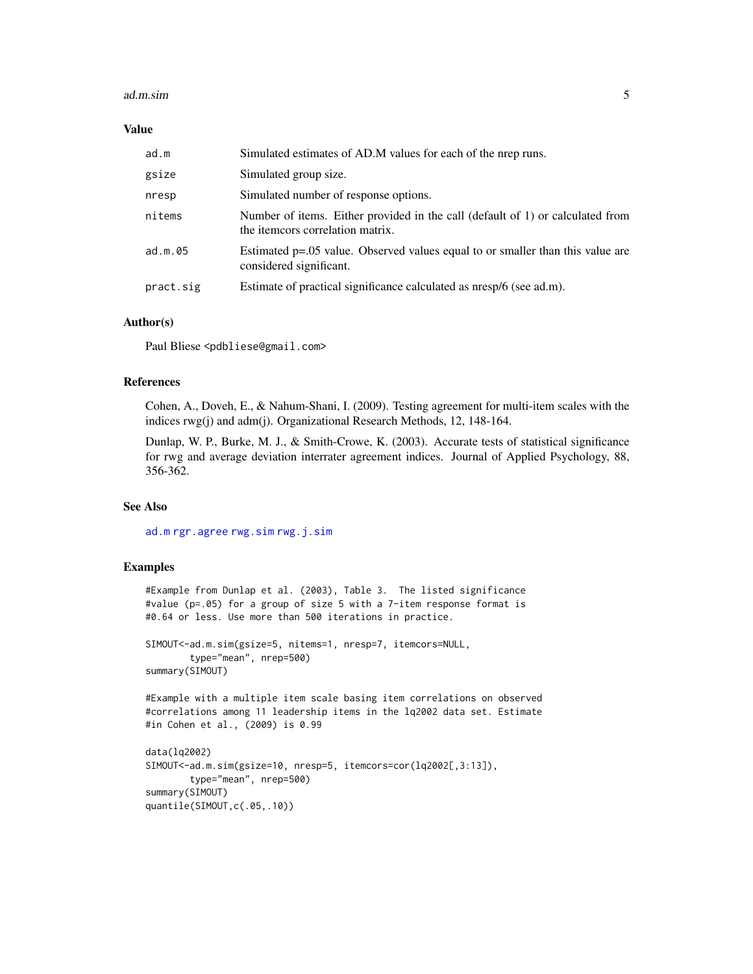#### <span id="page-4-0"></span>ad.m.sim 5

#### Value

| ad.m      | Simulated estimates of AD.M values for each of the nrep runs.                                                  |  |  |
|-----------|----------------------------------------------------------------------------------------------------------------|--|--|
| gsize     | Simulated group size.                                                                                          |  |  |
| nresp     | Simulated number of response options.                                                                          |  |  |
| nitems    | Number of items. Either provided in the call (default of 1) or calculated from<br>the item correlation matrix. |  |  |
| ad.m.05   | Estimated p=.05 value. Observed values equal to or smaller than this value are<br>considered significant.      |  |  |
| pract.sig | Estimate of practical significance calculated as nresp/6 (see ad.m).                                           |  |  |

#### Author(s)

Paul Bliese <pdbliese@gmail.com>

#### References

Cohen, A., Doveh, E., & Nahum-Shani, I. (2009). Testing agreement for multi-item scales with the indices rwg(j) and adm(j). Organizational Research Methods, 12, 148-164.

Dunlap, W. P., Burke, M. J., & Smith-Crowe, K. (2003). Accurate tests of statistical significance for rwg and average deviation interrater agreement indices. Journal of Applied Psychology, 88, 356-362.

# See Also

[ad.m](#page-2-1) [rgr.agree](#page-31-1) [rwg.sim](#page-42-1) [rwg.j.sim](#page-40-1)

#### Examples

```
#Example from Dunlap et al. (2003), Table 3. The listed significance
#value (p=.05) for a group of size 5 with a 7-item response format is
#0.64 or less. Use more than 500 iterations in practice.
```

```
SIMOUT<-ad.m.sim(gsize=5, nitems=1, nresp=7, itemcors=NULL,
        type="mean", nrep=500)
summary(SIMOUT)
```
#Example with a multiple item scale basing item correlations on observed #correlations among 11 leadership items in the lq2002 data set. Estimate #in Cohen et al., (2009) is 0.99

```
data(lq2002)
SIMOUT<-ad.m.sim(gsize=10, nresp=5, itemcors=cor(lq2002[,3:13]),
        type="mean", nrep=500)
summary(SIMOUT)
quantile(SIMOUT,c(.05,.10))
```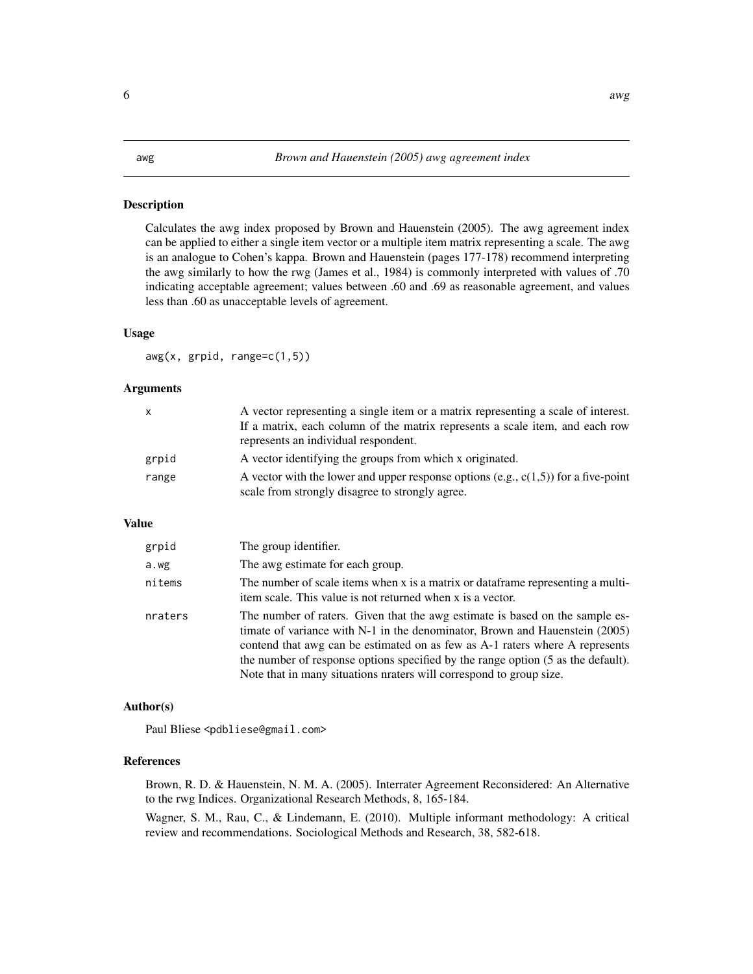<span id="page-5-1"></span><span id="page-5-0"></span>Calculates the awg index proposed by Brown and Hauenstein (2005). The awg agreement index can be applied to either a single item vector or a multiple item matrix representing a scale. The awg is an analogue to Cohen's kappa. Brown and Hauenstein (pages 177-178) recommend interpreting the awg similarly to how the rwg (James et al., 1984) is commonly interpreted with values of .70 indicating acceptable agreement; values between .60 and .69 as reasonable agreement, and values less than .60 as unacceptable levels of agreement.

#### Usage

 $avg(x, grid, range=c(1,5))$ 

#### **Arguments**

| X     | A vector representing a single item or a matrix representing a scale of interest.<br>If a matrix, each column of the matrix represents a scale item, and each row<br>represents an individual respondent. |
|-------|-----------------------------------------------------------------------------------------------------------------------------------------------------------------------------------------------------------|
| grpid | A vector identifying the groups from which x originated.                                                                                                                                                  |
| range | A vector with the lower and upper response options (e.g., $c(1,5)$ ) for a five-point<br>scale from strongly disagree to strongly agree.                                                                  |

# Value

| grpid   | The group identifier.                                                                                                                                                                                                                                                                                                                                                                                    |  |  |  |
|---------|----------------------------------------------------------------------------------------------------------------------------------------------------------------------------------------------------------------------------------------------------------------------------------------------------------------------------------------------------------------------------------------------------------|--|--|--|
| a.wg    | The awg estimate for each group.                                                                                                                                                                                                                                                                                                                                                                         |  |  |  |
| nitems  | The number of scale items when x is a matrix or data frame representing a multi-<br>item scale. This value is not returned when x is a vector.                                                                                                                                                                                                                                                           |  |  |  |
| nraters | The number of raters. Given that the awg estimate is based on the sample es-<br>timate of variance with $N-1$ in the denominator, Brown and Hauenstein (2005)<br>contend that awg can be estimated on as few as A-1 raters where A represents<br>the number of response options specified by the range option (5 as the default).<br>Note that in many situations neaters will correspond to group size. |  |  |  |

#### Author(s)

Paul Bliese <pdbliese@gmail.com>

# References

Brown, R. D. & Hauenstein, N. M. A. (2005). Interrater Agreement Reconsidered: An Alternative to the rwg Indices. Organizational Research Methods, 8, 165-184.

Wagner, S. M., Rau, C., & Lindemann, E. (2010). Multiple informant methodology: A critical review and recommendations. Sociological Methods and Research, 38, 582-618.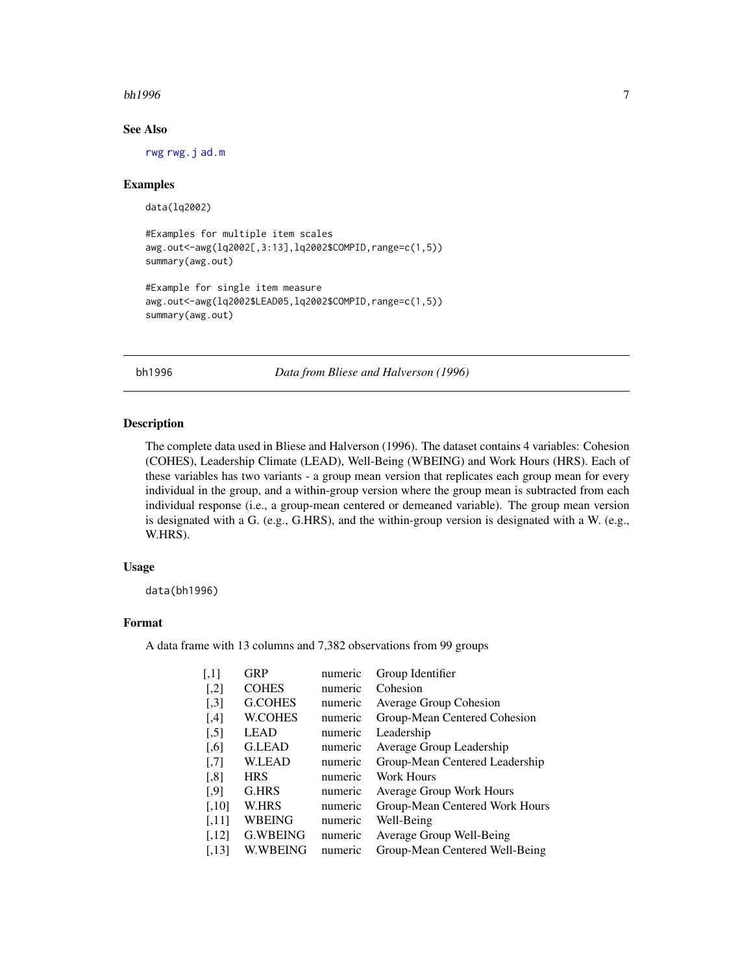#### <span id="page-6-0"></span> $bh1996$   $\hspace{1.5cm}$

# See Also

[rwg](#page-37-1) [rwg.j](#page-38-1) [ad.m](#page-2-1)

#### Examples

data(lq2002)

```
#Examples for multiple item scales
awg.out<-awg(lq2002[,3:13],lq2002$COMPID,range=c(1,5))
summary(awg.out)
```

```
#Example for single item measure
awg.out<-awg(lq2002$LEAD05,lq2002$COMPID,range=c(1,5))
summary(awg.out)
```
bh1996 *Data from Bliese and Halverson (1996)*

#### Description

The complete data used in Bliese and Halverson (1996). The dataset contains 4 variables: Cohesion (COHES), Leadership Climate (LEAD), Well-Being (WBEING) and Work Hours (HRS). Each of these variables has two variants - a group mean version that replicates each group mean for every individual in the group, and a within-group version where the group mean is subtracted from each individual response (i.e., a group-mean centered or demeaned variable). The group mean version is designated with a G. (e.g., G.HRS), and the within-group version is designated with a W. (e.g., W.HRS).

#### Usage

data(bh1996)

# Format

A data frame with 13 columns and 7,382 observations from 99 groups

| $\left\lceil,1\right\rceil$ | <b>GRP</b>      | numeric | Group Identifier                |
|-----------------------------|-----------------|---------|---------------------------------|
| $[$                         | <b>COHES</b>    | numeric | Cohesion                        |
| $[$                         | <b>G.COHES</b>  | numeric | Average Group Cohesion          |
| [4]                         | <b>W.COHES</b>  | numeric | Group-Mean Centered Cohesion    |
| $[$                         | <b>LEAD</b>     | numeric | Leadership                      |
| $\left[ 0.6 \right]$        | <b>G.LEAD</b>   | numeric | Average Group Leadership        |
| $\left[ 7\right]$           | <b>W.LEAD</b>   | numeric | Group-Mean Centered Leadership  |
| [,8]                        | <b>HRS</b>      | numeric | Work Hours                      |
| $[$ .9]                     | G.HRS           | numeric | <b>Average Group Work Hours</b> |
| $[0.10]$                    | <b>W.HRS</b>    | numeric | Group-Mean Centered Work Hours  |
| [,11]                       | <b>WBEING</b>   | numeric | Well-Being                      |
| [,12]                       | <b>G.WBEING</b> | numeric | Average Group Well-Being        |
| [.13]                       | <b>W.WBEING</b> | numeric | Group-Mean Centered Well-Being  |
|                             |                 |         |                                 |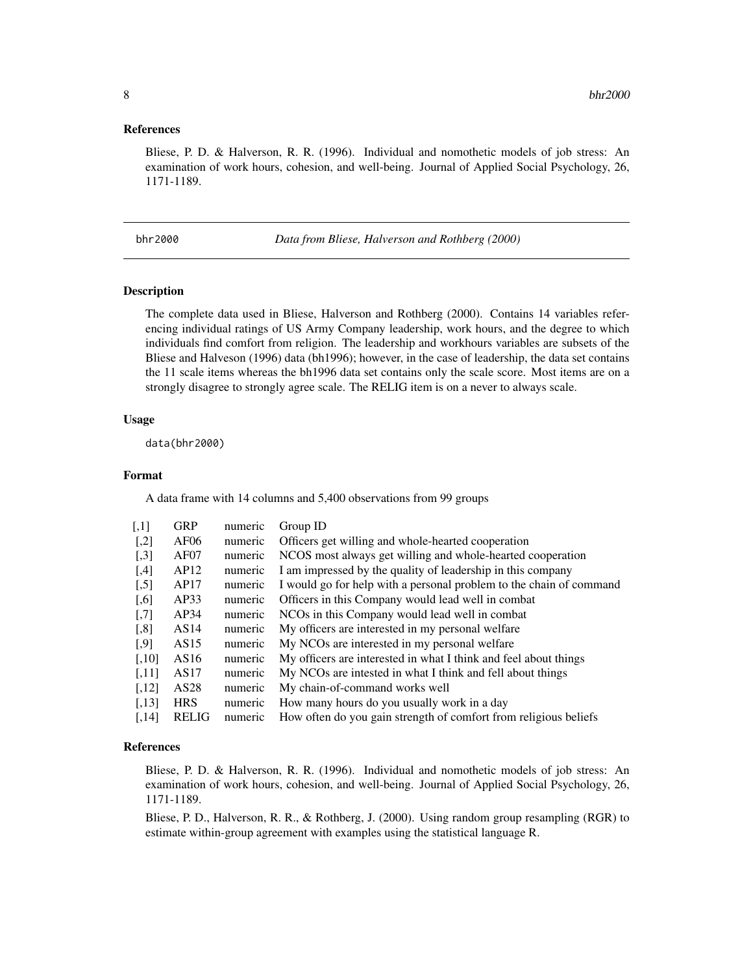#### <span id="page-7-0"></span>References

Bliese, P. D. & Halverson, R. R. (1996). Individual and nomothetic models of job stress: An examination of work hours, cohesion, and well-being. Journal of Applied Social Psychology, 26, 1171-1189.

bhr2000 *Data from Bliese, Halverson and Rothberg (2000)*

#### Description

The complete data used in Bliese, Halverson and Rothberg (2000). Contains 14 variables referencing individual ratings of US Army Company leadership, work hours, and the degree to which individuals find comfort from religion. The leadership and workhours variables are subsets of the Bliese and Halveson (1996) data (bh1996); however, in the case of leadership, the data set contains the 11 scale items whereas the bh1996 data set contains only the scale score. Most items are on a strongly disagree to strongly agree scale. The RELIG item is on a never to always scale.

#### Usage

data(bhr2000)

# Format

A data frame with 14 columns and 5,400 observations from 99 groups

| $\left\lceil,1\right\rceil$ | <b>GRP</b>       | numeric | Group ID                                                            |
|-----------------------------|------------------|---------|---------------------------------------------------------------------|
| $[$                         | AF06             | numeric | Officers get willing and whole-hearted cooperation                  |
| $[0.3]$                     | AF07             | numeric | NCOS most always get willing and whole-hearted cooperation          |
| [4]                         | AP12             | numeric | I am impressed by the quality of leadership in this company         |
| $[$                         | AP17             | numeric | I would go for help with a personal problem to the chain of command |
| $\left[ 0.6 \right]$        | AP33             | numeric | Officers in this Company would lead well in combat.                 |
| $[0.7]$                     | AP34             | numeric | NCOs in this Company would lead well in combat                      |
| $\left[ 0.8\right]$         | AS14             | numeric | My officers are interested in my personal welfare                   |
| $[$ .9]                     | AS15             | numeric | My NCOs are interested in my personal welfare                       |
| $[0.10]$                    | AS <sub>16</sub> | numeric | My officers are interested in what I think and feel about things    |
| [.11]                       | AS17             | numeric | My NCOs are intested in what I think and fell about things          |
| [,12]                       | AS <sub>28</sub> | numeric | My chain-of-command works well                                      |
| [.13]                       | <b>HRS</b>       | numeric | How many hours do you usually work in a day                         |
| [.14]                       | <b>RELIG</b>     | numeric | How often do you gain strength of comfort from religious beliefs    |

#### References

Bliese, P. D. & Halverson, R. R. (1996). Individual and nomothetic models of job stress: An examination of work hours, cohesion, and well-being. Journal of Applied Social Psychology, 26, 1171-1189.

Bliese, P. D., Halverson, R. R., & Rothberg, J. (2000). Using random group resampling (RGR) to estimate within-group agreement with examples using the statistical language R.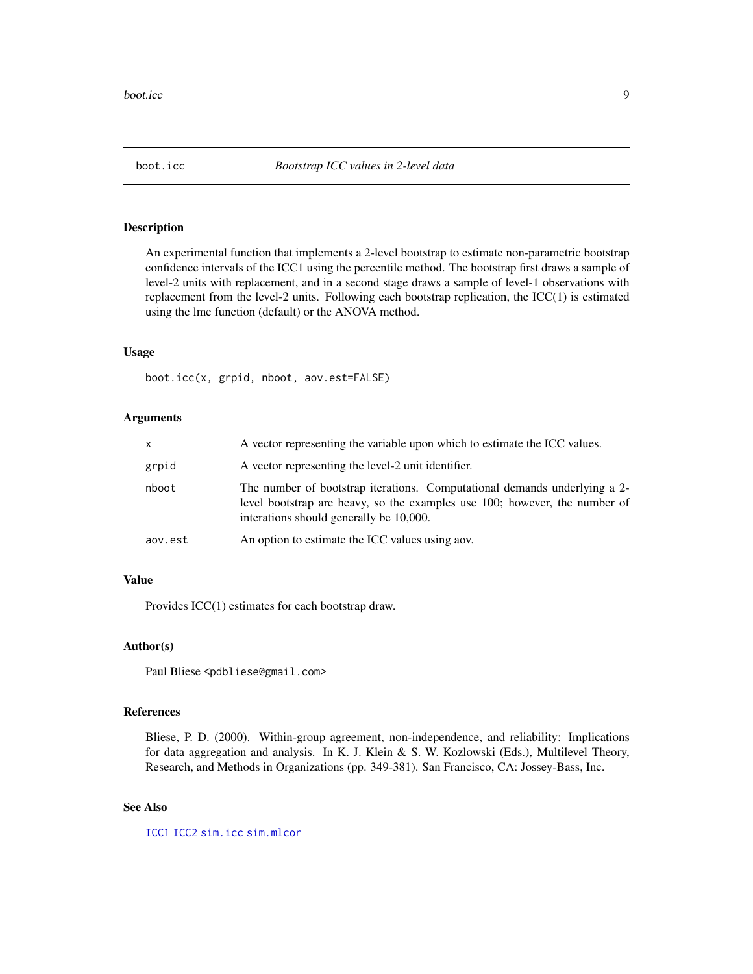<span id="page-8-0"></span>

An experimental function that implements a 2-level bootstrap to estimate non-parametric bootstrap confidence intervals of the ICC1 using the percentile method. The bootstrap first draws a sample of level-2 units with replacement, and in a second stage draws a sample of level-1 observations with replacement from the level-2 units. Following each bootstrap replication, the ICC(1) is estimated using the lme function (default) or the ANOVA method.

#### Usage

boot.icc(x, grpid, nboot, aov.est=FALSE)

#### Arguments

| x       | A vector representing the variable upon which to estimate the ICC values.                                                                                                                          |  |  |  |
|---------|----------------------------------------------------------------------------------------------------------------------------------------------------------------------------------------------------|--|--|--|
| grpid   | A vector representing the level-2 unit identifier.                                                                                                                                                 |  |  |  |
| nboot   | The number of bootstrap iterations. Computational demands underlying a 2-<br>level bootstrap are heavy, so the examples use 100; however, the number of<br>interations should generally be 10,000. |  |  |  |
| aov.est | An option to estimate the ICC values using aov.                                                                                                                                                    |  |  |  |

# Value

Provides ICC(1) estimates for each bootstrap draw.

#### Author(s)

Paul Bliese <pdbliese@gmail.com>

# References

Bliese, P. D. (2000). Within-group agreement, non-independence, and reliability: Implications for data aggregation and analysis. In K. J. Klein & S. W. Kozlowski (Eds.), Multilevel Theory, Research, and Methods in Organizations (pp. 349-381). San Francisco, CA: Jossey-Bass, Inc.

# See Also

[ICC1](#page-17-1) [ICC2](#page-18-1) [sim.icc](#page-45-1) [sim.mlcor](#page-47-1)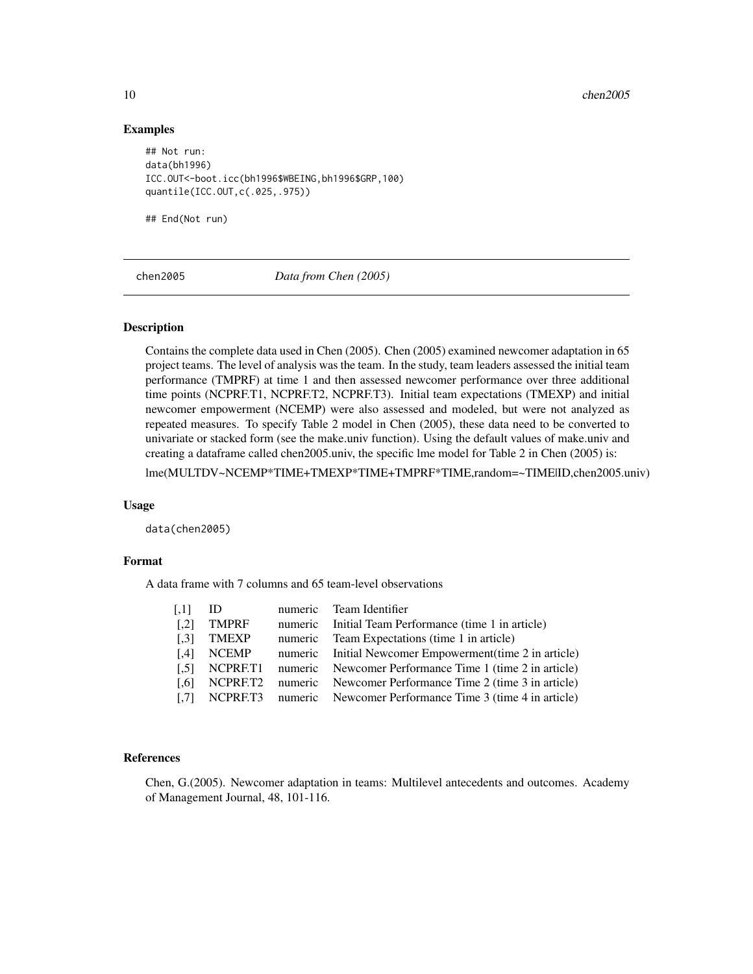### Examples

```
## Not run:
data(bh1996)
ICC.OUT<-boot.icc(bh1996$WBEING,bh1996$GRP,100)
quantile(ICC.OUT,c(.025,.975))
```
## End(Not run)

chen2005 *Data from Chen (2005)*

#### Description

Contains the complete data used in Chen (2005). Chen (2005) examined newcomer adaptation in 65 project teams. The level of analysis was the team. In the study, team leaders assessed the initial team performance (TMPRF) at time 1 and then assessed newcomer performance over three additional time points (NCPRF.T1, NCPRF.T2, NCPRF.T3). Initial team expectations (TMEXP) and initial newcomer empowerment (NCEMP) were also assessed and modeled, but were not analyzed as repeated measures. To specify Table 2 model in Chen (2005), these data need to be converted to univariate or stacked form (see the make.univ function). Using the default values of make.univ and creating a dataframe called chen2005.univ, the specific lme model for Table 2 in Chen (2005) is:

lme(MULTDV~NCEMP\*TIME+TMEXP\*TIME+TMPRF\*TIME,random=~TIME|ID,chen2005.univ)

#### Usage

data(chen2005)

#### Format

A data frame with 7 columns and 65 team-level observations

| $\left[ 1,1\right]$ | ID                  | numeric Team Identifier                                          |
|---------------------|---------------------|------------------------------------------------------------------|
| $\left[ .2 \right]$ | <b>TMPRF</b>        | numeric Initial Team Performance (time 1 in article)             |
| $\left[ .3 \right]$ | <b>TMEXP</b>        | numeric Team Expectations (time 1 in article)                    |
| [4]                 | <b>NCEMP</b>        | numeric Initial Newcomer Empowerment (time 2 in article)         |
| $\left[ .5 \right]$ | NCPRET <sub>1</sub> | numeric Newcomer Performance Time 1 (time 2 in article)          |
| [0.6]               | NCPRET <sub>2</sub> | numeric Newcomer Performance Time 2 (time 3 in article)          |
| $\left[ .7 \right]$ |                     | NCPRF.T3 numeric Newcomer Performance Time 3 (time 4 in article) |

# References

Chen, G.(2005). Newcomer adaptation in teams: Multilevel antecedents and outcomes. Academy of Management Journal, 48, 101-116.

<span id="page-9-0"></span>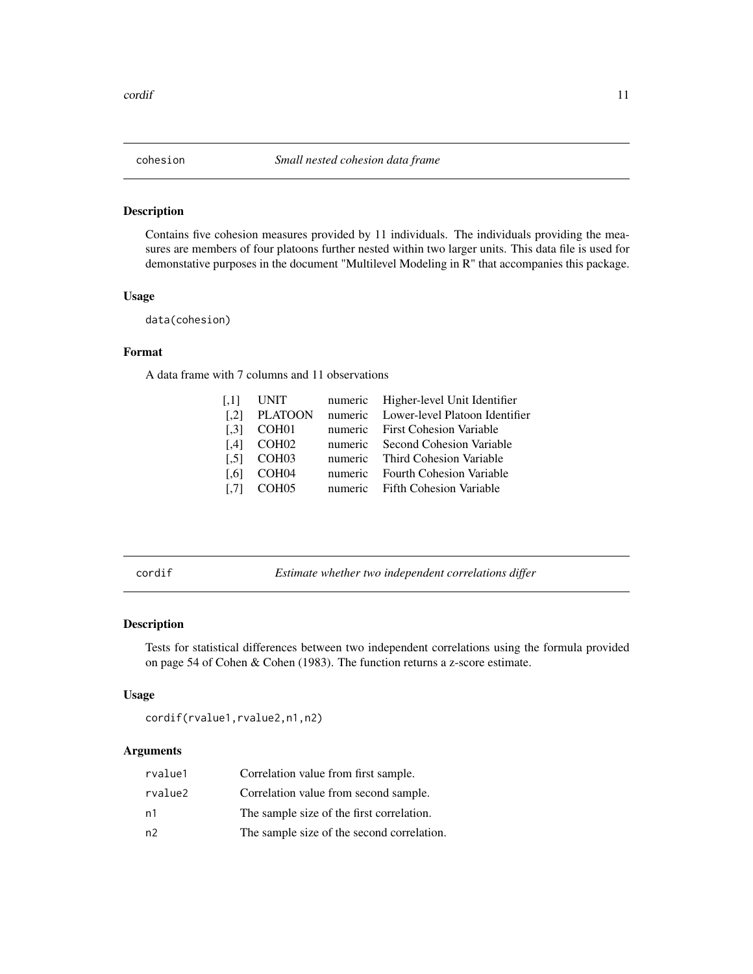<span id="page-10-0"></span>

Contains five cohesion measures provided by 11 individuals. The individuals providing the measures are members of four platoons further nested within two larger units. This data file is used for demonstative purposes in the document "Multilevel Modeling in R" that accompanies this package.

# Usage

data(cohesion)

# Format

A data frame with 7 columns and 11 observations

| $\left[ .1 \right]$ | <b>UNIT</b>       | numeric Higher-level Unit Identifier   |
|---------------------|-------------------|----------------------------------------|
| $\lceil .2 \rceil$  | <b>PLATOON</b>    | numeric Lower-level Platoon Identifier |
| $\left[ .3 \right]$ | COH <sub>01</sub> | numeric First Cohesion Variable        |
| $\left[ .4 \right]$ | COH <sub>02</sub> | numeric Second Cohesion Variable       |
| $\left[ .5 \right]$ | COH <sub>03</sub> | numeric Third Cohesion Variable        |
| $\lceil .6 \rceil$  | COH04             | numeric Fourth Cohesion Variable       |
| $\left[ .7 \right]$ | COH <sub>05</sub> | numeric Fifth Cohesion Variable        |
|                     |                   |                                        |

<span id="page-10-1"></span>cordif *Estimate whether two independent correlations differ*

# Description

Tests for statistical differences between two independent correlations using the formula provided on page 54 of Cohen & Cohen (1983). The function returns a z-score estimate.

#### Usage

cordif(rvalue1,rvalue2,n1,n2)

# Arguments

| rvalue1 | Correlation value from first sample.       |
|---------|--------------------------------------------|
| rvalue2 | Correlation value from second sample.      |
| n1      | The sample size of the first correlation.  |
| n2      | The sample size of the second correlation. |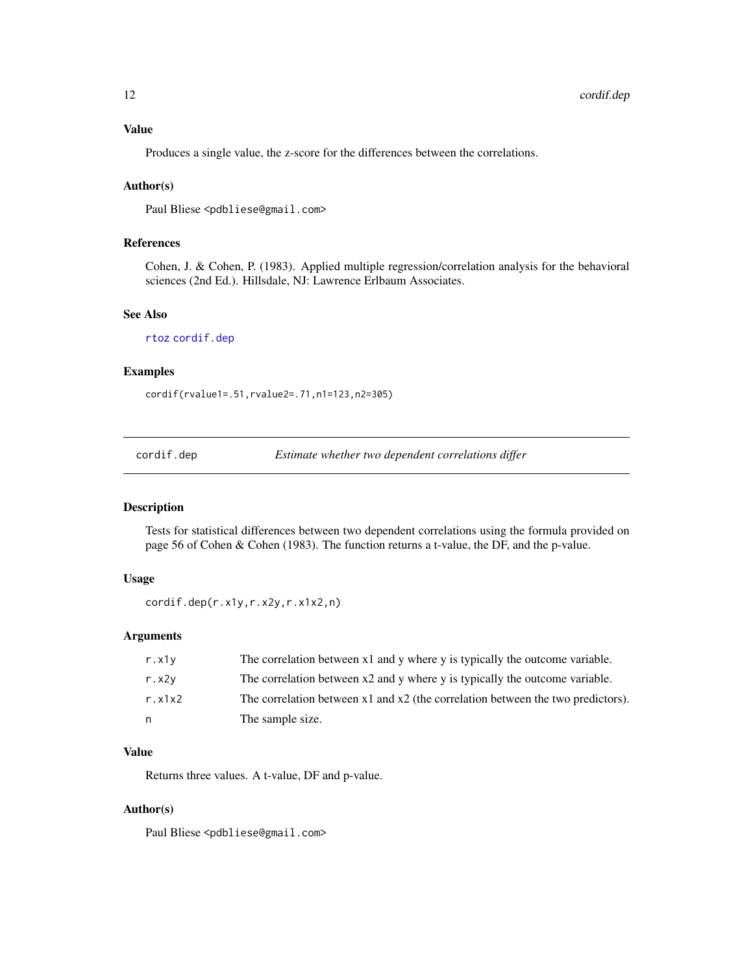<span id="page-11-0"></span>Produces a single value, the z-score for the differences between the correlations.

#### Author(s)

Paul Bliese <pdbliese@gmail.com>

# References

Cohen, J. & Cohen, P. (1983). Applied multiple regression/correlation analysis for the behavioral sciences (2nd Ed.). Hillsdale, NJ: Lawrence Erlbaum Associates.

#### See Also

[rtoz](#page-36-1) [cordif.dep](#page-11-1)

# Examples

cordif(rvalue1=.51,rvalue2=.71,n1=123,n2=305)

<span id="page-11-1"></span>cordif.dep *Estimate whether two dependent correlations differ*

# Description

Tests for statistical differences between two dependent correlations using the formula provided on page 56 of Cohen & Cohen (1983). The function returns a t-value, the DF, and the p-value.

#### Usage

```
cordif.dep(r.x1y,r.x2y,r.x1x2,n)
```
# Arguments

| r. x1v  | The correlation between x1 and y where y is typically the outcome variable.         |
|---------|-------------------------------------------------------------------------------------|
| r. x2v  | The correlation between x2 and y where y is typically the outcome variable.         |
| r. x1x2 | The correlation between $x1$ and $x2$ (the correlation between the two predictors). |
| n       | The sample size.                                                                    |

# Value

Returns three values. A t-value, DF and p-value.

# Author(s)

Paul Bliese <pdbliese@gmail.com>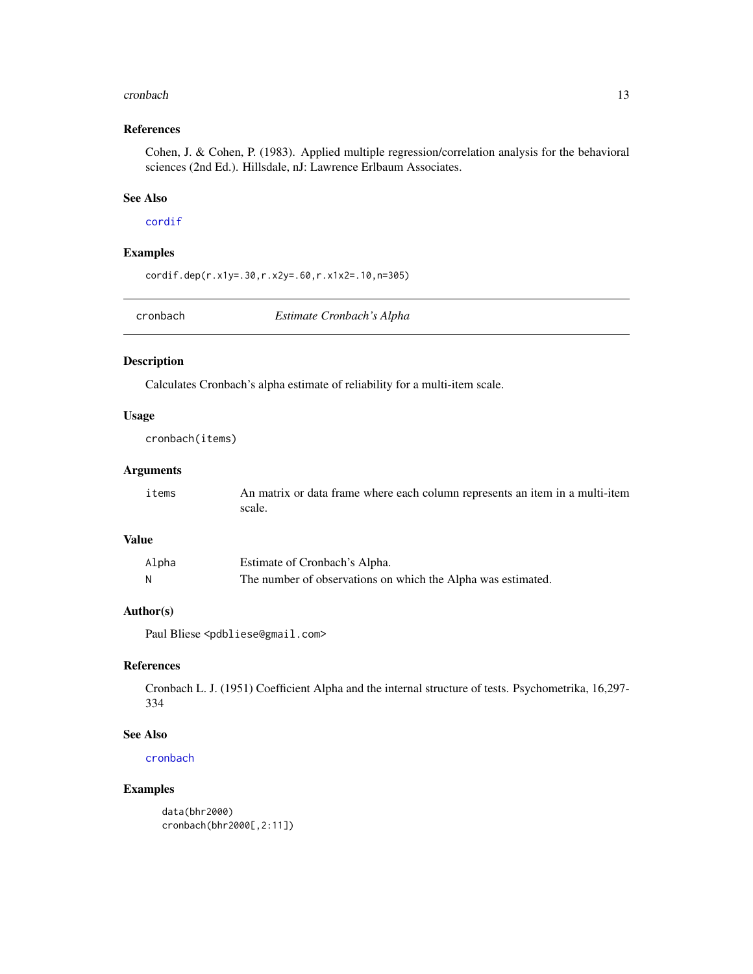#### <span id="page-12-0"></span>cronbach and the contract of the contract of the contract of the contract of the contract of the contract of the contract of the contract of the contract of the contract of the contract of the contract of the contract of t

# References

Cohen, J. & Cohen, P. (1983). Applied multiple regression/correlation analysis for the behavioral sciences (2nd Ed.). Hillsdale, nJ: Lawrence Erlbaum Associates.

#### See Also

# [cordif](#page-10-1)

#### Examples

cordif.dep(r.x1y=.30,r.x2y=.60,r.x1x2=.10,n=305)

<span id="page-12-1"></span>cronbach *Estimate Cronbach's Alpha*

#### Description

Calculates Cronbach's alpha estimate of reliability for a multi-item scale.

#### Usage

cronbach(items)

#### Arguments

| items | An matrix or data frame where each column represents an item in a multi-item |
|-------|------------------------------------------------------------------------------|
|       | scale.                                                                       |

#### Value

| Alpha | Estimate of Cronbach's Alpha.                                |
|-------|--------------------------------------------------------------|
| N     | The number of observations on which the Alpha was estimated. |

# Author(s)

Paul Bliese <pdbliese@gmail.com>

#### References

Cronbach L. J. (1951) Coefficient Alpha and the internal structure of tests. Psychometrika, 16,297- 334

# See Also

[cronbach](#page-12-1)

# Examples

data(bhr2000) cronbach(bhr2000[,2:11])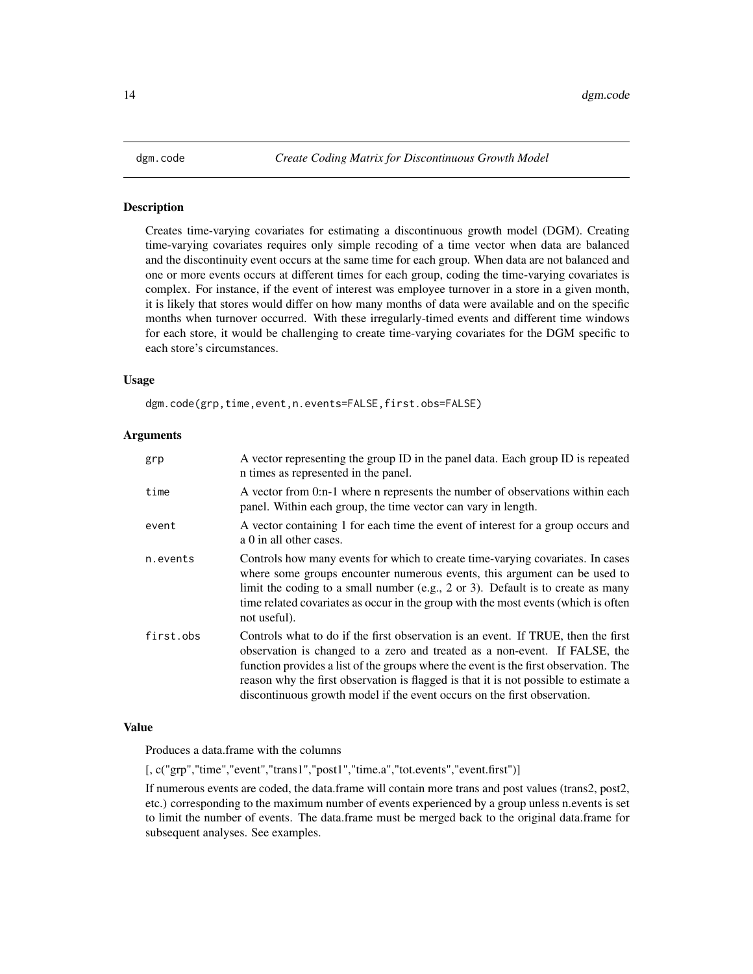<span id="page-13-0"></span>Creates time-varying covariates for estimating a discontinuous growth model (DGM). Creating time-varying covariates requires only simple recoding of a time vector when data are balanced and the discontinuity event occurs at the same time for each group. When data are not balanced and one or more events occurs at different times for each group, coding the time-varying covariates is complex. For instance, if the event of interest was employee turnover in a store in a given month, it is likely that stores would differ on how many months of data were available and on the specific months when turnover occurred. With these irregularly-timed events and different time windows for each store, it would be challenging to create time-varying covariates for the DGM specific to each store's circumstances.

#### Usage

dgm.code(grp,time,event,n.events=FALSE,first.obs=FALSE)

#### Arguments

| grp       | A vector representing the group ID in the panel data. Each group ID is repeated<br>n times as represented in the panel.                                                                                                                                                                                                                                                                                                     |  |  |
|-----------|-----------------------------------------------------------------------------------------------------------------------------------------------------------------------------------------------------------------------------------------------------------------------------------------------------------------------------------------------------------------------------------------------------------------------------|--|--|
| time      | A vector from 0:n-1 where n represents the number of observations within each<br>panel. Within each group, the time vector can vary in length.                                                                                                                                                                                                                                                                              |  |  |
| event     | A vector containing 1 for each time the event of interest for a group occurs and<br>a 0 in all other cases.                                                                                                                                                                                                                                                                                                                 |  |  |
| n.events  | Controls how many events for which to create time-varying covariates. In cases<br>where some groups encounter numerous events, this argument can be used to<br>limit the coding to a small number (e.g., 2 or 3). Default is to create as many<br>time related covariates as occur in the group with the most events (which is often<br>not useful).                                                                        |  |  |
| first.obs | Controls what to do if the first observation is an event. If TRUE, then the first<br>observation is changed to a zero and treated as a non-event. If FALSE, the<br>function provides a list of the groups where the event is the first observation. The<br>reason why the first observation is flagged is that it is not possible to estimate a<br>discontinuous growth model if the event occurs on the first observation. |  |  |

### Value

Produces a data.frame with the columns

[, c("grp","time","event","trans1","post1","time.a","tot.events","event.first")]

If numerous events are coded, the data.frame will contain more trans and post values (trans2, post2, etc.) corresponding to the maximum number of events experienced by a group unless n.events is set to limit the number of events. The data.frame must be merged back to the original data.frame for subsequent analyses. See examples.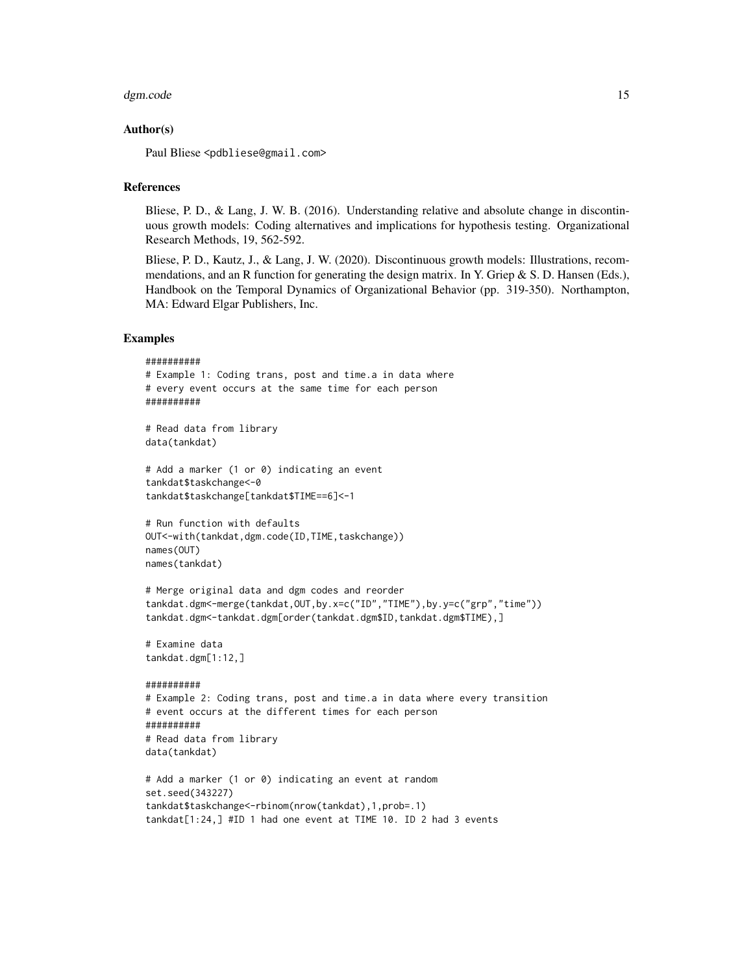#### dgm.code 15

#### Author(s)

Paul Bliese <pdbliese@gmail.com>

#### **References**

Bliese, P. D., & Lang, J. W. B. (2016). Understanding relative and absolute change in discontinuous growth models: Coding alternatives and implications for hypothesis testing. Organizational Research Methods, 19, 562-592.

Bliese, P. D., Kautz, J., & Lang, J. W. (2020). Discontinuous growth models: Illustrations, recommendations, and an R function for generating the design matrix. In Y. Griep  $\&$  S. D. Hansen (Eds.), Handbook on the Temporal Dynamics of Organizational Behavior (pp. 319-350). Northampton, MA: Edward Elgar Publishers, Inc.

#### Examples

```
##########
# Example 1: Coding trans, post and time.a in data where
# every event occurs at the same time for each person
##########
# Read data from library
data(tankdat)
# Add a marker (1 or 0) indicating an event
tankdat$taskchange<-0
tankdat$taskchange[tankdat$TIME==6]<-1
# Run function with defaults
OUT<-with(tankdat,dgm.code(ID,TIME,taskchange))
names(OUT)
names(tankdat)
# Merge original data and dgm codes and reorder
tankdat.dgm<-merge(tankdat,OUT,by.x=c("ID","TIME"),by.y=c("grp","time"))
tankdat.dgm<-tankdat.dgm[order(tankdat.dgm$ID,tankdat.dgm$TIME),]
# Examine data
tankdat.dgm[1:12,]
##########
# Example 2: Coding trans, post and time.a in data where every transition
# event occurs at the different times for each person
##########
# Read data from library
data(tankdat)
# Add a marker (1 or 0) indicating an event at random
set.seed(343227)
tankdat$taskchange<-rbinom(nrow(tankdat),1,prob=.1)
tankdat[1:24,] #ID 1 had one event at TIME 10. ID 2 had 3 events
```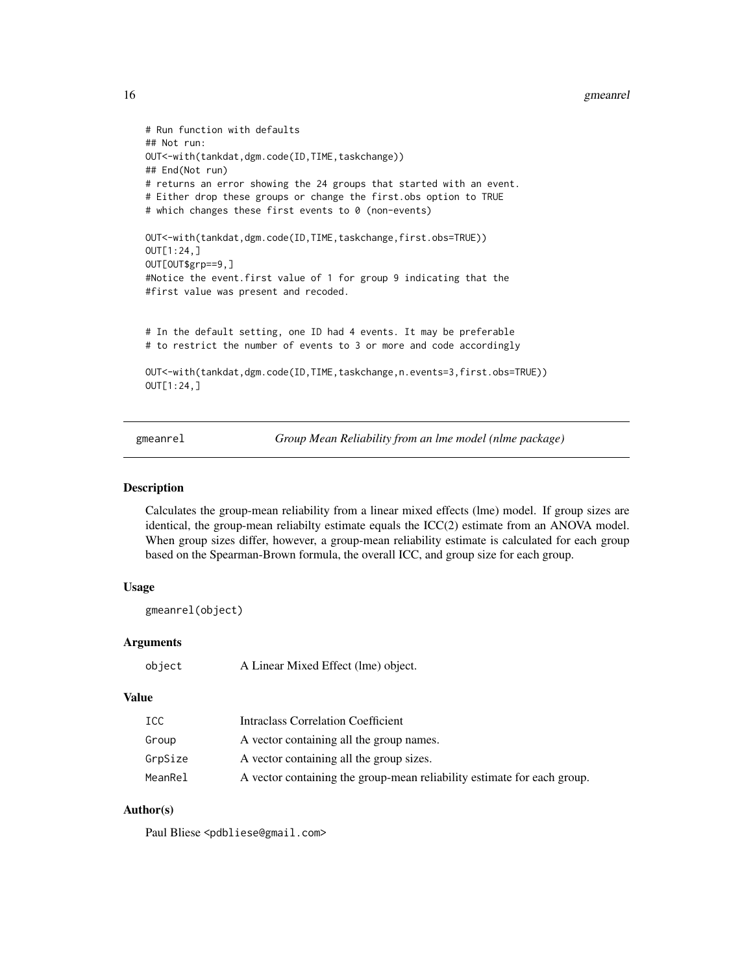```
16 gmeanrel
```

```
# Run function with defaults
## Not run:
OUT<-with(tankdat,dgm.code(ID,TIME,taskchange))
## End(Not run)
# returns an error showing the 24 groups that started with an event.
# Either drop these groups or change the first.obs option to TRUE
# which changes these first events to 0 (non-events)
OUT<-with(tankdat,dgm.code(ID,TIME,taskchange,first.obs=TRUE))
OUT[1:24,]
OUT[OUT$grp==9,]
#Notice the event.first value of 1 for group 9 indicating that the
#first value was present and recoded.
# In the default setting, one ID had 4 events. It may be preferable
# to restrict the number of events to 3 or more and code accordingly
OUT<-with(tankdat,dgm.code(ID,TIME,taskchange,n.events=3,first.obs=TRUE))
OUT[1:24,]
```
gmeanrel *Group Mean Reliability from an lme model (nlme package)*

# **Description**

Calculates the group-mean reliability from a linear mixed effects (lme) model. If group sizes are identical, the group-mean reliabilty estimate equals the ICC(2) estimate from an ANOVA model. When group sizes differ, however, a group-mean reliability estimate is calculated for each group based on the Spearman-Brown formula, the overall ICC, and group size for each group.

#### Usage

```
gmeanrel(object)
```
#### Arguments

```
object A Linear Mixed Effect (lme) object.
```
#### Value

| ICC     | <b>Intraclass Correlation Coefficient</b>                               |
|---------|-------------------------------------------------------------------------|
| Group   | A vector containing all the group names.                                |
| GrpSize | A vector containing all the group sizes.                                |
| MeanRel | A vector containing the group-mean reliability estimate for each group. |

# Author(s)

Paul Bliese <pdbliese@gmail.com>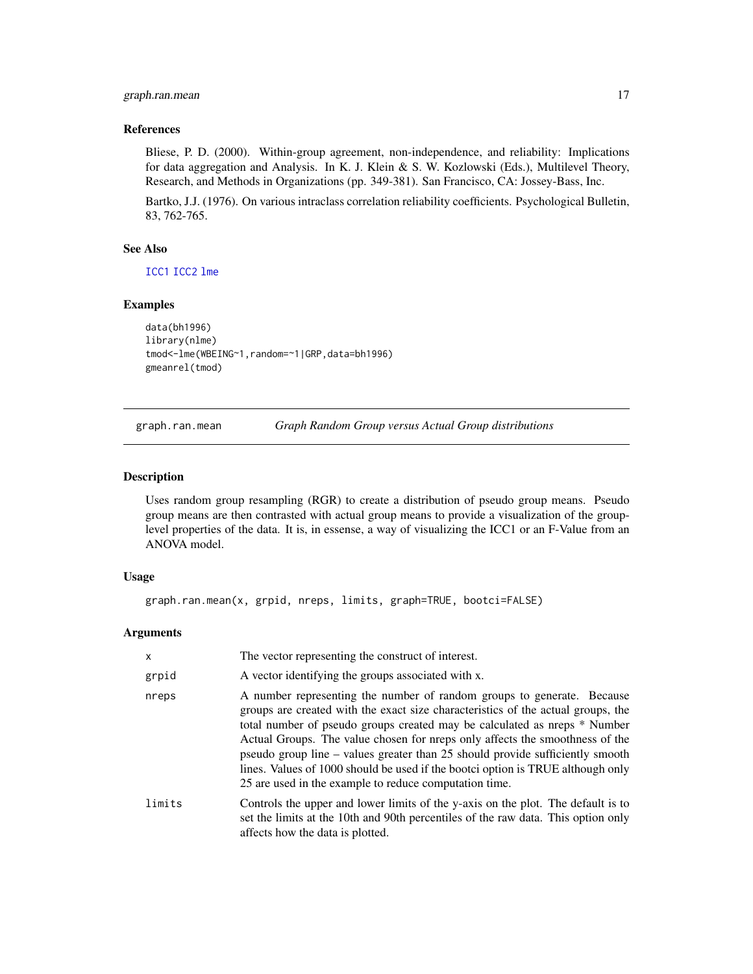# <span id="page-16-0"></span>graph.ran.mean 17

# References

Bliese, P. D. (2000). Within-group agreement, non-independence, and reliability: Implications for data aggregation and Analysis. In K. J. Klein & S. W. Kozlowski (Eds.), Multilevel Theory, Research, and Methods in Organizations (pp. 349-381). San Francisco, CA: Jossey-Bass, Inc.

Bartko, J.J. (1976). On various intraclass correlation reliability coefficients. Psychological Bulletin, 83, 762-765.

#### See Also

[ICC1](#page-17-1) [ICC2](#page-18-1) [lme](#page-0-0)

#### Examples

```
data(bh1996)
library(nlme)
tmod<-lme(WBEING~1,random=~1|GRP,data=bh1996)
gmeanrel(tmod)
```
<span id="page-16-1"></span>graph.ran.mean *Graph Random Group versus Actual Group distributions*

#### Description

Uses random group resampling (RGR) to create a distribution of pseudo group means. Pseudo group means are then contrasted with actual group means to provide a visualization of the grouplevel properties of the data. It is, in essense, a way of visualizing the ICC1 or an F-Value from an ANOVA model.

#### Usage

```
graph.ran.mean(x, grpid, nreps, limits, graph=TRUE, bootci=FALSE)
```
#### Arguments

| $\mathsf{x}$ | The vector representing the construct of interest.                                                                                                                                                                                                                                                                                                                                                                                                                                                                                                    |
|--------------|-------------------------------------------------------------------------------------------------------------------------------------------------------------------------------------------------------------------------------------------------------------------------------------------------------------------------------------------------------------------------------------------------------------------------------------------------------------------------------------------------------------------------------------------------------|
| grpid        | A vector identifying the groups associated with x.                                                                                                                                                                                                                                                                                                                                                                                                                                                                                                    |
| nreps        | A number representing the number of random groups to generate. Because<br>groups are created with the exact size characteristics of the actual groups, the<br>total number of pseudo groups created may be calculated as nreps * Number<br>Actual Groups. The value chosen for preps only affects the smoothness of the<br>pseudo group line – values greater than 25 should provide sufficiently smooth<br>lines. Values of 1000 should be used if the bootci option is TRUE although only<br>25 are used in the example to reduce computation time. |
| limits       | Controls the upper and lower limits of the y-axis on the plot. The default is to<br>set the limits at the 10th and 90th percentiles of the raw data. This option only<br>affects how the data is plotted.                                                                                                                                                                                                                                                                                                                                             |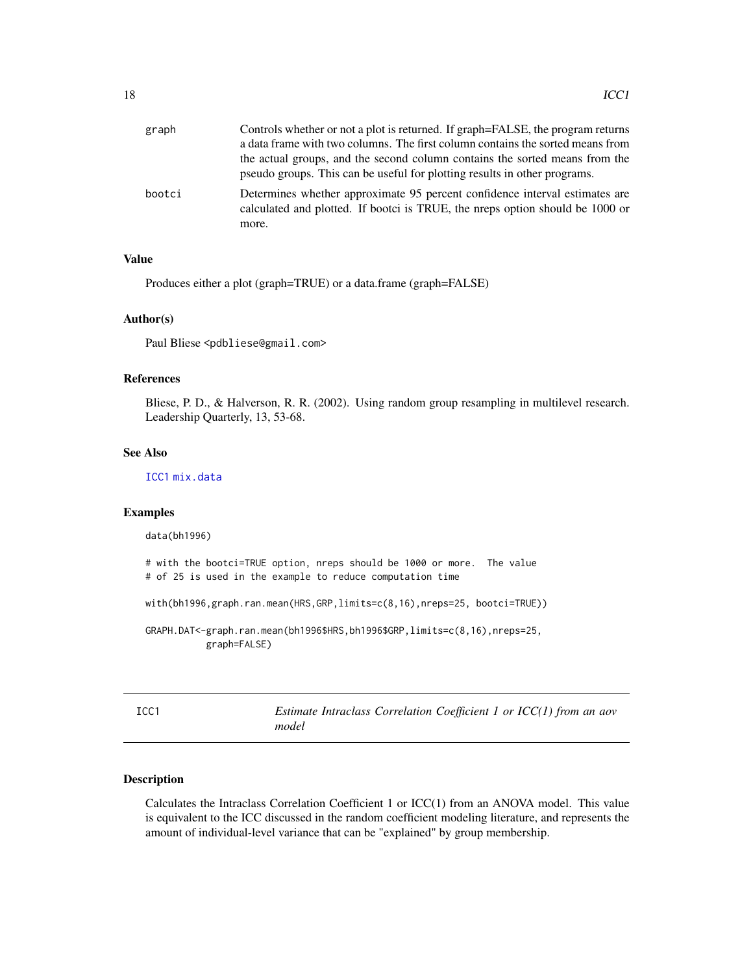<span id="page-17-0"></span>

| graph  | Controls whether or not a plot is returned. If graph=FALSE, the program returns<br>a data frame with two columns. The first column contains the sorted means from     |
|--------|-----------------------------------------------------------------------------------------------------------------------------------------------------------------------|
|        | the actual groups, and the second column contains the sorted means from the<br>pseudo groups. This can be useful for plotting results in other programs.              |
| bootci | Determines whether approximate 95 percent confidence interval estimates are<br>calculated and plotted. If bootci is TRUE, the nreps option should be 1000 or<br>more. |

# Value

Produces either a plot (graph=TRUE) or a data.frame (graph=FALSE)

# Author(s)

Paul Bliese <pdbliese@gmail.com>

# References

Bliese, P. D., & Halverson, R. R. (2002). Using random group resampling in multilevel research. Leadership Quarterly, 13, 53-68.

# See Also

[ICC1](#page-17-1) [mix.data](#page-23-1)

#### Examples

data(bh1996)

```
# with the bootci=TRUE option, nreps should be 1000 or more. The value
# of 25 is used in the example to reduce computation time
```

```
with(bh1996,graph.ran.mean(HRS,GRP,limits=c(8,16),nreps=25, bootci=TRUE))
```

```
GRAPH.DAT<-graph.ran.mean(bh1996$HRS,bh1996$GRP,limits=c(8,16),nreps=25,
           graph=FALSE)
```
<span id="page-17-1"></span>

| ۰.<br>۰.<br>M.<br>× |  |
|---------------------|--|

*Estimate Intraclass Correlation Coefficient 1 or ICC(1) from an aov model*

# Description

Calculates the Intraclass Correlation Coefficient 1 or ICC(1) from an ANOVA model. This value is equivalent to the ICC discussed in the random coefficient modeling literature, and represents the amount of individual-level variance that can be "explained" by group membership.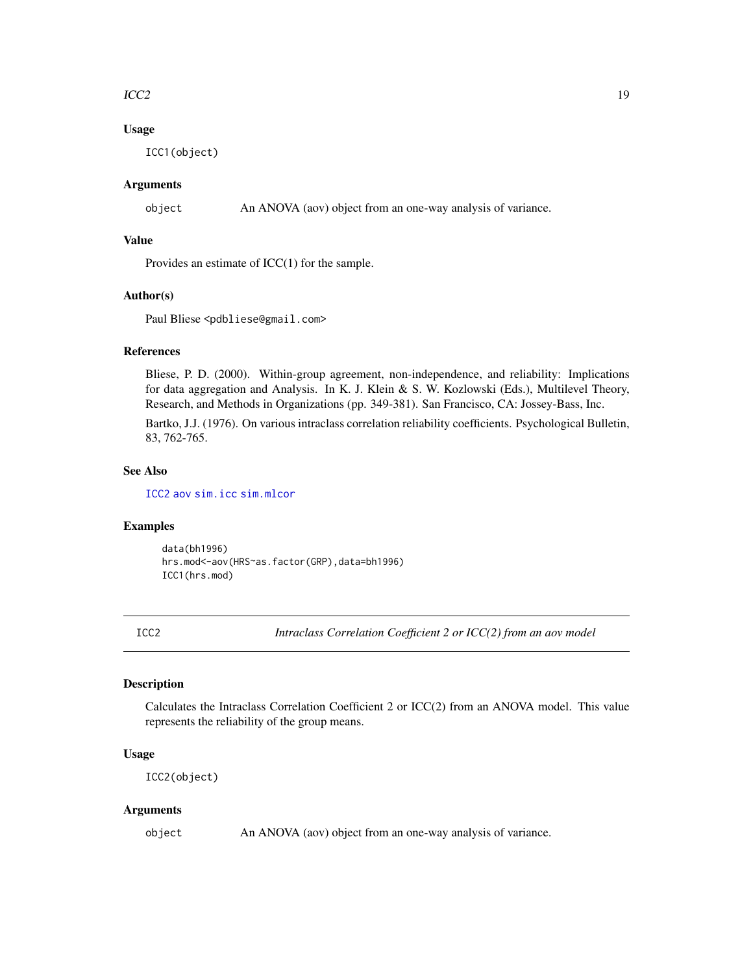#### <span id="page-18-0"></span> $\text{ICC2}$  and  $\text{ICC2}$  and  $\text{ICC2}$  and  $\text{ICC2}$  and  $\text{ICC2}$  and  $\text{ICC2}$  and  $\text{ICC2}$  and  $\text{ICC2}$  and  $\text{ICC2}$  and  $\text{ICC2}$  and  $\text{ICC2}$  and  $\text{ICC2}$  and  $\text{ICC2}$  and  $\text{ICC2}$  and  $\text{ICC2}$  and  $\text{ICC2}$  a

# Usage

ICC1(object)

# Arguments

object An ANOVA (aov) object from an one-way analysis of variance.

### Value

Provides an estimate of ICC(1) for the sample.

# Author(s)

Paul Bliese <pdbliese@gmail.com>

# References

Bliese, P. D. (2000). Within-group agreement, non-independence, and reliability: Implications for data aggregation and Analysis. In K. J. Klein & S. W. Kozlowski (Eds.), Multilevel Theory, Research, and Methods in Organizations (pp. 349-381). San Francisco, CA: Jossey-Bass, Inc.

Bartko, J.J. (1976). On various intraclass correlation reliability coefficients. Psychological Bulletin, 83, 762-765.

#### See Also

[ICC2](#page-18-1) [aov](#page-0-0) [sim.icc](#page-45-1) [sim.mlcor](#page-47-1)

# Examples

data(bh1996) hrs.mod<-aov(HRS~as.factor(GRP),data=bh1996) ICC1(hrs.mod)

<span id="page-18-1"></span>ICC2 *Intraclass Correlation Coefficient 2 or ICC(2) from an aov model*

# Description

Calculates the Intraclass Correlation Coefficient 2 or ICC(2) from an ANOVA model. This value represents the reliability of the group means.

# Usage

ICC2(object)

#### Arguments

object An ANOVA (aov) object from an one-way analysis of variance.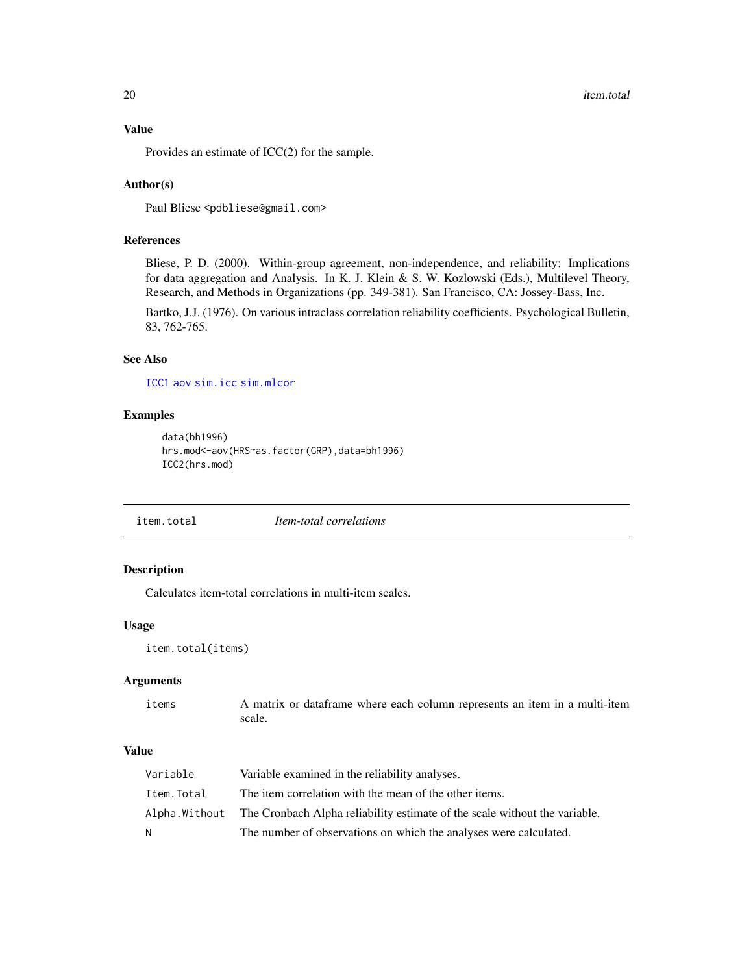#### Value

Provides an estimate of ICC(2) for the sample.

#### Author(s)

Paul Bliese <pdbliese@gmail.com>

### References

Bliese, P. D. (2000). Within-group agreement, non-independence, and reliability: Implications for data aggregation and Analysis. In K. J. Klein & S. W. Kozlowski (Eds.), Multilevel Theory, Research, and Methods in Organizations (pp. 349-381). San Francisco, CA: Jossey-Bass, Inc.

Bartko, J.J. (1976). On various intraclass correlation reliability coefficients. Psychological Bulletin, 83, 762-765.

# See Also

[ICC1](#page-17-1) [aov](#page-0-0) [sim.icc](#page-45-1) [sim.mlcor](#page-47-1)

#### Examples

```
data(bh1996)
hrs.mod<-aov(HRS~as.factor(GRP),data=bh1996)
ICC2(hrs.mod)
```
item.total *Item-total correlations*

# Description

Calculates item-total correlations in multi-item scales.

#### Usage

```
item.total(items)
```
#### Arguments

items A matrix or dataframe where each column represents an item in a multi-item scale.

# Value

| Variable   | Variable examined in the reliability analyses.                                            |
|------------|-------------------------------------------------------------------------------------------|
| Item.Total | The item correlation with the mean of the other items.                                    |
|            | Alpha. Without The Cronbach Alpha reliability estimate of the scale without the variable. |
| N          | The number of observations on which the analyses were calculated.                         |

<span id="page-19-0"></span>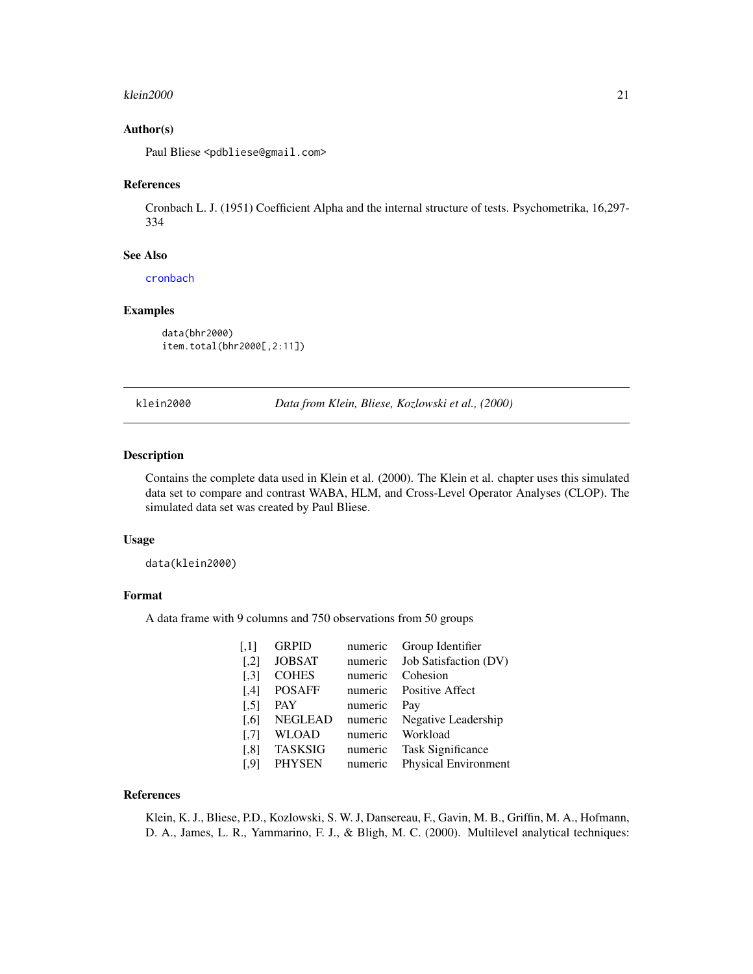#### <span id="page-20-0"></span>klein2000 21 zuwen die einde eine Staatsbestellt eine Staatsbestellt eine Staatsbestellt ein 2000 zu der Staatsbestellt eine Staatsbestellt eine Staatsbestellt eine Staatsbestellt eine Staatsbestellt ein der Staatsbestellt

### Author(s)

Paul Bliese <pdbliese@gmail.com>

#### References

Cronbach L. J. (1951) Coefficient Alpha and the internal structure of tests. Psychometrika, 16,297- 334

#### See Also

[cronbach](#page-12-1)

# Examples

data(bhr2000) item.total(bhr2000[,2:11])

klein2000 *Data from Klein, Bliese, Kozlowski et al., (2000)*

# Description

Contains the complete data used in Klein et al. (2000). The Klein et al. chapter uses this simulated data set to compare and contrast WABA, HLM, and Cross-Level Operator Analyses (CLOP). The simulated data set was created by Paul Bliese.

# Usage

data(klein2000)

# Format

A data frame with 9 columns and 750 observations from 50 groups

| $\left[ .1 \right]$  | <b>GRPID</b>   | numeric | Group Identifier         |
|----------------------|----------------|---------|--------------------------|
| $\left[ 1,2\right]$  | <b>JOBSAT</b>  | numeric | Job Satisfaction (DV)    |
| $\left[ .3 \right]$  | <b>COHES</b>   | numeric | Cohesion                 |
| [4]                  | <b>POSAFF</b>  | numeric | Positive Affect          |
| $\left[ 5 \right]$   | <b>PAY</b>     | numeric | Pay                      |
| $\left[ 0.6 \right]$ | <b>NEGLEAD</b> | numeric | Negative Leadership      |
| $\left[ 7 \right]$   | <b>WLOAD</b>   | numeric | Workload                 |
| [,8]                 | <b>TASKSIG</b> | numeric | <b>Task Significance</b> |
| [.9]                 | <b>PHYSEN</b>  | numeric | Physical Environment     |

#### References

Klein, K. J., Bliese, P.D., Kozlowski, S. W. J, Dansereau, F., Gavin, M. B., Griffin, M. A., Hofmann, D. A., James, L. R., Yammarino, F. J., & Bligh, M. C. (2000). Multilevel analytical techniques: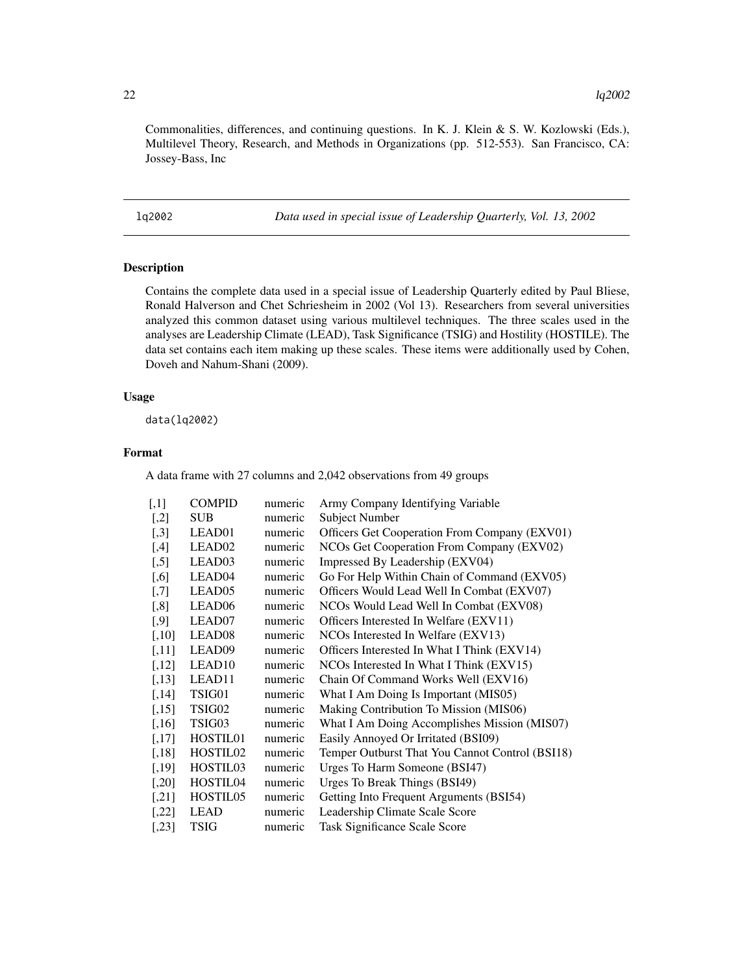<span id="page-21-0"></span>Commonalities, differences, and continuing questions. In K. J. Klein & S. W. Kozlowski (Eds.), Multilevel Theory, Research, and Methods in Organizations (pp. 512-553). San Francisco, CA: Jossey-Bass, Inc

lq2002 *Data used in special issue of Leadership Quarterly, Vol. 13, 2002*

# Description

Contains the complete data used in a special issue of Leadership Quarterly edited by Paul Bliese, Ronald Halverson and Chet Schriesheim in 2002 (Vol 13). Researchers from several universities analyzed this common dataset using various multilevel techniques. The three scales used in the analyses are Leadership Climate (LEAD), Task Significance (TSIG) and Hostility (HOSTILE). The data set contains each item making up these scales. These items were additionally used by Cohen, Doveh and Nahum-Shani (2009).

#### Usage

data(lq2002)

# Format

A data frame with 27 columns and 2,042 observations from 49 groups

| $\left\lceil,1\right\rceil$ | <b>COMPID</b>        | numeric | Army Company Identifying Variable               |
|-----------------------------|----------------------|---------|-------------------------------------------------|
| $[$                         | <b>SUB</b>           | numeric | <b>Subject Number</b>                           |
| $[$                         | LEAD01               | numeric | Officers Get Cooperation From Company (EXV01)   |
| $[$ ,4]                     | LEAD <sub>02</sub>   | numeric | NCOs Get Cooperation From Company (EXV02)       |
| $[$ 5]                      | LEAD03               | numeric | Impressed By Leadership (EXV04)                 |
| $[0.6]$                     | LEAD04               | numeric | Go For Help Within Chain of Command (EXV05)     |
| $[0.7]$                     | LEAD05               | numeric | Officers Would Lead Well In Combat (EXV07)      |
| $\left[ 0.8\right]$         | LEAD <sub>06</sub>   | numeric | NCOs Would Lead Well In Combat (EXV08)          |
| $[$ 9]                      | LEAD07               | numeric | Officers Interested In Welfare (EXV11)          |
| $[0.10]$                    | LEAD <sub>08</sub>   | numeric | NCOs Interested In Welfare (EXV13)              |
| $[0.11]$                    | LEAD09               | numeric | Officers Interested In What I Think (EXV14)     |
| $[,12]$                     | LEAD <sub>10</sub>   | numeric | NCOs Interested In What I Think (EXV15)         |
| [,13]                       | LEAD11               | numeric | Chain Of Command Works Well (EXV16)             |
| [,14]                       | TSIG01               | numeric | What I Am Doing Is Important (MIS05)            |
| $[,15]$                     | TSIG02               | numeric | Making Contribution To Mission (MIS06)          |
| [,16]                       | TSIG03               | numeric | What I Am Doing Accomplishes Mission (MIS07)    |
| [,17]                       | HOSTIL01             | numeric | Easily Annoyed Or Irritated (BSI09)             |
| [,18]                       | HOSTIL <sub>02</sub> | numeric | Temper Outburst That You Cannot Control (BSI18) |
| [,19]                       | HOSTIL03             | numeric | Urges To Harm Someone (BSI47)                   |
| $[0.20]$                    | HOSTIL04             | numeric | Urges To Break Things (BSI49)                   |
| [,21]                       | HOSTIL <sub>05</sub> | numeric | Getting Into Frequent Arguments (BSI54)         |
| $[0.22]$                    | <b>LEAD</b>          | numeric | Leadership Climate Scale Score                  |
| [,23]                       | <b>TSIG</b>          | numeric | Task Significance Scale Score                   |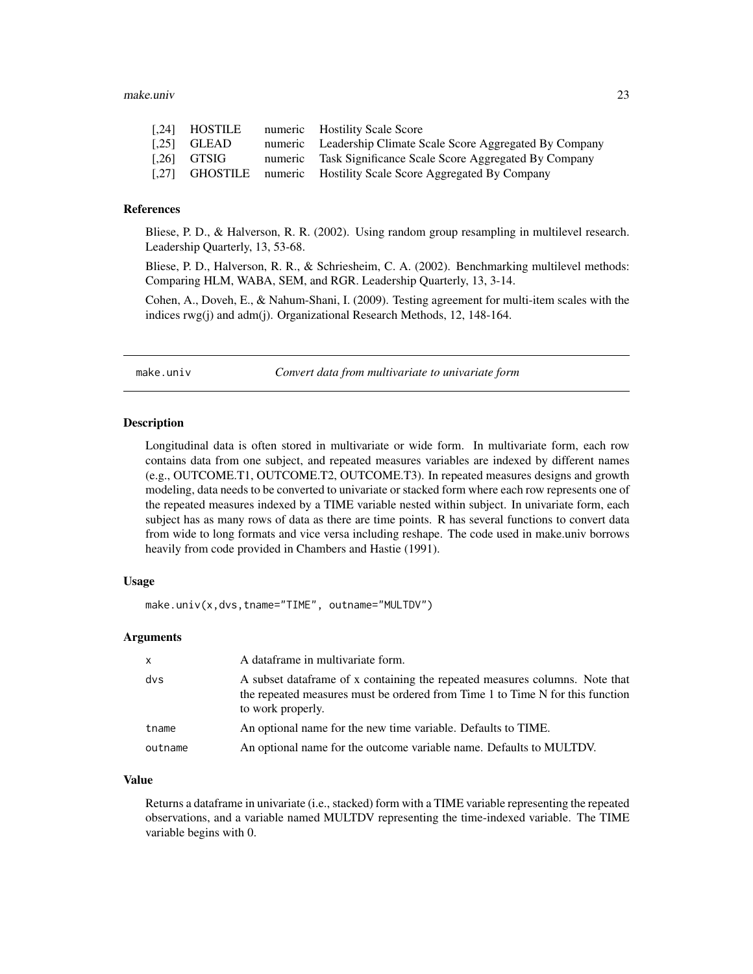#### <span id="page-22-0"></span>make.univ 23

| [.24] HOSTILE  | numeric Hostility Scale Score                                      |
|----------------|--------------------------------------------------------------------|
| $[0.25]$ GLEAD | numeric Leadership Climate Scale Score Aggregated By Company       |
| $1.261$ GTSIG  | numeric Task Significance Scale Score Aggregated By Company        |
|                | [,27] GHOSTILE numeric Hostility Scale Score Aggregated By Company |

# References

Bliese, P. D., & Halverson, R. R. (2002). Using random group resampling in multilevel research. Leadership Quarterly, 13, 53-68.

Bliese, P. D., Halverson, R. R., & Schriesheim, C. A. (2002). Benchmarking multilevel methods: Comparing HLM, WABA, SEM, and RGR. Leadership Quarterly, 13, 3-14.

Cohen, A., Doveh, E., & Nahum-Shani, I. (2009). Testing agreement for multi-item scales with the indices rwg(j) and adm(j). Organizational Research Methods, 12, 148-164.

<span id="page-22-1"></span>

make.univ *Convert data from multivariate to univariate form*

#### Description

Longitudinal data is often stored in multivariate or wide form. In multivariate form, each row contains data from one subject, and repeated measures variables are indexed by different names (e.g., OUTCOME.T1, OUTCOME.T2, OUTCOME.T3). In repeated measures designs and growth modeling, data needs to be converted to univariate or stacked form where each row represents one of the repeated measures indexed by a TIME variable nested within subject. In univariate form, each subject has as many rows of data as there are time points. R has several functions to convert data from wide to long formats and vice versa including reshape. The code used in make.univ borrows heavily from code provided in Chambers and Hastie (1991).

# Usage

make.univ(x,dvs,tname="TIME", outname="MULTDV")

# Arguments

| $\mathsf{x}$ | A dataframe in multivariate form.                                                                                                                                                  |
|--------------|------------------------------------------------------------------------------------------------------------------------------------------------------------------------------------|
| dvs          | A subset data frame of x containing the repeated measures columns. Note that<br>the repeated measures must be ordered from Time 1 to Time N for this function<br>to work properly. |
| tname        | An optional name for the new time variable. Defaults to TIME.                                                                                                                      |
| outname      | An optional name for the outcome variable name. Defaults to MULTDV.                                                                                                                |

# Value

Returns a dataframe in univariate (i.e., stacked) form with a TIME variable representing the repeated observations, and a variable named MULTDV representing the time-indexed variable. The TIME variable begins with 0.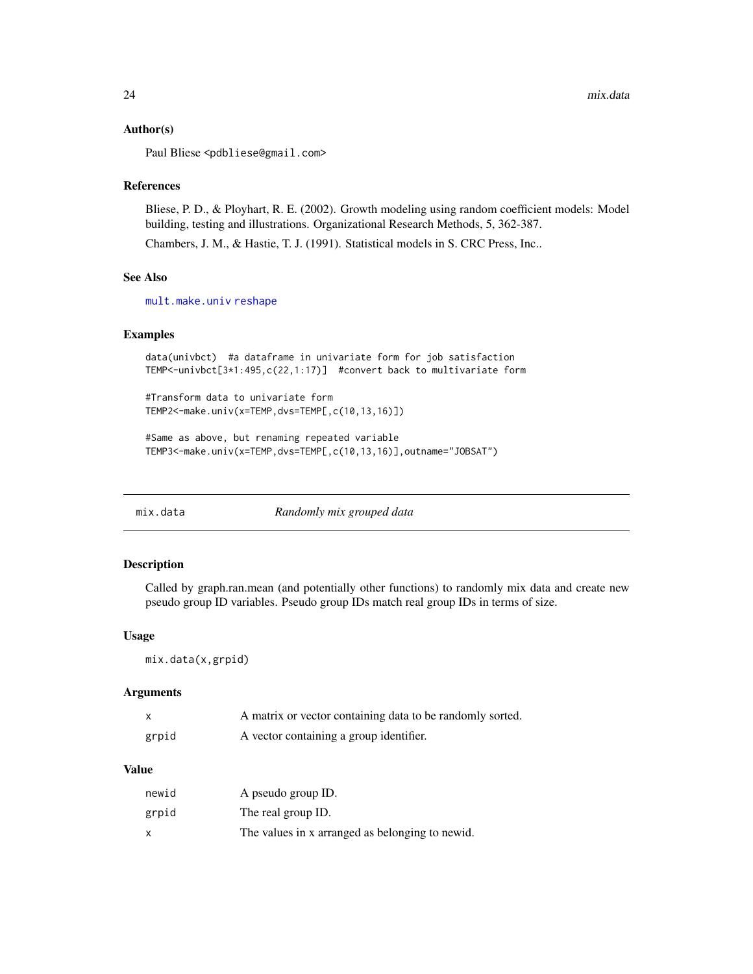#### <span id="page-23-0"></span>Author(s)

Paul Bliese <pdbliese@gmail.com>

#### References

Bliese, P. D., & Ployhart, R. E. (2002). Growth modeling using random coefficient models: Model building, testing and illustrations. Organizational Research Methods, 5, 362-387.

Chambers, J. M., & Hastie, T. J. (1991). Statistical models in S. CRC Press, Inc..

# See Also

[mult.make.univ](#page-25-1) [reshape](#page-0-0)

# Examples

```
data(univbct) #a dataframe in univariate form for job satisfaction
TEMP<-univbct[3*1:495,c(22,1:17)] #convert back to multivariate form
```
#Transform data to univariate form TEMP2<-make.univ(x=TEMP,dvs=TEMP[,c(10,13,16)])

```
#Same as above, but renaming repeated variable
TEMP3<-make.univ(x=TEMP,dvs=TEMP[,c(10,13,16)],outname="JOBSAT")
```
<span id="page-23-1"></span>

| mix.data | Randomly mix grouped data |  |
|----------|---------------------------|--|
|----------|---------------------------|--|

#### Description

Called by graph.ran.mean (and potentially other functions) to randomly mix data and create new pseudo group ID variables. Pseudo group IDs match real group IDs in terms of size.

#### Usage

```
mix.data(x,grpid)
```
# Arguments

| $\mathsf{x}$ | A matrix or vector containing data to be randomly sorted. |
|--------------|-----------------------------------------------------------|
| grpid        | A vector containing a group identifier.                   |

# Value

| newid | A pseudo group ID.                              |
|-------|-------------------------------------------------|
| grpid | The real group ID.                              |
| X     | The values in x arranged as belonging to newid. |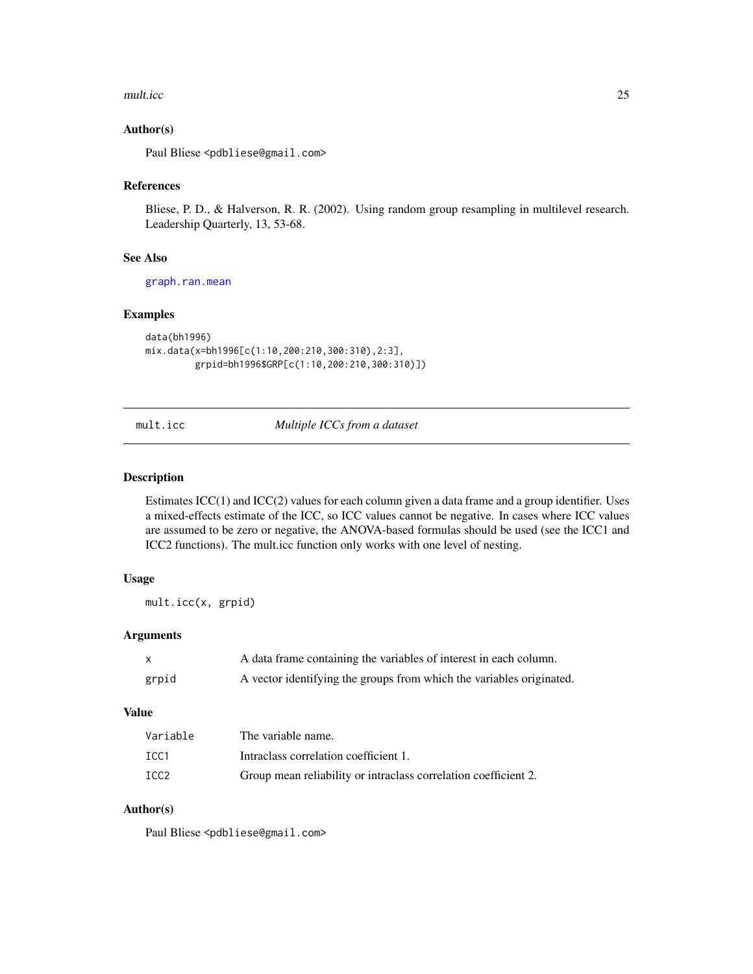#### <span id="page-24-0"></span>mult.icc 25

# Author(s)

Paul Bliese <pdbliese@gmail.com>

# References

Bliese, P. D., & Halverson, R. R. (2002). Using random group resampling in multilevel research. Leadership Quarterly, 13, 53-68.

# See Also

[graph.ran.mean](#page-16-1)

#### Examples

```
data(bh1996)
mix.data(x=bh1996[c(1:10,200:210,300:310),2:3],
         grpid=bh1996$GRP[c(1:10,200:210,300:310)])
```
mult.icc *Multiple ICCs from a dataset*

#### Description

Estimates ICC(1) and ICC(2) values for each column given a data frame and a group identifier. Uses a mixed-effects estimate of the ICC, so ICC values cannot be negative. In cases where ICC values are assumed to be zero or negative, the ANOVA-based formulas should be used (see the ICC1 and ICC2 functions). The mult.icc function only works with one level of nesting.

#### Usage

mult.icc(x, grpid)

# Arguments

|       | A data frame containing the variables of interest in each column.    |
|-------|----------------------------------------------------------------------|
| grpid | A vector identifying the groups from which the variables originated. |

# Value

| Variable         | The variable name.                                              |
|------------------|-----------------------------------------------------------------|
| TCC <sub>1</sub> | Intraclass correlation coefficient 1.                           |
| ICC2             | Group mean reliability or intraclass correlation coefficient 2. |

# Author(s)

Paul Bliese <pdbliese@gmail.com>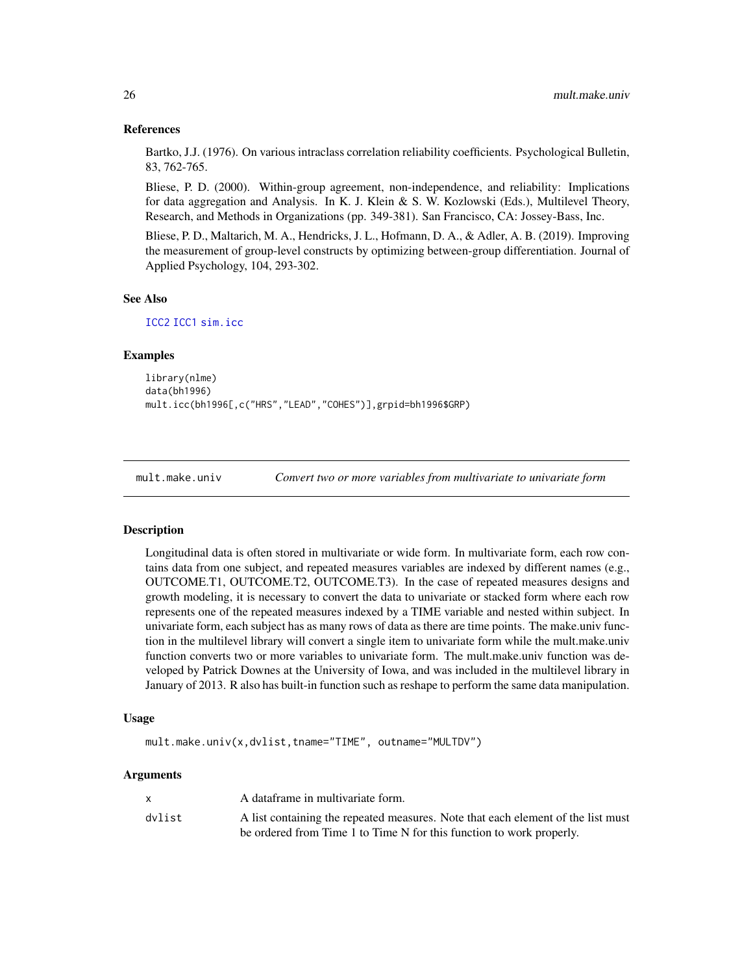#### References

Bartko, J.J. (1976). On various intraclass correlation reliability coefficients. Psychological Bulletin, 83, 762-765.

Bliese, P. D. (2000). Within-group agreement, non-independence, and reliability: Implications for data aggregation and Analysis. In K. J. Klein & S. W. Kozlowski (Eds.), Multilevel Theory, Research, and Methods in Organizations (pp. 349-381). San Francisco, CA: Jossey-Bass, Inc.

Bliese, P. D., Maltarich, M. A., Hendricks, J. L., Hofmann, D. A., & Adler, A. B. (2019). Improving the measurement of group-level constructs by optimizing between-group differentiation. Journal of Applied Psychology, 104, 293-302.

#### See Also

[ICC2](#page-18-1) [ICC1](#page-17-1) [sim.icc](#page-45-1)

#### Examples

```
library(nlme)
data(bh1996)
mult.icc(bh1996[,c("HRS","LEAD","COHES")],grpid=bh1996$GRP)
```
<span id="page-25-1"></span>mult.make.univ *Convert two or more variables from multivariate to univariate form*

#### Description

Longitudinal data is often stored in multivariate or wide form. In multivariate form, each row contains data from one subject, and repeated measures variables are indexed by different names (e.g., OUTCOME.T1, OUTCOME.T2, OUTCOME.T3). In the case of repeated measures designs and growth modeling, it is necessary to convert the data to univariate or stacked form where each row represents one of the repeated measures indexed by a TIME variable and nested within subject. In univariate form, each subject has as many rows of data as there are time points. The make.univ function in the multilevel library will convert a single item to univariate form while the mult.make.univ function converts two or more variables to univariate form. The mult.make.univ function was developed by Patrick Downes at the University of Iowa, and was included in the multilevel library in January of 2013. R also has built-in function such as reshape to perform the same data manipulation.

#### Usage

mult.make.univ(x,dvlist,tname="TIME", outname="MULTDV")

#### Arguments

|        | A dataframe in multivariate form.                                                |
|--------|----------------------------------------------------------------------------------|
| dvlist | A list containing the repeated measures. Note that each element of the list must |
|        | be ordered from Time 1 to Time N for this function to work properly.             |

<span id="page-25-0"></span>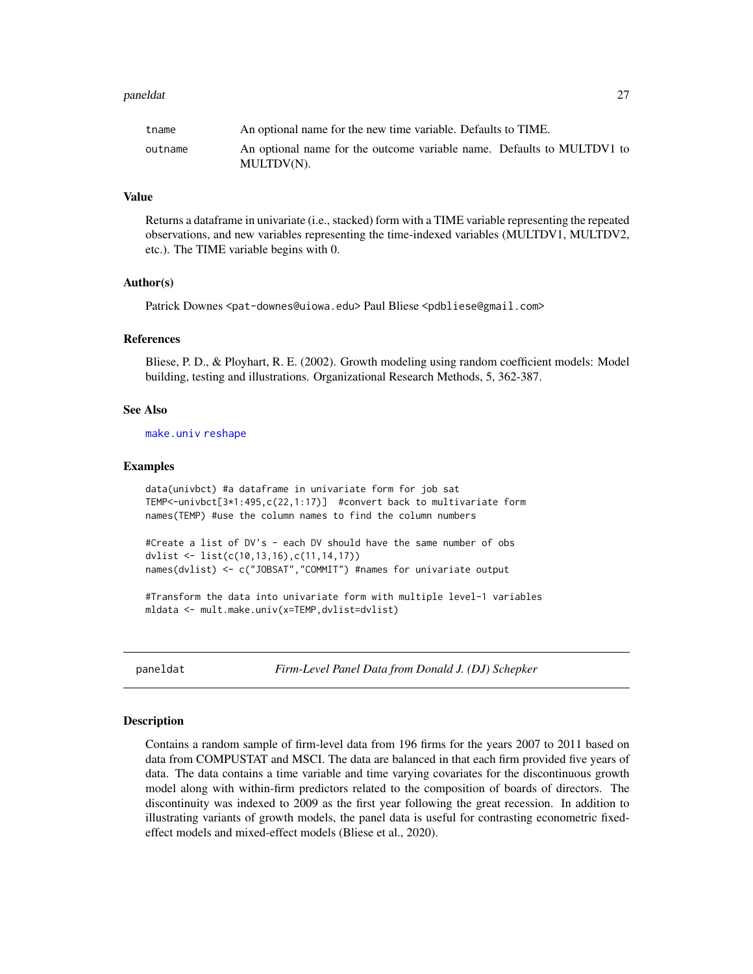#### <span id="page-26-0"></span>paneldat 27

#### Value

Returns a dataframe in univariate (i.e., stacked) form with a TIME variable representing the repeated observations, and new variables representing the time-indexed variables (MULTDV1, MULTDV2, etc.). The TIME variable begins with 0.

#### Author(s)

Patrick Downes <pat-downes@uiowa.edu> Paul Bliese <pdbliese@gmail.com>

#### References

Bliese, P. D., & Ployhart, R. E. (2002). Growth modeling using random coefficient models: Model building, testing and illustrations. Organizational Research Methods, 5, 362-387.

#### See Also

[make.univ](#page-22-1) [reshape](#page-0-0)

#### Examples

data(univbct) #a dataframe in univariate form for job sat TEMP<-univbct[3\*1:495,c(22,1:17)] #convert back to multivariate form names(TEMP) #use the column names to find the column numbers

#Create a list of DV's - each DV should have the same number of obs dvlist <- list(c(10,13,16),c(11,14,17)) names(dvlist) <- c("JOBSAT","COMMIT") #names for univariate output

#Transform the data into univariate form with multiple level-1 variables mldata <- mult.make.univ(x=TEMP,dvlist=dvlist)

paneldat *Firm-Level Panel Data from Donald J. (DJ) Schepker*

#### **Description**

Contains a random sample of firm-level data from 196 firms for the years 2007 to 2011 based on data from COMPUSTAT and MSCI. The data are balanced in that each firm provided five years of data. The data contains a time variable and time varying covariates for the discontinuous growth model along with within-firm predictors related to the composition of boards of directors. The discontinuity was indexed to 2009 as the first year following the great recession. In addition to illustrating variants of growth models, the panel data is useful for contrasting econometric fixedeffect models and mixed-effect models (Bliese et al., 2020).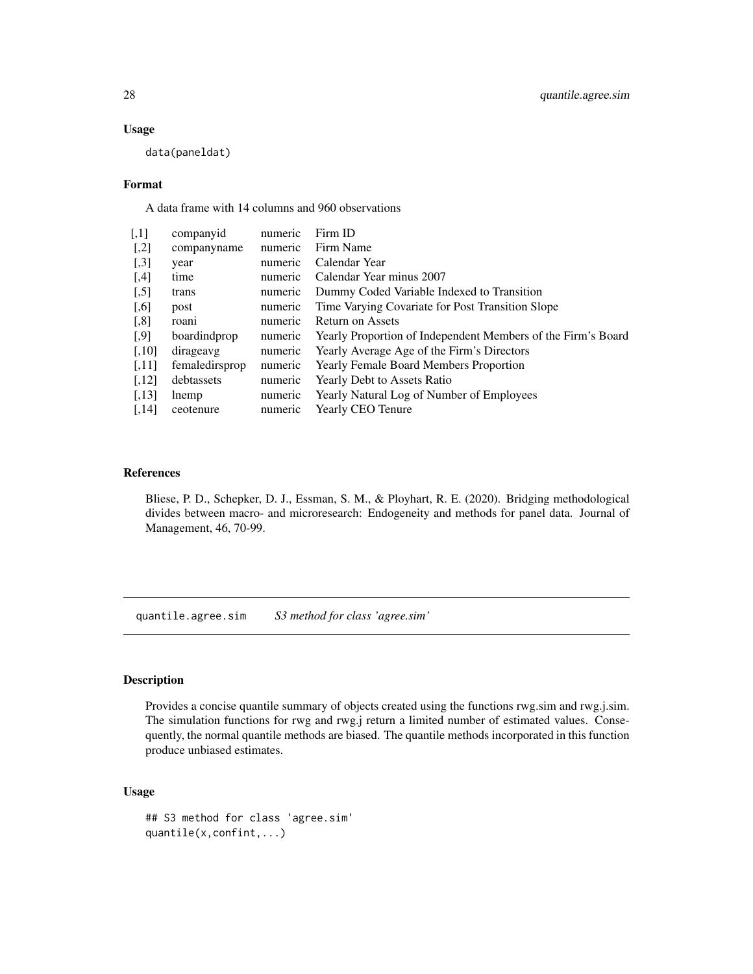# Usage

data(paneldat)

#### Format

A data frame with 14 columns and 960 observations

| $\left[1,1\right]$ | companyid      | numeric | Firm ID                                                      |
|--------------------|----------------|---------|--------------------------------------------------------------|
| $[$                | companyname    | numeric | Firm Name                                                    |
| $[0.3]$            | year           | numeric | Calendar Year                                                |
| $[0.4]$            | time           | numeric | Calendar Year minus 2007                                     |
| $[$                | trans          | numeric | Dummy Coded Variable Indexed to Transition                   |
| $[0.6]$            | post           | numeric | Time Varying Covariate for Post Transition Slope             |
| $[$ 8]             | roani          | numeric | <b>Return on Assets</b>                                      |
| $\left[ .9\right]$ | boardindprop   | numeric | Yearly Proportion of Independent Members of the Firm's Board |
| $[,10]$            | dirageavg      | numeric | Yearly Average Age of the Firm's Directors                   |
| [,11]              | femaledirsprop | numeric | <b>Yearly Female Board Members Proportion</b>                |
| $[,12]$            | debtassets     | numeric | Yearly Debt to Assets Ratio                                  |
| [,13]              | lnemp          | numeric | Yearly Natural Log of Number of Employees                    |
| [,14]              | ceotenure      | numeric | Yearly CEO Tenure                                            |
|                    |                |         |                                                              |

# References

Bliese, P. D., Schepker, D. J., Essman, S. M., & Ployhart, R. E. (2020). Bridging methodological divides between macro- and microresearch: Endogeneity and methods for panel data. Journal of Management, 46, 70-99.

quantile.agree.sim *S3 method for class 'agree.sim'*

# Description

Provides a concise quantile summary of objects created using the functions rwg.sim and rwg.j.sim. The simulation functions for rwg and rwg.j return a limited number of estimated values. Consequently, the normal quantile methods are biased. The quantile methods incorporated in this function produce unbiased estimates.

# Usage

```
## S3 method for class 'agree.sim'
quantile(x,confint,...)
```
<span id="page-27-0"></span>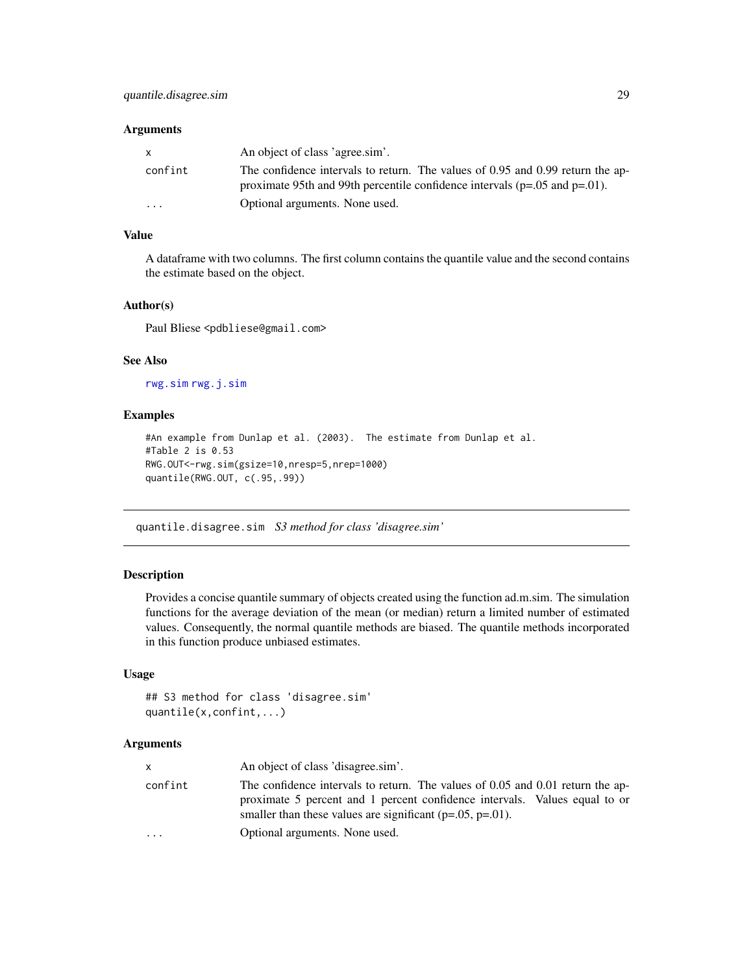# <span id="page-28-0"></span>Arguments

| X        | An object of class 'agree.sim'.                                                                                                                                    |
|----------|--------------------------------------------------------------------------------------------------------------------------------------------------------------------|
| confint  | The confidence intervals to return. The values of 0.95 and 0.99 return the ap-<br>proximate 95th and 99th percentile confidence intervals ( $p=.05$ and $p=.01$ ). |
| $\cdots$ | Optional arguments. None used.                                                                                                                                     |

# Value

A dataframe with two columns. The first column contains the quantile value and the second contains the estimate based on the object.

#### Author(s)

Paul Bliese <pdbliese@gmail.com>

# See Also

[rwg.sim](#page-42-1) [rwg.j.sim](#page-40-1)

### Examples

```
#An example from Dunlap et al. (2003). The estimate from Dunlap et al.
#Table 2 is 0.53
RWG.OUT<-rwg.sim(gsize=10,nresp=5,nrep=1000)
quantile(RWG.OUT, c(.95,.99))
```
quantile.disagree.sim *S3 method for class 'disagree.sim'*

# Description

Provides a concise quantile summary of objects created using the function ad.m.sim. The simulation functions for the average deviation of the mean (or median) return a limited number of estimated values. Consequently, the normal quantile methods are biased. The quantile methods incorporated in this function produce unbiased estimates.

# Usage

```
## S3 method for class 'disagree.sim'
quantile(x,confint,...)
```
# Arguments

| X       | An object of class 'disagree.sim'.                                                                                                                                                                                               |
|---------|----------------------------------------------------------------------------------------------------------------------------------------------------------------------------------------------------------------------------------|
| confint | The confidence intervals to return. The values of 0.05 and 0.01 return the ap-<br>proximate 5 percent and 1 percent confidence intervals. Values equal to or<br>smaller than these values are significant ( $p=.05$ , $p=.01$ ). |
| $\cdot$ | Optional arguments. None used.                                                                                                                                                                                                   |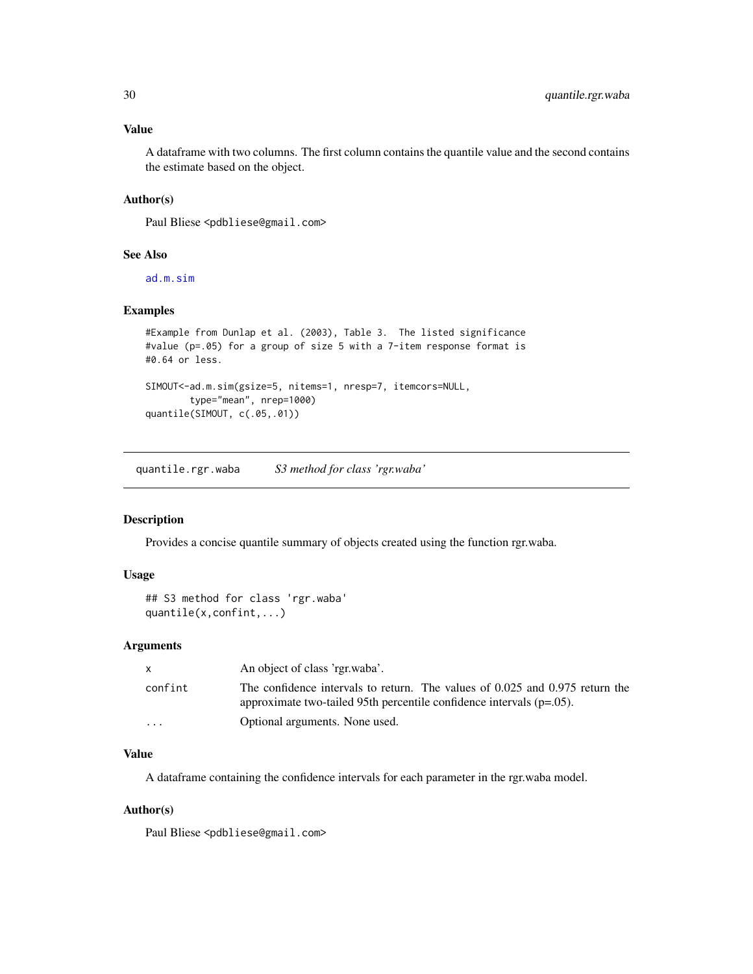#### <span id="page-29-0"></span>Value

A dataframe with two columns. The first column contains the quantile value and the second contains the estimate based on the object.

#### Author(s)

Paul Bliese <pdbliese@gmail.com>

#### See Also

[ad.m.sim](#page-3-1)

# Examples

```
#Example from Dunlap et al. (2003), Table 3. The listed significance
#value (p=.05) for a group of size 5 with a 7-item response format is
#0.64 or less.
SIMOUT<-ad.m.sim(gsize=5, nitems=1, nresp=7, itemcors=NULL,
       type="mean", nrep=1000)
quantile(SIMOUT, c(.05,.01))
```
quantile.rgr.waba *S3 method for class 'rgr.waba'*

# Description

Provides a concise quantile summary of objects created using the function rgr.waba.

# Usage

```
## S3 method for class 'rgr.waba'
quantile(x,confint,...)
```
#### Arguments

|                         | An object of class 'rgr.waba'.                                                                                                                           |
|-------------------------|----------------------------------------------------------------------------------------------------------------------------------------------------------|
| confint                 | The confidence intervals to return. The values of 0.025 and 0.975 return the<br>approximate two-tailed 95th percentile confidence intervals $(p=0.05)$ . |
| $\cdot$ $\cdot$ $\cdot$ | Optional arguments. None used.                                                                                                                           |

# Value

A dataframe containing the confidence intervals for each parameter in the rgr.waba model.

#### Author(s)

Paul Bliese <pdbliese@gmail.com>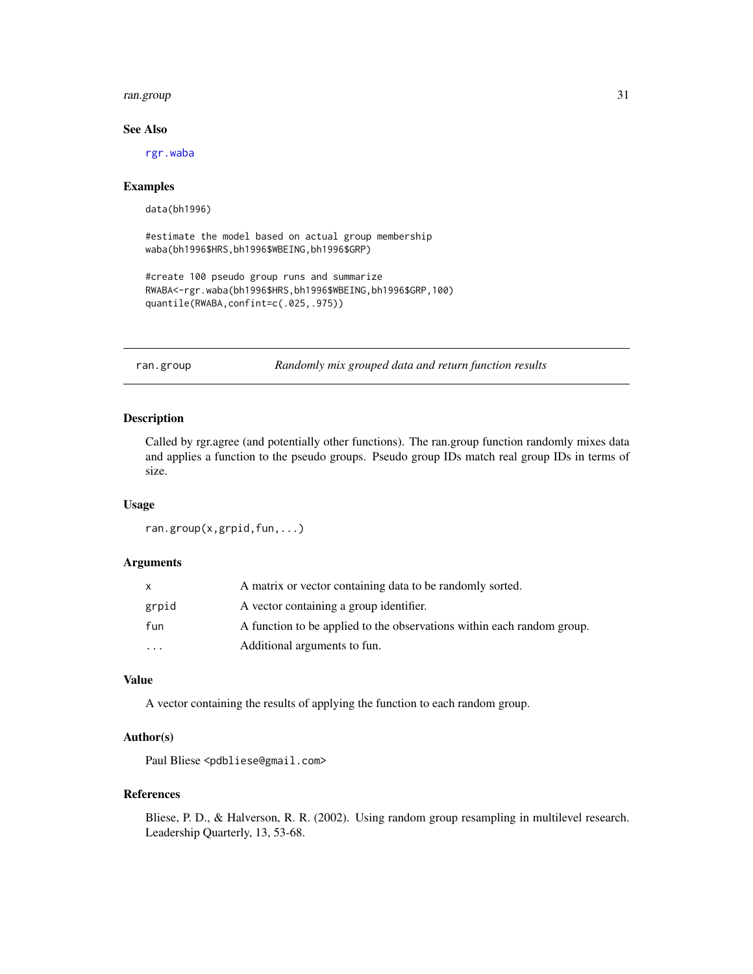#### <span id="page-30-0"></span>ran.group 31

# See Also

[rgr.waba](#page-33-1)

#### Examples

data(bh1996)

```
#estimate the model based on actual group membership
waba(bh1996$HRS,bh1996$WBEING,bh1996$GRP)
```

```
#create 100 pseudo group runs and summarize
RWABA<-rgr.waba(bh1996$HRS,bh1996$WBEING,bh1996$GRP,100)
quantile(RWABA,confint=c(.025,.975))
```
ran.group *Randomly mix grouped data and return function results*

# Description

Called by rgr.agree (and potentially other functions). The ran.group function randomly mixes data and applies a function to the pseudo groups. Pseudo group IDs match real group IDs in terms of size.

#### Usage

```
ran.group(x,grpid,fun,...)
```
# Arguments

|           | A matrix or vector containing data to be randomly sorted.              |
|-----------|------------------------------------------------------------------------|
| grpid     | A vector containing a group identifier.                                |
| fun       | A function to be applied to the observations within each random group. |
| $\ddotsc$ | Additional arguments to fun.                                           |

# Value

A vector containing the results of applying the function to each random group.

# Author(s)

Paul Bliese <pdbliese@gmail.com>

#### References

Bliese, P. D., & Halverson, R. R. (2002). Using random group resampling in multilevel research. Leadership Quarterly, 13, 53-68.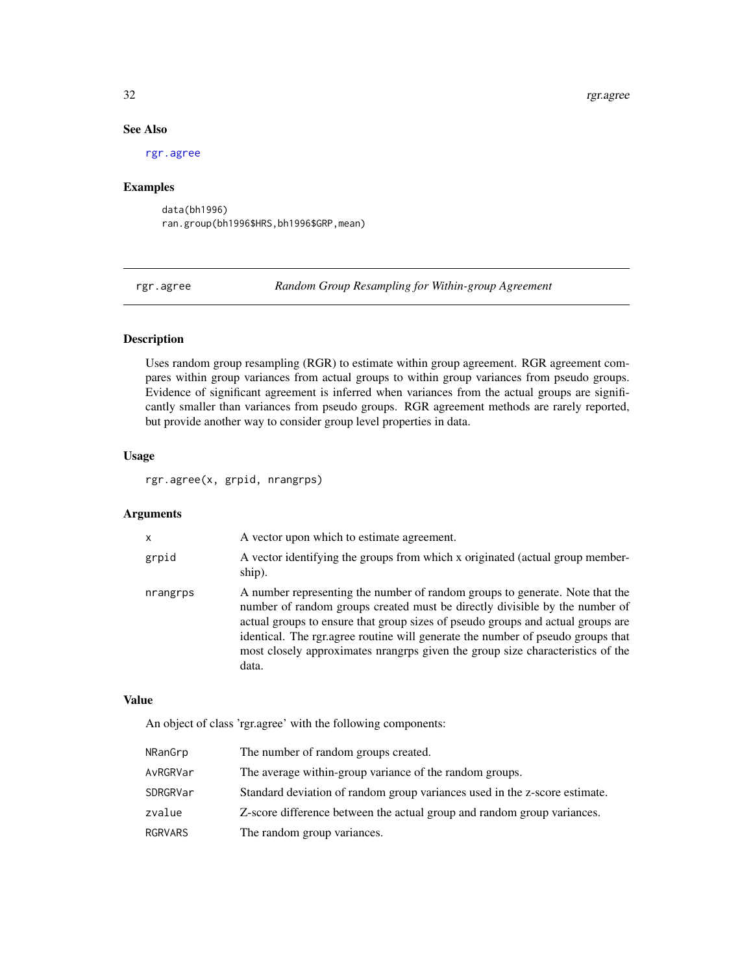# See Also

[rgr.agree](#page-31-1)

# Examples

data(bh1996) ran.group(bh1996\$HRS,bh1996\$GRP,mean)

<span id="page-31-1"></span>rgr.agree *Random Group Resampling for Within-group Agreement*

# Description

Uses random group resampling (RGR) to estimate within group agreement. RGR agreement compares within group variances from actual groups to within group variances from pseudo groups. Evidence of significant agreement is inferred when variances from the actual groups are significantly smaller than variances from pseudo groups. RGR agreement methods are rarely reported, but provide another way to consider group level properties in data.

# Usage

rgr.agree(x, grpid, nrangrps)

#### Arguments

| X        | A vector upon which to estimate agreement.                                                                                                                                                                                                                                                                                                                                                                                   |
|----------|------------------------------------------------------------------------------------------------------------------------------------------------------------------------------------------------------------------------------------------------------------------------------------------------------------------------------------------------------------------------------------------------------------------------------|
| grpid    | A vector identifying the groups from which x originated (actual group member-<br>ship).                                                                                                                                                                                                                                                                                                                                      |
| nrangrps | A number representing the number of random groups to generate. Note that the<br>number of random groups created must be directly divisible by the number of<br>actual groups to ensure that group sizes of pseudo groups and actual groups are<br>identical. The rgr.agree routine will generate the number of pseudo groups that<br>most closely approximates nrangrps given the group size characteristics of the<br>data. |

#### Value

An object of class 'rgr.agree' with the following components:

| NRanGrp  | The number of random groups created.                                       |
|----------|----------------------------------------------------------------------------|
| AvRGRVar | The average within-group variance of the random groups.                    |
| SDRGRVar | Standard deviation of random group variances used in the z-score estimate. |
| zvalue   | Z-score difference between the actual group and random group variances.    |
| RGRVARS  | The random group variances.                                                |

<span id="page-31-0"></span>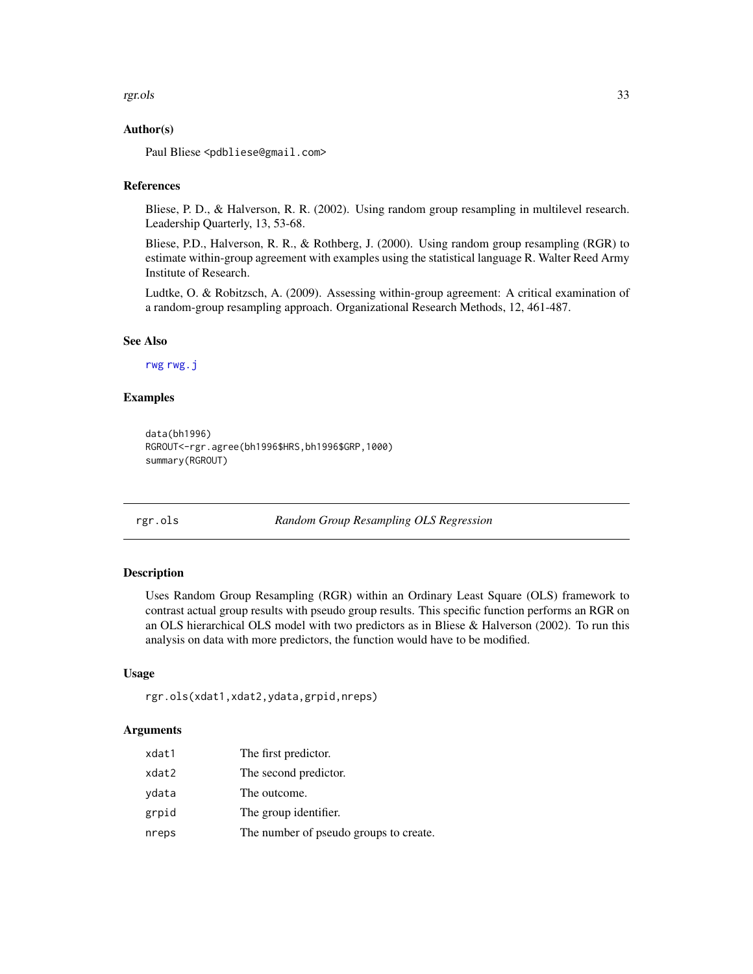#### <span id="page-32-0"></span>rgr.ols 33

# Author(s)

Paul Bliese <pdbliese@gmail.com>

#### References

Bliese, P. D., & Halverson, R. R. (2002). Using random group resampling in multilevel research. Leadership Quarterly, 13, 53-68.

Bliese, P.D., Halverson, R. R., & Rothberg, J. (2000). Using random group resampling (RGR) to estimate within-group agreement with examples using the statistical language R. Walter Reed Army Institute of Research.

Ludtke, O. & Robitzsch, A. (2009). Assessing within-group agreement: A critical examination of a random-group resampling approach. Organizational Research Methods, 12, 461-487.

#### See Also

[rwg](#page-37-1) [rwg.j](#page-38-1)

# Examples

```
data(bh1996)
RGROUT<-rgr.agree(bh1996$HRS,bh1996$GRP,1000)
summary(RGROUT)
```
rgr.ols *Random Group Resampling OLS Regression*

#### Description

Uses Random Group Resampling (RGR) within an Ordinary Least Square (OLS) framework to contrast actual group results with pseudo group results. This specific function performs an RGR on an OLS hierarchical OLS model with two predictors as in Bliese & Halverson (2002). To run this analysis on data with more predictors, the function would have to be modified.

#### Usage

```
rgr.ols(xdat1,xdat2,ydata,grpid,nreps)
```
# Arguments

| xdat1 | The first predictor.                   |
|-------|----------------------------------------|
| xdat2 | The second predictor.                  |
| ydata | The outcome.                           |
| grpid | The group identifier.                  |
| nreps | The number of pseudo groups to create. |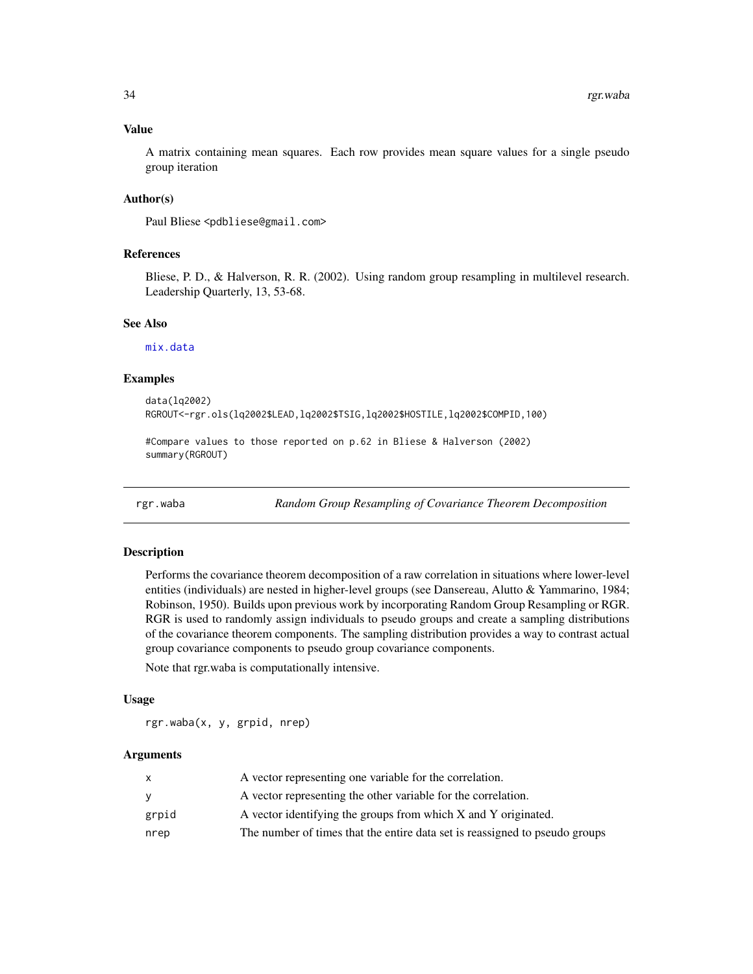# <span id="page-33-0"></span>Value

A matrix containing mean squares. Each row provides mean square values for a single pseudo group iteration

#### Author(s)

Paul Bliese <pdbliese@gmail.com>

### References

Bliese, P. D., & Halverson, R. R. (2002). Using random group resampling in multilevel research. Leadership Quarterly, 13, 53-68.

# See Also

[mix.data](#page-23-1)

# Examples

```
data(lq2002)
RGROUT<-rgr.ols(lq2002$LEAD,lq2002$TSIG,lq2002$HOSTILE,lq2002$COMPID,100)
```

```
#Compare values to those reported on p.62 in Bliese & Halverson (2002)
summary(RGROUT)
```
<span id="page-33-1"></span>rgr.waba *Random Group Resampling of Covariance Theorem Decomposition*

#### Description

Performs the covariance theorem decomposition of a raw correlation in situations where lower-level entities (individuals) are nested in higher-level groups (see Dansereau, Alutto & Yammarino, 1984; Robinson, 1950). Builds upon previous work by incorporating Random Group Resampling or RGR. RGR is used to randomly assign individuals to pseudo groups and create a sampling distributions of the covariance theorem components. The sampling distribution provides a way to contrast actual group covariance components to pseudo group covariance components.

Note that rgr.waba is computationally intensive.

#### Usage

rgr.waba(x, y, grpid, nrep)

#### Arguments

|       | A vector representing one variable for the correlation.                     |
|-------|-----------------------------------------------------------------------------|
| v     | A vector representing the other variable for the correlation.               |
| grpid | A vector identifying the groups from which X and Y originated.              |
| nrep  | The number of times that the entire data set is reassigned to pseudo groups |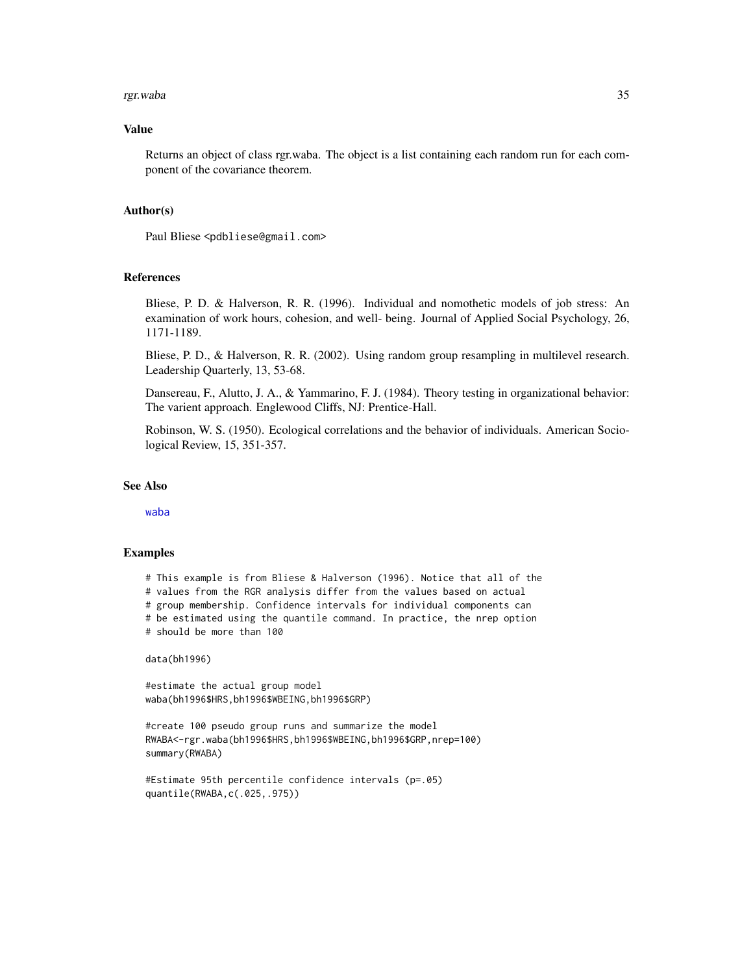#### <span id="page-34-0"></span>rgr.waba 35

#### Value

Returns an object of class rgr.waba. The object is a list containing each random run for each component of the covariance theorem.

#### Author(s)

Paul Bliese <pdbliese@gmail.com>

# References

Bliese, P. D. & Halverson, R. R. (1996). Individual and nomothetic models of job stress: An examination of work hours, cohesion, and well- being. Journal of Applied Social Psychology, 26, 1171-1189.

Bliese, P. D., & Halverson, R. R. (2002). Using random group resampling in multilevel research. Leadership Quarterly, 13, 53-68.

Dansereau, F., Alutto, J. A., & Yammarino, F. J. (1984). Theory testing in organizational behavior: The varient approach. Englewood Cliffs, NJ: Prentice-Hall.

Robinson, W. S. (1950). Ecological correlations and the behavior of individuals. American Sociological Review, 15, 351-357.

#### See Also

[waba](#page-56-1)

#### Examples

# This example is from Bliese & Halverson (1996). Notice that all of the

# values from the RGR analysis differ from the values based on actual

# group membership. Confidence intervals for individual components can

# be estimated using the quantile command. In practice, the nrep option

# should be more than 100

data(bh1996)

#estimate the actual group model waba(bh1996\$HRS,bh1996\$WBEING,bh1996\$GRP)

#create 100 pseudo group runs and summarize the model RWABA<-rgr.waba(bh1996\$HRS,bh1996\$WBEING,bh1996\$GRP,nrep=100) summary(RWABA)

```
#Estimate 95th percentile confidence intervals (p=.05)
quantile(RWABA,c(.025,.975))
```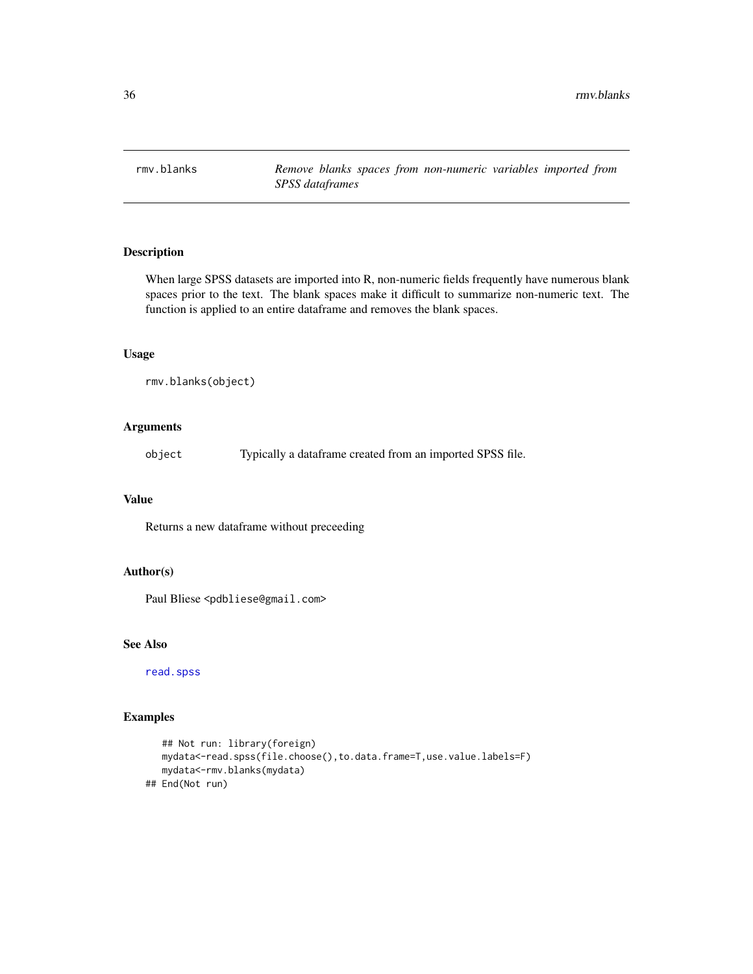<span id="page-35-0"></span>

When large SPSS datasets are imported into R, non-numeric fields frequently have numerous blank spaces prior to the text. The blank spaces make it difficult to summarize non-numeric text. The function is applied to an entire dataframe and removes the blank spaces.

#### Usage

```
rmv.blanks(object)
```
# Arguments

object Typically a dataframe created from an imported SPSS file.

### Value

Returns a new dataframe without preceeding

#### Author(s)

Paul Bliese <pdbliese@gmail.com>

# See Also

[read.spss](#page-0-0)

# Examples

```
## Not run: library(foreign)
  mydata<-read.spss(file.choose(),to.data.frame=T,use.value.labels=F)
  mydata<-rmv.blanks(mydata)
## End(Not run)
```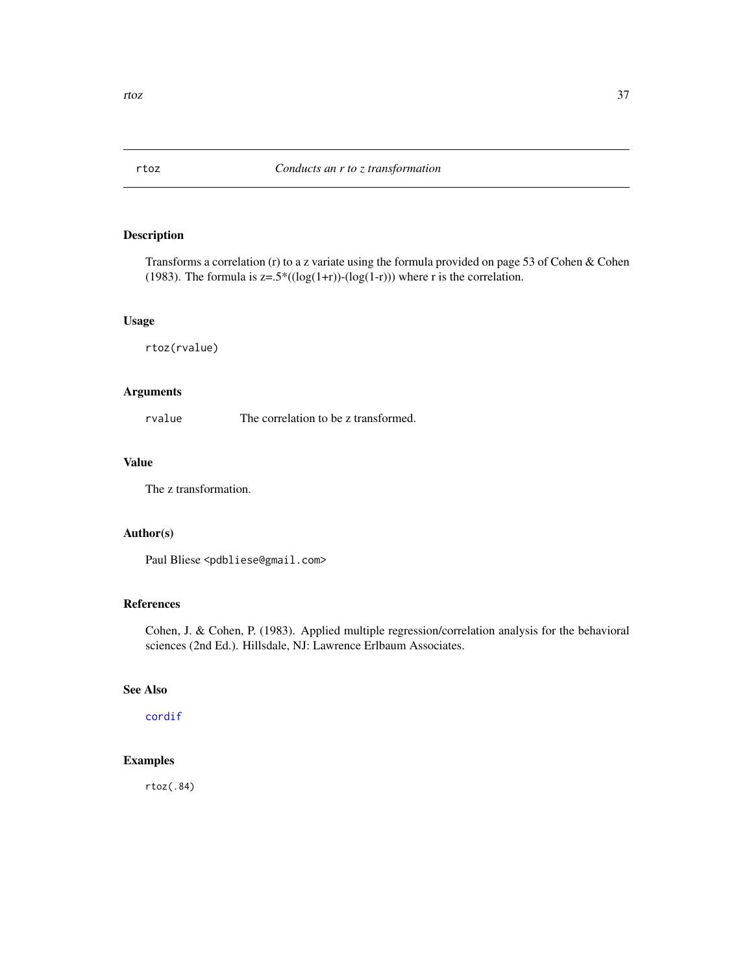<span id="page-36-1"></span><span id="page-36-0"></span>

Transforms a correlation (r) to a z variate using the formula provided on page 53 of Cohen & Cohen (1983). The formula is  $z=0.5*(\log(1+r))-(\log(1-r))$  where r is the correlation.

# Usage

rtoz(rvalue)

# Arguments

rvalue The correlation to be z transformed.

# Value

The z transformation.

# Author(s)

Paul Bliese <pdbliese@gmail.com>

# References

Cohen, J. & Cohen, P. (1983). Applied multiple regression/correlation analysis for the behavioral sciences (2nd Ed.). Hillsdale, NJ: Lawrence Erlbaum Associates.

# See Also

[cordif](#page-10-1)

# Examples

rtoz(.84)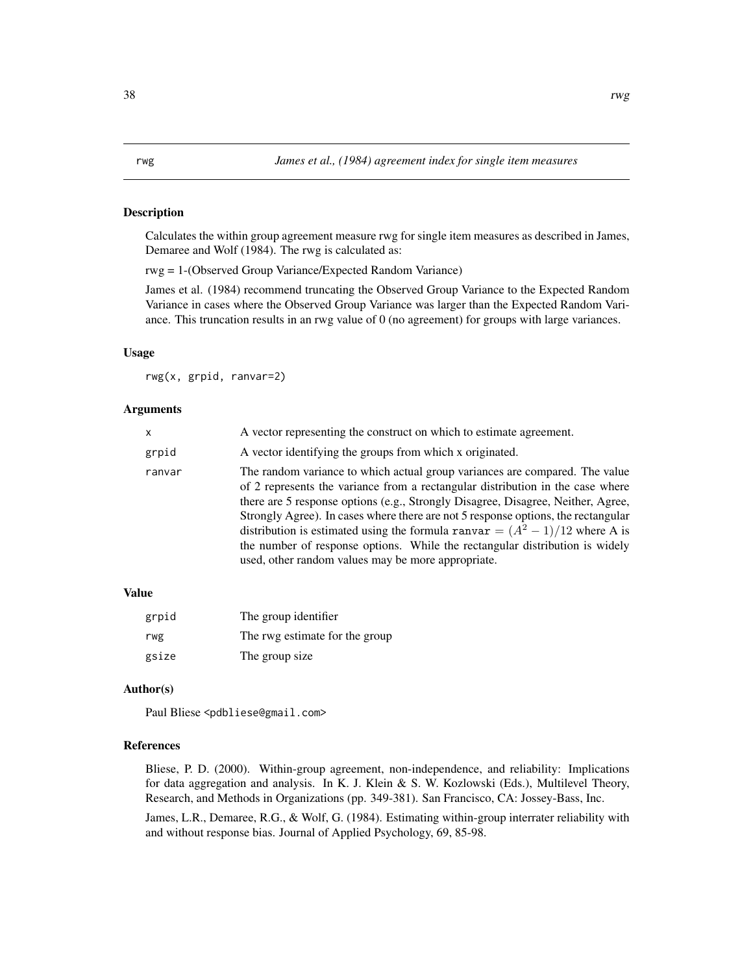<span id="page-37-1"></span><span id="page-37-0"></span>Calculates the within group agreement measure rwg for single item measures as described in James, Demaree and Wolf (1984). The rwg is calculated as:

rwg = 1-(Observed Group Variance/Expected Random Variance)

James et al. (1984) recommend truncating the Observed Group Variance to the Expected Random Variance in cases where the Observed Group Variance was larger than the Expected Random Variance. This truncation results in an rwg value of 0 (no agreement) for groups with large variances.

#### Usage

rwg(x, grpid, ranvar=2)

#### Arguments

| $\mathsf{x}$ | A vector representing the construct on which to estimate agreement.                                                                                                                                                                                                                                                                                                                                                                                                                                                                                            |
|--------------|----------------------------------------------------------------------------------------------------------------------------------------------------------------------------------------------------------------------------------------------------------------------------------------------------------------------------------------------------------------------------------------------------------------------------------------------------------------------------------------------------------------------------------------------------------------|
| grpid        | A vector identifying the groups from which x originated.                                                                                                                                                                                                                                                                                                                                                                                                                                                                                                       |
| ranvar       | The random variance to which actual group variances are compared. The value<br>of 2 represents the variance from a rectangular distribution in the case where<br>there are 5 response options (e.g., Strongly Disagree, Disagree, Neither, Agree,<br>Strongly Agree). In cases where there are not 5 response options, the rectangular<br>distribution is estimated using the formula ranvar = $(A^2 - 1)/12$ where A is<br>the number of response options. While the rectangular distribution is widely<br>used, other random values may be more appropriate. |

# Value

| grpid | The group identifier           |
|-------|--------------------------------|
| rwg   | The rwg estimate for the group |
| gsize | The group size                 |

# Author(s)

Paul Bliese <pdbliese@gmail.com>

#### References

Bliese, P. D. (2000). Within-group agreement, non-independence, and reliability: Implications for data aggregation and analysis. In K. J. Klein & S. W. Kozlowski (Eds.), Multilevel Theory, Research, and Methods in Organizations (pp. 349-381). San Francisco, CA: Jossey-Bass, Inc.

James, L.R., Demaree, R.G., & Wolf, G. (1984). Estimating within-group interrater reliability with and without response bias. Journal of Applied Psychology, 69, 85-98.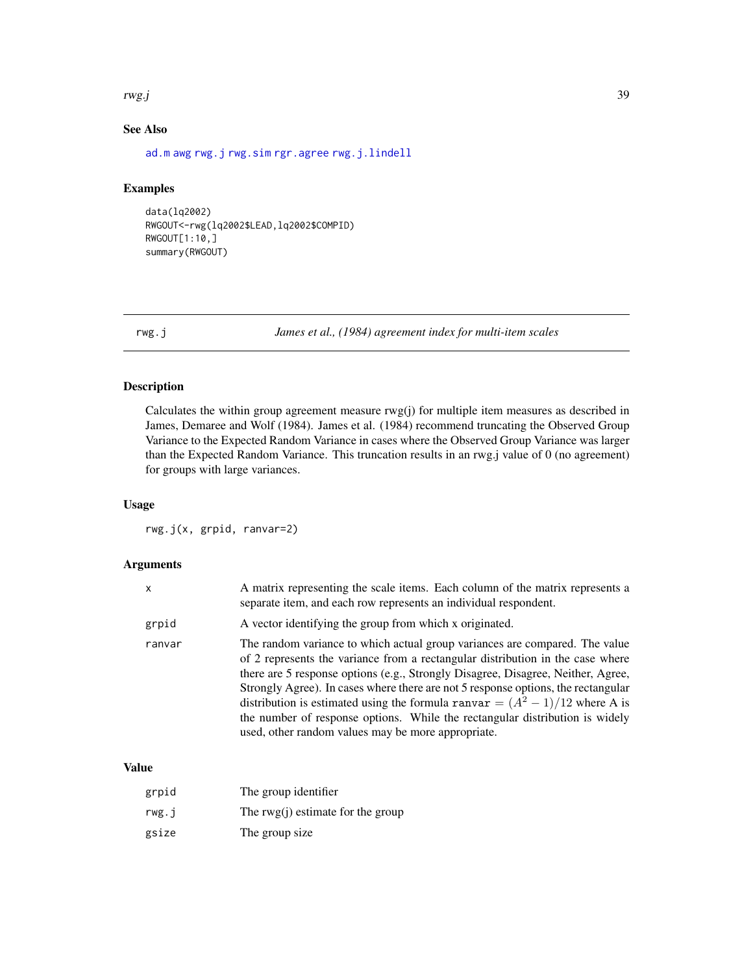#### <span id="page-38-0"></span>rwg.j 39

# See Also

[ad.m](#page-2-1) [awg](#page-5-1) [rwg.j](#page-38-1) [rwg.sim](#page-42-1) [rgr.agree](#page-31-1) [rwg.j.lindell](#page-39-1)

# Examples

```
data(lq2002)
RWGOUT<-rwg(lq2002$LEAD,lq2002$COMPID)
RWGOUT[1:10,]
summary(RWGOUT)
```
<span id="page-38-1"></span>rwg.j *James et al., (1984) agreement index for multi-item scales*

# Description

Calculates the within group agreement measure rwg(j) for multiple item measures as described in James, Demaree and Wolf (1984). James et al. (1984) recommend truncating the Observed Group Variance to the Expected Random Variance in cases where the Observed Group Variance was larger than the Expected Random Variance. This truncation results in an rwg.j value of 0 (no agreement) for groups with large variances.

# Usage

rwg.j(x, grpid, ranvar=2)

#### Arguments

| x      | A matrix representing the scale items. Each column of the matrix represents a<br>separate item, and each row represents an individual respondent.                                                                                                                                                                                                                                                                                                                                                                                                              |
|--------|----------------------------------------------------------------------------------------------------------------------------------------------------------------------------------------------------------------------------------------------------------------------------------------------------------------------------------------------------------------------------------------------------------------------------------------------------------------------------------------------------------------------------------------------------------------|
| grpid  | A vector identifying the group from which x originated.                                                                                                                                                                                                                                                                                                                                                                                                                                                                                                        |
| ranvar | The random variance to which actual group variances are compared. The value<br>of 2 represents the variance from a rectangular distribution in the case where<br>there are 5 response options (e.g., Strongly Disagree, Disagree, Neither, Agree,<br>Strongly Agree). In cases where there are not 5 response options, the rectangular<br>distribution is estimated using the formula ranvar = $(A^2 - 1)/12$ where A is<br>the number of response options. While the rectangular distribution is widely<br>used, other random values may be more appropriate. |

# Value

| grpid | The group identifier                |
|-------|-------------------------------------|
| rwg.i | The $rwg(i)$ estimate for the group |
| gsize | The group size                      |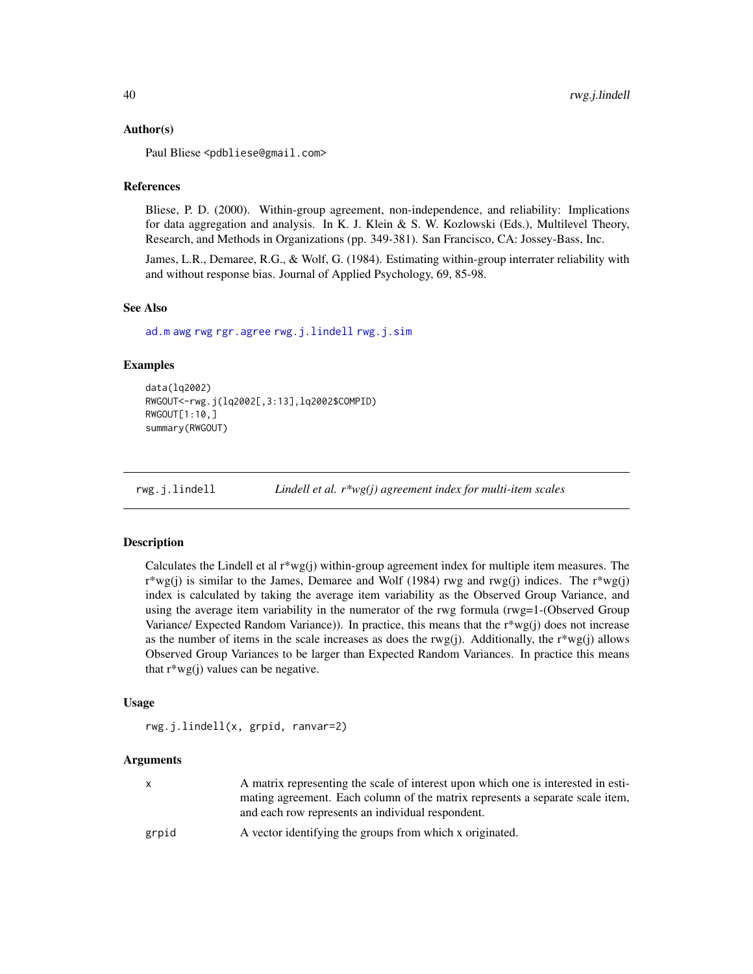#### <span id="page-39-0"></span>Author(s)

Paul Bliese <pdbliese@gmail.com>

#### **References**

Bliese, P. D. (2000). Within-group agreement, non-independence, and reliability: Implications for data aggregation and analysis. In K. J. Klein & S. W. Kozlowski (Eds.), Multilevel Theory, Research, and Methods in Organizations (pp. 349-381). San Francisco, CA: Jossey-Bass, Inc.

James, L.R., Demaree, R.G., & Wolf, G. (1984). Estimating within-group interrater reliability with and without response bias. Journal of Applied Psychology, 69, 85-98.

#### See Also

[ad.m](#page-2-1) [awg](#page-5-1) [rwg](#page-37-1) [rgr.agree](#page-31-1) [rwg.j.lindell](#page-39-1) [rwg.j.sim](#page-40-1)

#### Examples

```
data(lq2002)
RWGOUT<-rwg.j(lq2002[,3:13],lq2002$COMPID)
RWGOUT[1:10,]
summary(RWGOUT)
```
<span id="page-39-1"></span>rwg.j.lindell *Lindell et al. r\*wg(j) agreement index for multi-item scales*

#### Description

Calculates the Lindell et al  $r*wg(j)$  within-group agreement index for multiple item measures. The  $r*wg(j)$  is similar to the James, Demaree and Wolf (1984) rwg and rwg(j) indices. The  $r*wg(j)$ index is calculated by taking the average item variability as the Observed Group Variance, and using the average item variability in the numerator of the rwg formula (rwg=1-(Observed Group Variance/ Expected Random Variance)). In practice, this means that the r\*wg(j) does not increase as the number of items in the scale increases as does the rwg(j). Additionally, the  $r^*wg(i)$  allows Observed Group Variances to be larger than Expected Random Variances. In practice this means that  $r^*wg(i)$  values can be negative.

#### Usage

rwg.j.lindell(x, grpid, ranvar=2)

# Arguments

|       | A matrix representing the scale of interest upon which one is interested in esti-<br>mating agreement. Each column of the matrix represents a separate scale item,<br>and each row represents an individual respondent. |
|-------|-------------------------------------------------------------------------------------------------------------------------------------------------------------------------------------------------------------------------|
| grpid | A vector identifying the groups from which x originated.                                                                                                                                                                |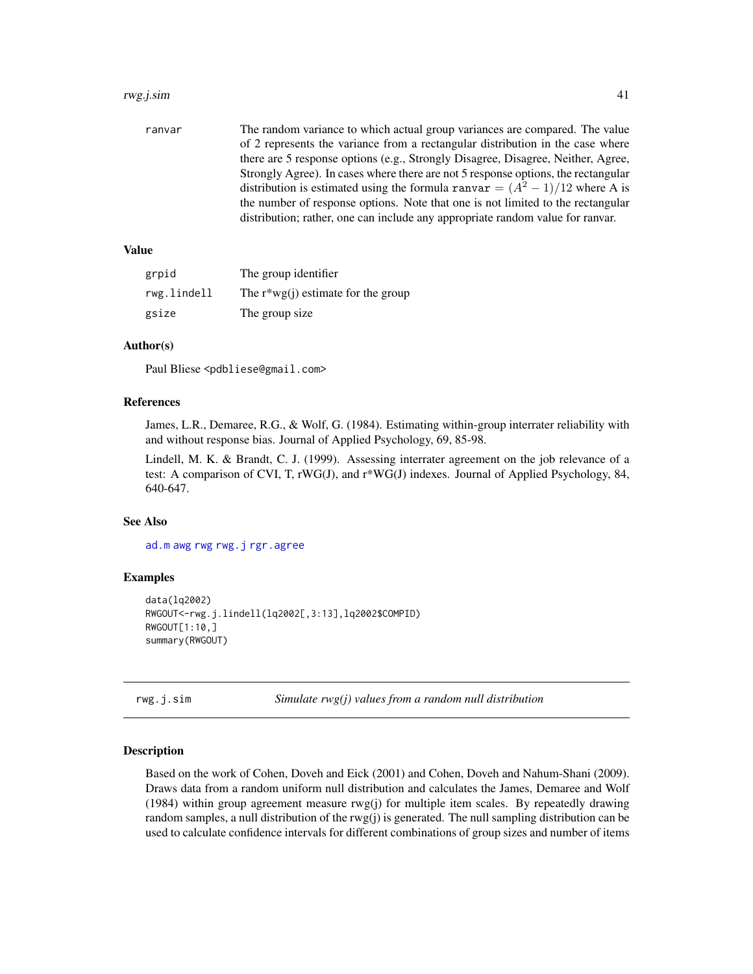#### <span id="page-40-0"></span>rwg.j.sim 41

ranvar The random variance to which actual group variances are compared. The value of 2 represents the variance from a rectangular distribution in the case where there are 5 response options (e.g., Strongly Disagree, Disagree, Neither, Agree, Strongly Agree). In cases where there are not 5 response options, the rectangular distribution is estimated using the formula ranvar =  $(A^{2} - 1)/12$  where A is the number of response options. Note that one is not limited to the rectangular distribution; rather, one can include any appropriate random value for ranvar.

# Value

| grpid       | The group identifier                  |
|-------------|---------------------------------------|
| rwg.lindell | The $r^*wg(j)$ estimate for the group |
| gsize       | The group size                        |

### Author(s)

Paul Bliese <pdbliese@gmail.com>

#### References

James, L.R., Demaree, R.G., & Wolf, G. (1984). Estimating within-group interrater reliability with and without response bias. Journal of Applied Psychology, 69, 85-98.

Lindell, M. K. & Brandt, C. J. (1999). Assessing interrater agreement on the job relevance of a test: A comparison of CVI, T,  $\mathbf{rW}G(J)$ , and  $\mathbf{r*W}G(J)$  indexes. Journal of Applied Psychology, 84, 640-647.

# See Also

[ad.m](#page-2-1) [awg](#page-5-1) [rwg](#page-37-1) [rwg.j](#page-38-1) [rgr.agree](#page-31-1)

#### Examples

```
data(lq2002)
RWGOUT<-rwg.j.lindell(lq2002[,3:13],lq2002$COMPID)
RWGOUT[1:10,]
summary(RWGOUT)
```
<span id="page-40-1"></span>rwg.j.sim *Simulate rwg(j) values from a random null distribution*

#### Description

Based on the work of Cohen, Doveh and Eick (2001) and Cohen, Doveh and Nahum-Shani (2009). Draws data from a random uniform null distribution and calculates the James, Demaree and Wolf (1984) within group agreement measure rwg(j) for multiple item scales. By repeatedly drawing random samples, a null distribution of the rwg(j) is generated. The null sampling distribution can be used to calculate confidence intervals for different combinations of group sizes and number of items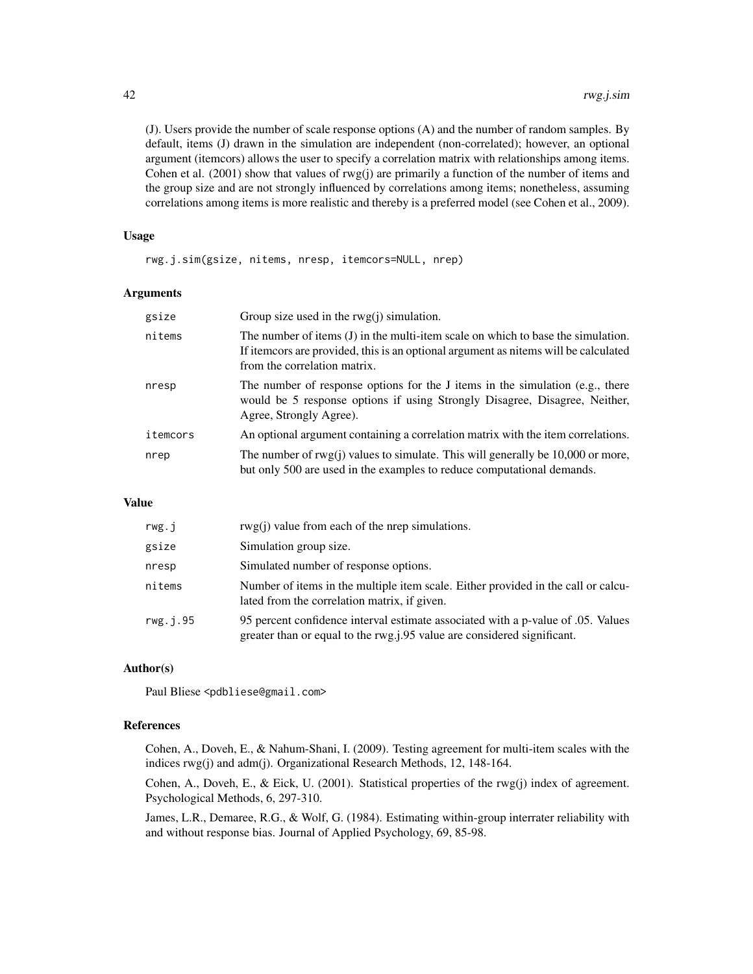(J). Users provide the number of scale response options (A) and the number of random samples. By default, items (J) drawn in the simulation are independent (non-correlated); however, an optional argument (itemcors) allows the user to specify a correlation matrix with relationships among items. Cohen et al.  $(2001)$  show that values of rwg $(i)$  are primarily a function of the number of items and the group size and are not strongly influenced by correlations among items; nonetheless, assuming correlations among items is more realistic and thereby is a preferred model (see Cohen et al., 2009).

#### Usage

rwg.j.sim(gsize, nitems, nresp, itemcors=NULL, nrep)

#### Arguments

| gsize    | Group size used in the $rwg(j)$ simulation.                                                                                                                                                             |
|----------|---------------------------------------------------------------------------------------------------------------------------------------------------------------------------------------------------------|
| nitems   | The number of items (J) in the multi-item scale on which to base the simulation.<br>If item ors are provided, this is an optional argument as nitems will be calculated<br>from the correlation matrix. |
| nresp    | The number of response options for the J items in the simulation (e.g., there<br>would be 5 response options if using Strongly Disagree, Disagree, Neither,<br>Agree, Strongly Agree).                  |
| itemcors | An optional argument containing a correlation matrix with the item correlations.                                                                                                                        |
| nrep     | The number of $rwg(j)$ values to simulate. This will generally be 10,000 or more,<br>but only 500 are used in the examples to reduce computational demands.                                             |

#### Value

| rwg. j   | $rwg(i)$ value from each of the nrep simulations.                                                                                                            |
|----------|--------------------------------------------------------------------------------------------------------------------------------------------------------------|
| gsize    | Simulation group size.                                                                                                                                       |
| nresp    | Simulated number of response options.                                                                                                                        |
| nitems   | Number of items in the multiple item scale. Either provided in the call or calcu-<br>lated from the correlation matrix, if given.                            |
| rwg.i.95 | 95 percent confidence interval estimate associated with a p-value of 0.05. Values<br>greater than or equal to the rwg.j.95 value are considered significant. |

#### Author(s)

Paul Bliese <pdbliese@gmail.com>

#### References

Cohen, A., Doveh, E., & Nahum-Shani, I. (2009). Testing agreement for multi-item scales with the indices rwg(j) and adm(j). Organizational Research Methods, 12, 148-164.

Cohen, A., Doveh, E., & Eick, U. (2001). Statistical properties of the rwg(j) index of agreement. Psychological Methods, 6, 297-310.

James, L.R., Demaree, R.G., & Wolf, G. (1984). Estimating within-group interrater reliability with and without response bias. Journal of Applied Psychology, 69, 85-98.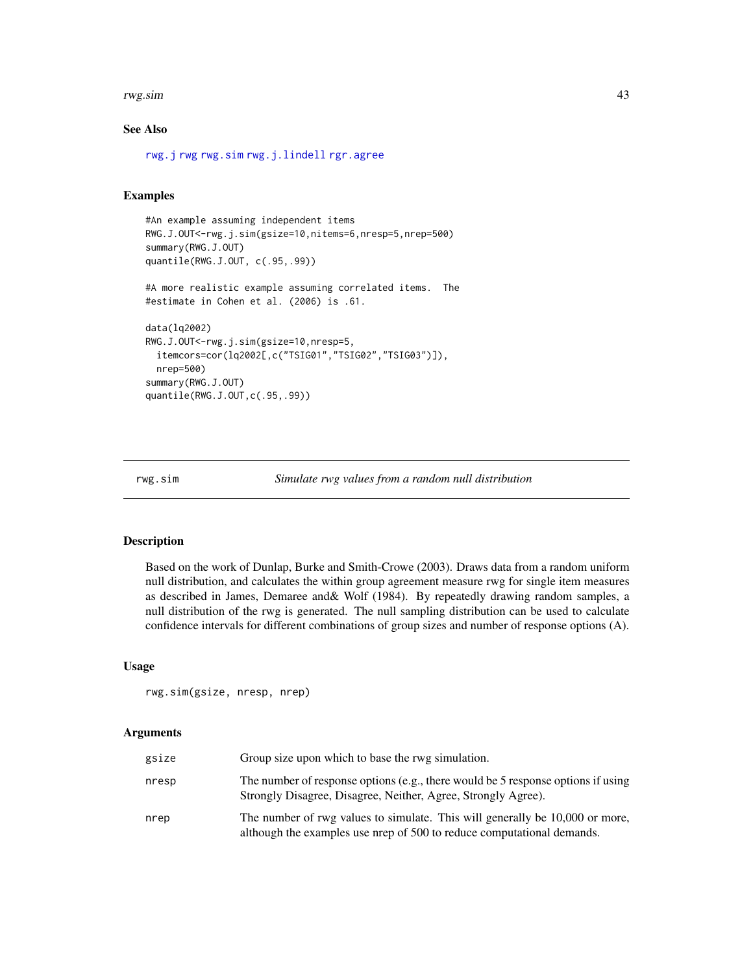#### <span id="page-42-0"></span>rwg.sim 43

#### See Also

```
rwg.j rwg rwg.sim rwg.j.lindell rgr.agree
```
# Examples

```
#An example assuming independent items
RWG.J.OUT<-rwg.j.sim(gsize=10,nitems=6,nresp=5,nrep=500)
summary(RWG.J.OUT)
quantile(RWG.J.OUT, c(.95,.99))
#A more realistic example assuming correlated items. The
#estimate in Cohen et al. (2006) is .61.
data(lq2002)
RWG.J.OUT<-rwg.j.sim(gsize=10,nresp=5,
 itemcors=cor(lq2002[,c("TSIG01","TSIG02","TSIG03")]),
 nrep=500)
summary(RWG.J.OUT)
quantile(RWG.J.OUT,c(.95,.99))
```

```
rwg.sim Simulate rwg values from a random null distribution
```
# Description

Based on the work of Dunlap, Burke and Smith-Crowe (2003). Draws data from a random uniform null distribution, and calculates the within group agreement measure rwg for single item measures as described in James, Demaree and& Wolf (1984). By repeatedly drawing random samples, a null distribution of the rwg is generated. The null sampling distribution can be used to calculate confidence intervals for different combinations of group sizes and number of response options (A).

### Usage

rwg.sim(gsize, nresp, nrep)

#### Arguments

| gsize | Group size upon which to base the rwg simulation.                                                                                                      |
|-------|--------------------------------------------------------------------------------------------------------------------------------------------------------|
| nresp | The number of response options (e.g., there would be 5 response options if using<br>Strongly Disagree, Disagree, Neither, Agree, Strongly Agree).      |
| nrep  | The number of rwg values to simulate. This will generally be 10,000 or more,<br>although the examples use nrep of 500 to reduce computational demands. |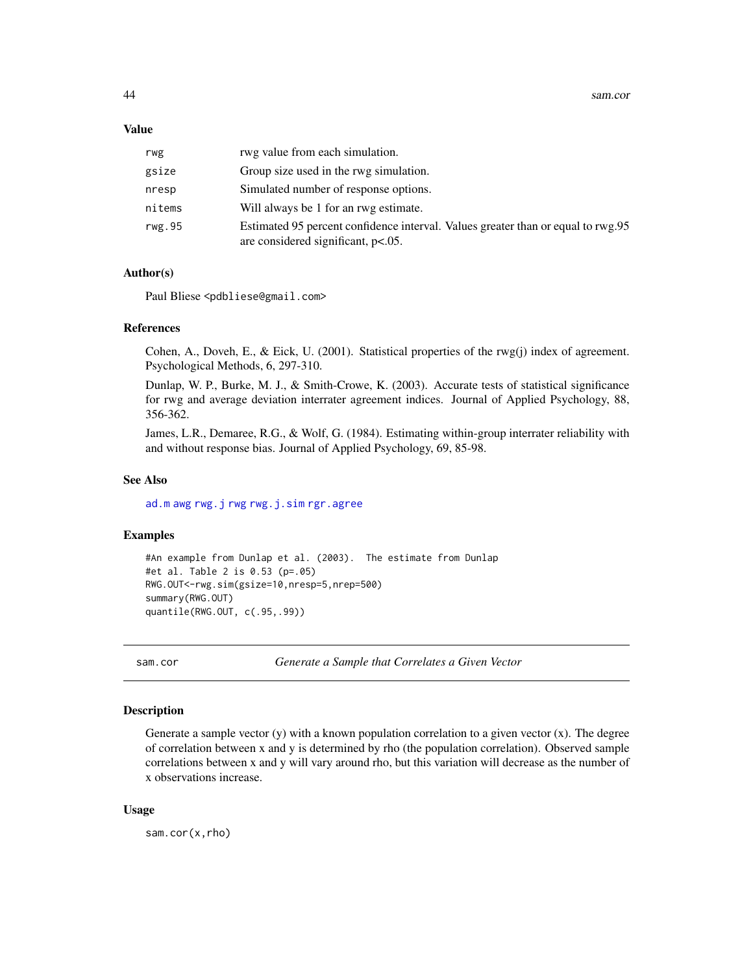#### <span id="page-43-0"></span>Value

| rwg    | rwg value from each simulation.                                                                                           |
|--------|---------------------------------------------------------------------------------------------------------------------------|
| gsize  | Group size used in the rwg simulation.                                                                                    |
| nresp  | Simulated number of response options.                                                                                     |
| nitems | Will always be 1 for an rwg estimate.                                                                                     |
| rwg.95 | Estimated 95 percent confidence interval. Values greater than or equal to rwg.95<br>are considered significant, $p<.05$ . |

#### Author(s)

Paul Bliese <pdbliese@gmail.com>

#### References

Cohen, A., Doveh, E., & Eick, U. (2001). Statistical properties of the rwg(j) index of agreement. Psychological Methods, 6, 297-310.

Dunlap, W. P., Burke, M. J., & Smith-Crowe, K. (2003). Accurate tests of statistical significance for rwg and average deviation interrater agreement indices. Journal of Applied Psychology, 88, 356-362.

James, L.R., Demaree, R.G., & Wolf, G. (1984). Estimating within-group interrater reliability with and without response bias. Journal of Applied Psychology, 69, 85-98.

#### See Also

[ad.m](#page-2-1) [awg](#page-5-1) [rwg.j](#page-38-1) [rwg](#page-37-1) [rwg.j.sim](#page-40-1) [rgr.agree](#page-31-1)

#### Examples

```
#An example from Dunlap et al. (2003). The estimate from Dunlap
#et al. Table 2 is 0.53 (p=.05)
RWG.OUT<-rwg.sim(gsize=10,nresp=5,nrep=500)
summary(RWG.OUT)
quantile(RWG.OUT, c(.95,.99))
```
sam.cor *Generate a Sample that Correlates a Given Vector*

### Description

Generate a sample vector  $(y)$  with a known population correlation to a given vector  $(x)$ . The degree of correlation between x and y is determined by rho (the population correlation). Observed sample correlations between x and y will vary around rho, but this variation will decrease as the number of x observations increase.

#### Usage

sam.cor(x,rho)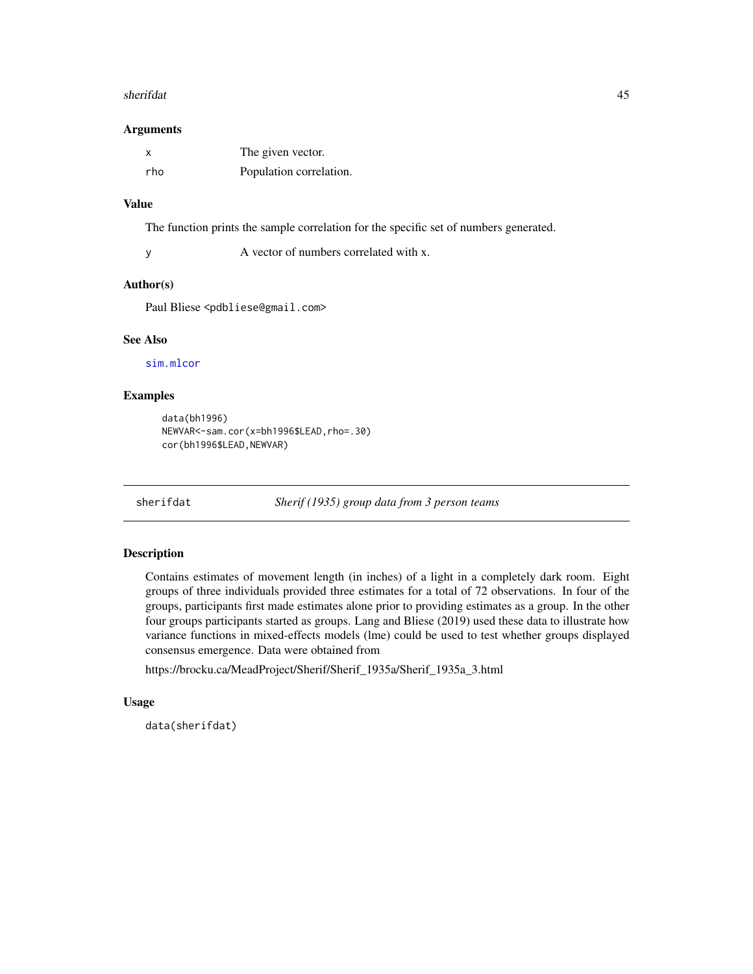#### <span id="page-44-0"></span>sherifdat 45

#### **Arguments**

|     | The given vector.       |
|-----|-------------------------|
| rho | Population correlation. |

# Value

The function prints the sample correlation for the specific set of numbers generated.

y A vector of numbers correlated with x.

#### Author(s)

Paul Bliese <pdbliese@gmail.com>

#### See Also

[sim.mlcor](#page-47-1)

#### Examples

```
data(bh1996)
NEWVAR<-sam.cor(x=bh1996$LEAD,rho=.30)
cor(bh1996$LEAD, NEWVAR)
```
sherifdat *Sherif (1935) group data from 3 person teams*

# Description

Contains estimates of movement length (in inches) of a light in a completely dark room. Eight groups of three individuals provided three estimates for a total of 72 observations. In four of the groups, participants first made estimates alone prior to providing estimates as a group. In the other four groups participants started as groups. Lang and Bliese (2019) used these data to illustrate how variance functions in mixed-effects models (lme) could be used to test whether groups displayed consensus emergence. Data were obtained from

https://brocku.ca/MeadProject/Sherif/Sherif\_1935a/Sherif\_1935a\_3.html

# Usage

data(sherifdat)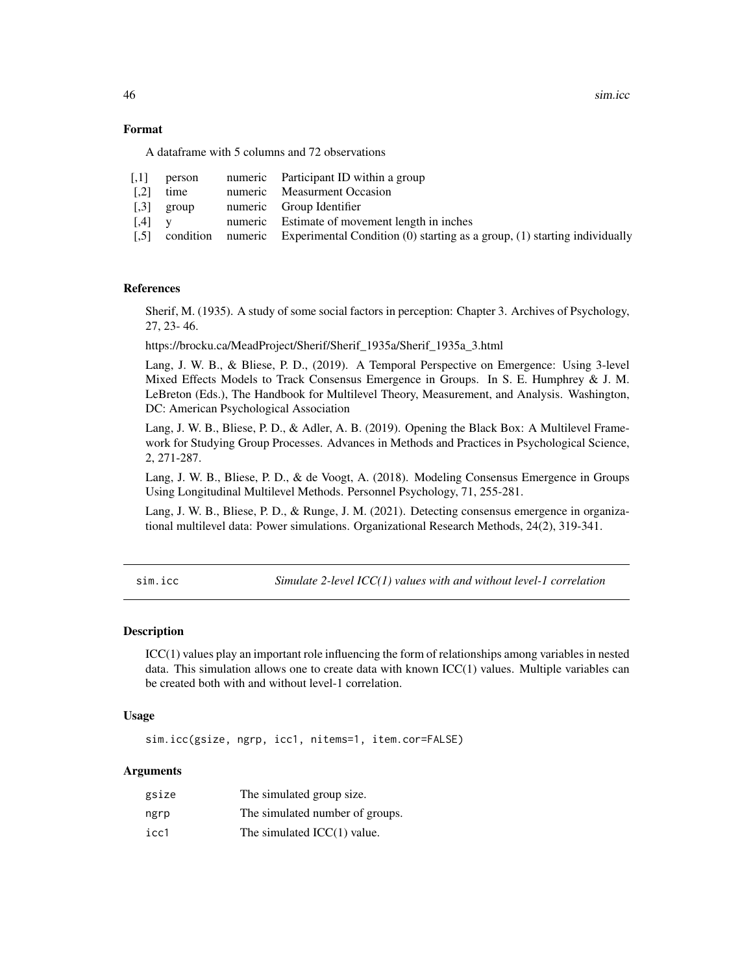46 sim.icc

# Format

A dataframe with 5 columns and 72 observations

| person |                                                    | numeric Participant ID within a group                                                           |
|--------|----------------------------------------------------|-------------------------------------------------------------------------------------------------|
| time   |                                                    | numeric Measurment Occasion                                                                     |
|        |                                                    | numeric Group Identifier                                                                        |
|        |                                                    | numeric Estimate of movement length in inches                                                   |
|        |                                                    | condition numeric Experimental Condition $(0)$ starting as a group, $(1)$ starting individually |
|        | $\lceil 0.3 \rceil$ group<br>$\left[ .4 \right]$ y |                                                                                                 |

#### References

Sherif, M. (1935). A study of some social factors in perception: Chapter 3. Archives of Psychology, 27, 23- 46.

https://brocku.ca/MeadProject/Sherif/Sherif\_1935a/Sherif\_1935a\_3.html

Lang, J. W. B., & Bliese, P. D., (2019). A Temporal Perspective on Emergence: Using 3-level Mixed Effects Models to Track Consensus Emergence in Groups. In S. E. Humphrey & J. M. LeBreton (Eds.), The Handbook for Multilevel Theory, Measurement, and Analysis. Washington, DC: American Psychological Association

Lang, J. W. B., Bliese, P. D., & Adler, A. B. (2019). Opening the Black Box: A Multilevel Framework for Studying Group Processes. Advances in Methods and Practices in Psychological Science, 2, 271-287.

Lang, J. W. B., Bliese, P. D., & de Voogt, A. (2018). Modeling Consensus Emergence in Groups Using Longitudinal Multilevel Methods. Personnel Psychology, 71, 255-281.

Lang, J. W. B., Bliese, P. D., & Runge, J. M. (2021). Detecting consensus emergence in organizational multilevel data: Power simulations. Organizational Research Methods, 24(2), 319-341.

<span id="page-45-1"></span>sim.icc *Simulate 2-level ICC(1) values with and without level-1 correlation*

#### Description

ICC(1) values play an important role influencing the form of relationships among variables in nested data. This simulation allows one to create data with known  $ICC(1)$  values. Multiple variables can be created both with and without level-1 correlation.

#### Usage

sim.icc(gsize, ngrp, icc1, nitems=1, item.cor=FALSE)

### Arguments

| gsize | The simulated group size.       |
|-------|---------------------------------|
| ngrp  | The simulated number of groups. |
| icc1  | The simulated $ICC(1)$ value.   |

<span id="page-45-0"></span>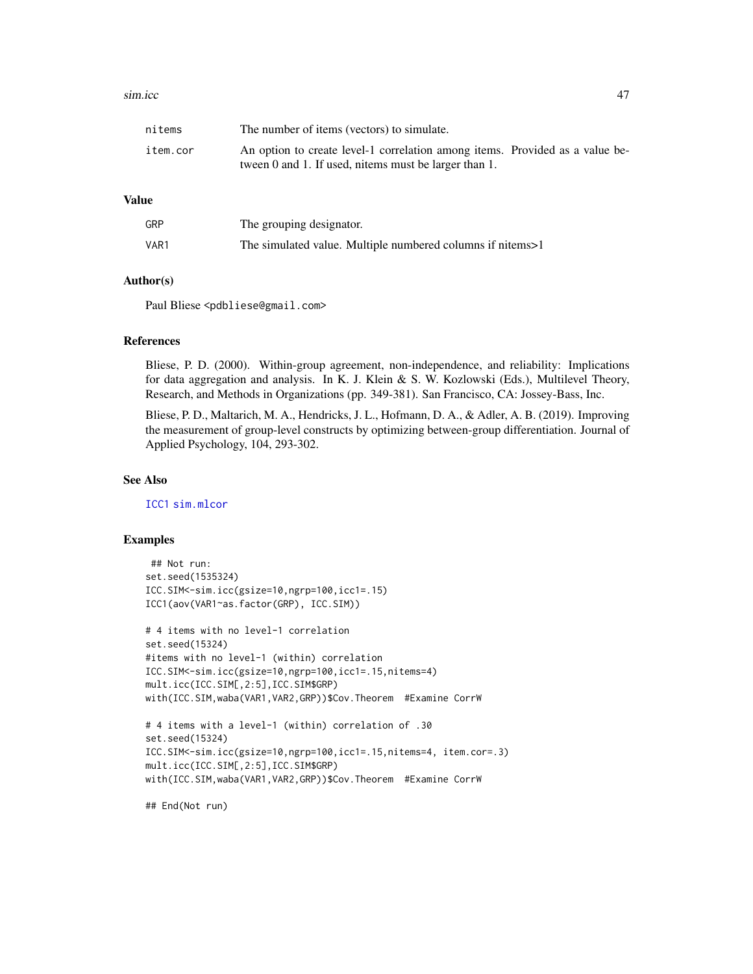#### <span id="page-46-0"></span>sim.icc **47**

| nitems   | The number of items (vectors) to simulate.                                   |  |
|----------|------------------------------------------------------------------------------|--|
| item.cor | An option to create level-1 correlation among items. Provided as a value be- |  |
|          | tween 0 and 1. If used, nitems must be larger than 1.                        |  |

#### Value

| GRP  | The grouping designator.                                   |
|------|------------------------------------------------------------|
| VAR1 | The simulated value. Multiple numbered columns if nitems>1 |

# Author(s)

Paul Bliese <pdbliese@gmail.com>

#### References

Bliese, P. D. (2000). Within-group agreement, non-independence, and reliability: Implications for data aggregation and analysis. In K. J. Klein & S. W. Kozlowski (Eds.), Multilevel Theory, Research, and Methods in Organizations (pp. 349-381). San Francisco, CA: Jossey-Bass, Inc.

Bliese, P. D., Maltarich, M. A., Hendricks, J. L., Hofmann, D. A., & Adler, A. B. (2019). Improving the measurement of group-level constructs by optimizing between-group differentiation. Journal of Applied Psychology, 104, 293-302.

#### See Also

[ICC1](#page-17-1) [sim.mlcor](#page-47-1)

#### Examples

```
## Not run:
set.seed(1535324)
ICC.SIM<-sim.icc(gsize=10,ngrp=100,icc1=.15)
ICC1(aov(VAR1~as.factor(GRP), ICC.SIM))
# 4 items with no level-1 correlation
set.seed(15324)
#items with no level-1 (within) correlation
ICC.SIM<-sim.icc(gsize=10,ngrp=100,icc1=.15,nitems=4)
mult.icc(ICC.SIM[,2:5],ICC.SIM$GRP)
with(ICC.SIM,waba(VAR1,VAR2,GRP))$Cov.Theorem #Examine CorrW
# 4 items with a level-1 (within) correlation of .30
set.seed(15324)
ICC.SIM<-sim.icc(gsize=10,ngrp=100,icc1=.15,nitems=4, item.cor=.3)
mult.icc(ICC.SIM[,2:5],ICC.SIM$GRP)
with(ICC.SIM,waba(VAR1,VAR2,GRP))$Cov.Theorem #Examine CorrW
```
## End(Not run)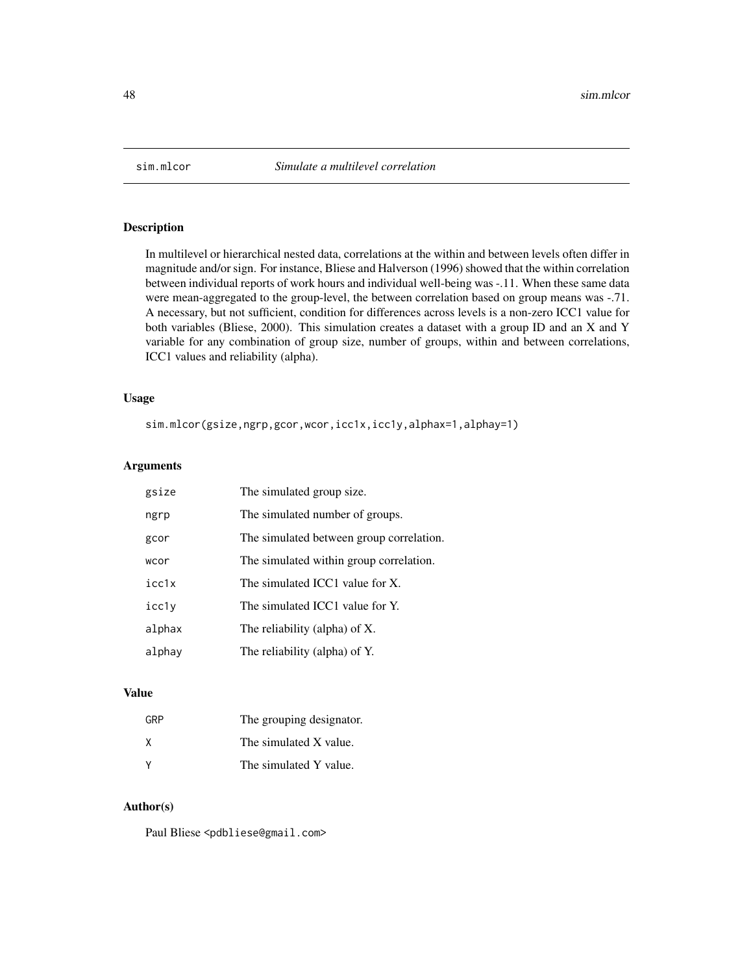<span id="page-47-1"></span><span id="page-47-0"></span>

In multilevel or hierarchical nested data, correlations at the within and between levels often differ in magnitude and/or sign. For instance, Bliese and Halverson (1996) showed that the within correlation between individual reports of work hours and individual well-being was -.11. When these same data were mean-aggregated to the group-level, the between correlation based on group means was -.71. A necessary, but not sufficient, condition for differences across levels is a non-zero ICC1 value for both variables (Bliese, 2000). This simulation creates a dataset with a group ID and an X and Y variable for any combination of group size, number of groups, within and between correlations, ICC1 values and reliability (alpha).

# Usage

sim.mlcor(gsize,ngrp,gcor,wcor,icc1x,icc1y,alphax=1,alphay=1)

# Arguments

| gsize  | The simulated group size.                |
|--------|------------------------------------------|
| ngrp   | The simulated number of groups.          |
| gcor   | The simulated between group correlation. |
| wcor   | The simulated within group correlation.  |
| icc1x  | The simulated ICC1 value for X.          |
| icc1y  | The simulated ICC1 value for Y.          |
| alphax | The reliability (alpha) of X.            |
| alphay | The reliability (alpha) of Y.            |

# Value

| GRP | The grouping designator. |
|-----|--------------------------|
| X   | The simulated X value.   |
|     | The simulated Y value.   |

# Author(s)

Paul Bliese <pdbliese@gmail.com>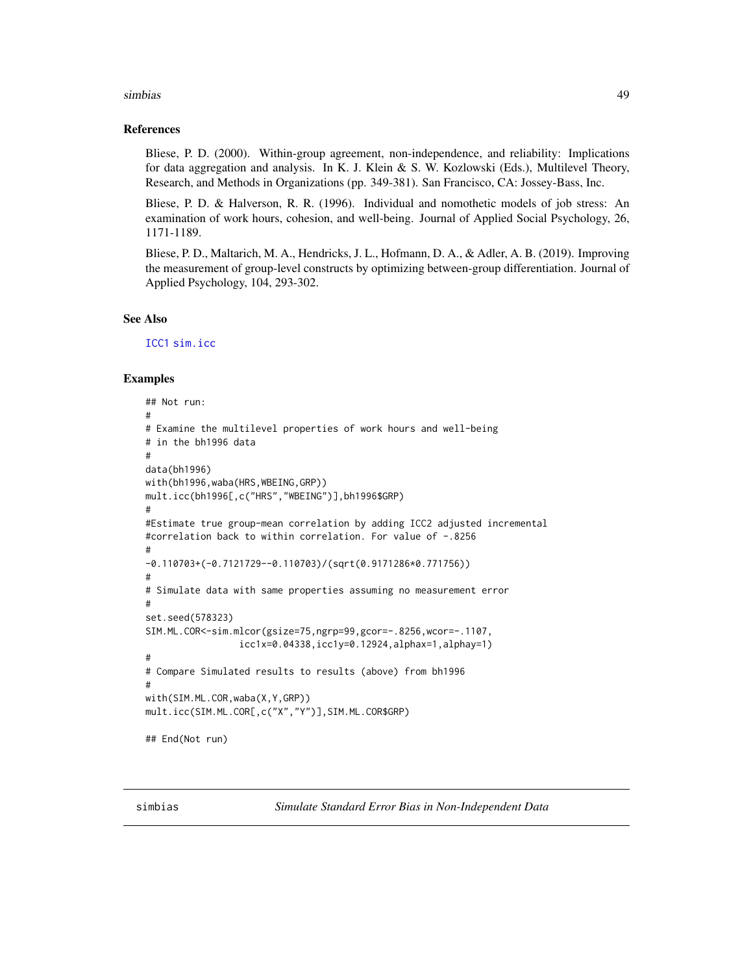#### <span id="page-48-0"></span>simbias 49

#### References

Bliese, P. D. (2000). Within-group agreement, non-independence, and reliability: Implications for data aggregation and analysis. In K. J. Klein & S. W. Kozlowski (Eds.), Multilevel Theory, Research, and Methods in Organizations (pp. 349-381). San Francisco, CA: Jossey-Bass, Inc.

Bliese, P. D. & Halverson, R. R. (1996). Individual and nomothetic models of job stress: An examination of work hours, cohesion, and well-being. Journal of Applied Social Psychology, 26, 1171-1189.

Bliese, P. D., Maltarich, M. A., Hendricks, J. L., Hofmann, D. A., & Adler, A. B. (2019). Improving the measurement of group-level constructs by optimizing between-group differentiation. Journal of Applied Psychology, 104, 293-302.

# See Also

[ICC1](#page-17-1) [sim.icc](#page-45-1)

#### Examples

```
## Not run:
#
# Examine the multilevel properties of work hours and well-being
# in the bh1996 data
#
data(bh1996)
with(bh1996,waba(HRS,WBEING,GRP))
mult.icc(bh1996[,c("HRS","WBEING")],bh1996$GRP)
#
#Estimate true group-mean correlation by adding ICC2 adjusted incremental
#correlation back to within correlation. For value of -.8256
#
-0.110703+(-0.7121729--0.110703)/(sqrt(0.9171286*0.771756))
#
# Simulate data with same properties assuming no measurement error
#
set.seed(578323)
SIM.ML.COR<-sim.mlcor(gsize=75,ngrp=99,gcor=-.8256,wcor=-.1107,
                 icc1x=0.04338,icc1y=0.12924,alphax=1,alphay=1)
#
# Compare Simulated results to results (above) from bh1996
#
with(SIM.ML.COR,waba(X,Y,GRP))
mult.icc(SIM.ML.COR[,c("X","Y")],SIM.ML.COR$GRP)
## End(Not run)
```
simbias *Simulate Standard Error Bias in Non-Independent Data*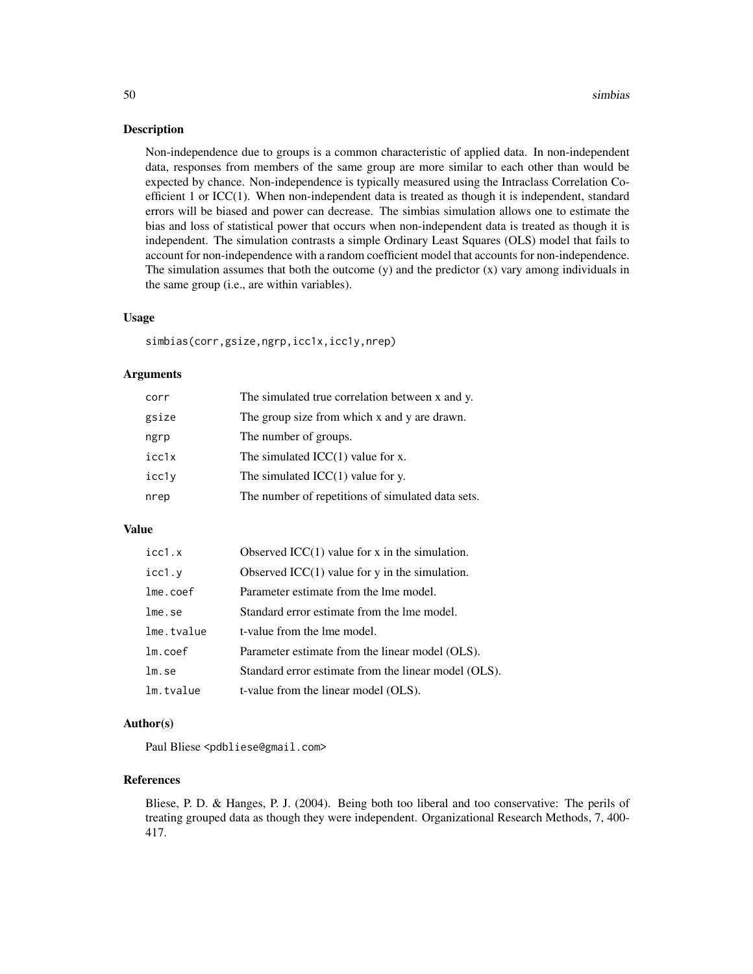Non-independence due to groups is a common characteristic of applied data. In non-independent data, responses from members of the same group are more similar to each other than would be expected by chance. Non-independence is typically measured using the Intraclass Correlation Coefficient 1 or ICC(1). When non-independent data is treated as though it is independent, standard errors will be biased and power can decrease. The simbias simulation allows one to estimate the bias and loss of statistical power that occurs when non-independent data is treated as though it is independent. The simulation contrasts a simple Ordinary Least Squares (OLS) model that fails to account for non-independence with a random coefficient model that accounts for non-independence. The simulation assumes that both the outcome  $(y)$  and the predictor  $(x)$  vary among individuals in the same group (i.e., are within variables).

#### Usage

simbias(corr,gsize,ngrp,icc1x,icc1y,nrep)

#### Arguments

| corr  | The simulated true correlation between x and y.   |
|-------|---------------------------------------------------|
| gsize | The group size from which x and y are drawn.      |
| ngrp  | The number of groups.                             |
| icc1x | The simulated $ICC(1)$ value for x.               |
| icc1y | The simulated $ICC(1)$ value for y.               |
| nrep  | The number of repetitions of simulated data sets. |

#### Value

| icc1.x     | Observed $ICC(1)$ value for x in the simulation.     |
|------------|------------------------------------------------------|
| icc1.y     | Observed $ICC(1)$ value for y in the simulation.     |
| lme.coef   | Parameter estimate from the lme model.               |
| lme.se     | Standard error estimate from the lme model.          |
| lme.tvalue | t-value from the lme model.                          |
| $lm.c$ oef | Parameter estimate from the linear model (OLS).      |
| lm.se      | Standard error estimate from the linear model (OLS). |
| lm.tvalue  | t-value from the linear model (OLS).                 |

#### Author(s)

Paul Bliese <pdbliese@gmail.com>

# References

Bliese, P. D. & Hanges, P. J. (2004). Being both too liberal and too conservative: The perils of treating grouped data as though they were independent. Organizational Research Methods, 7, 400- 417.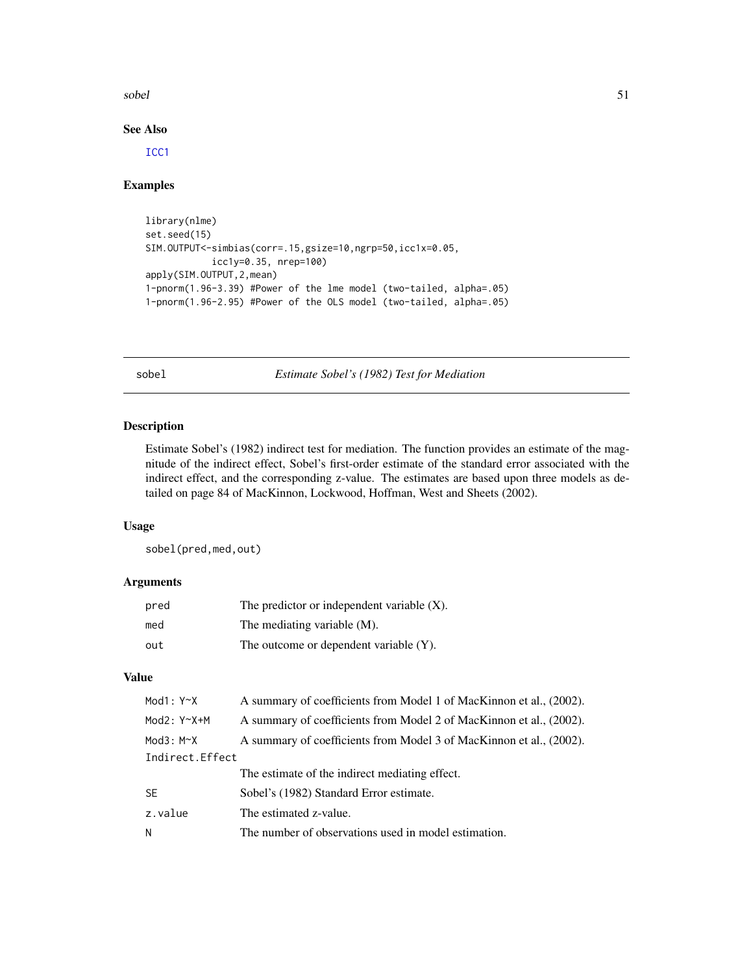<span id="page-50-0"></span>sobel 51

# See Also

[ICC1](#page-17-1)

#### Examples

```
library(nlme)
set.seed(15)
SIM.OUTPUT<-simbias(corr=.15,gsize=10,ngrp=50,icc1x=0.05,
            icc1y=0.35, nrep=100)
apply(SIM.OUTPUT,2,mean)
1-pnorm(1.96-3.39) #Power of the lme model (two-tailed, alpha=.05)
1-pnorm(1.96-2.95) #Power of the OLS model (two-tailed, alpha=.05)
```
sobel *Estimate Sobel's (1982) Test for Mediation*

# Description

Estimate Sobel's (1982) indirect test for mediation. The function provides an estimate of the magnitude of the indirect effect, Sobel's first-order estimate of the standard error associated with the indirect effect, and the corresponding z-value. The estimates are based upon three models as detailed on page 84 of MacKinnon, Lockwood, Hoffman, West and Sheets (2002).

# Usage

sobel(pred,med,out)

# Arguments

| pred | The predictor or independent variable $(X)$ . |
|------|-----------------------------------------------|
| med  | The mediating variable (M).                   |
| out  | The outcome or dependent variable (Y).        |

# Value

| Mod $1: Y^{\sim}X$ | A summary of coefficients from Model 1 of MacKinnon et al., (2002). |
|--------------------|---------------------------------------------------------------------|
| $Mod2: Y^X+M$      | A summary of coefficients from Model 2 of MacKinnon et al., (2002). |
| Mod $3: M \sim X$  | A summary of coefficients from Model 3 of MacKinnon et al., (2002). |
| Indirect. Effect   |                                                                     |
|                    | The estimate of the indirect mediating effect.                      |
| <b>SE</b>          | Sobel's (1982) Standard Error estimate.                             |
| z.value            | The estimated z-value.                                              |
| N                  | The number of observations used in model estimation.                |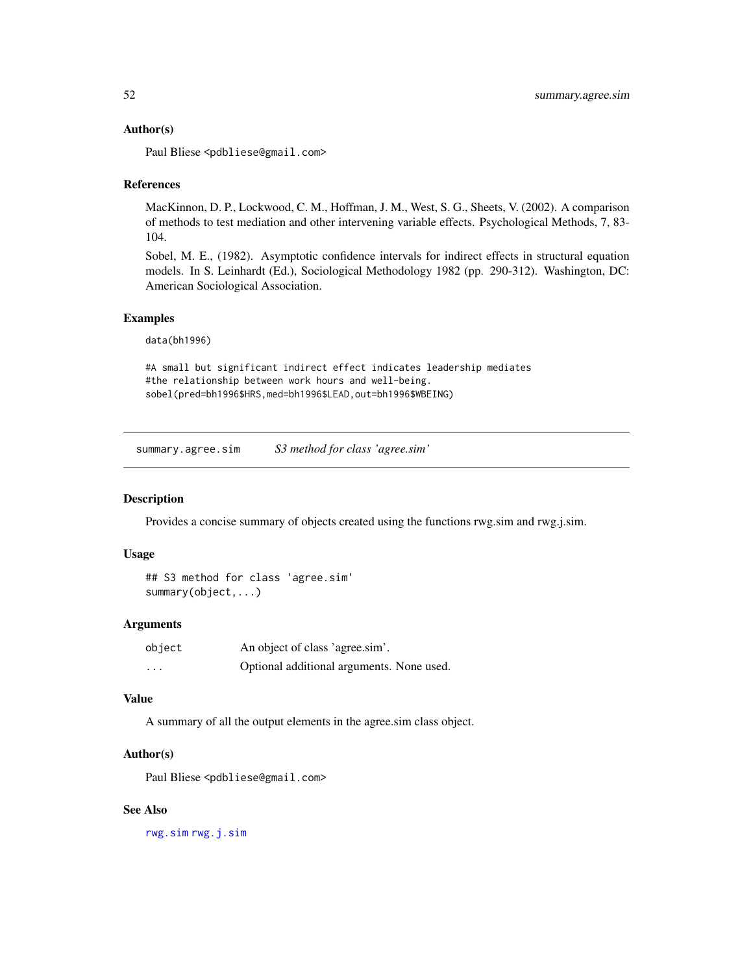#### <span id="page-51-0"></span>Author(s)

Paul Bliese <pdbliese@gmail.com>

#### References

MacKinnon, D. P., Lockwood, C. M., Hoffman, J. M., West, S. G., Sheets, V. (2002). A comparison of methods to test mediation and other intervening variable effects. Psychological Methods, 7, 83- 104.

Sobel, M. E., (1982). Asymptotic confidence intervals for indirect effects in structural equation models. In S. Leinhardt (Ed.), Sociological Methodology 1982 (pp. 290-312). Washington, DC: American Sociological Association.

#### Examples

data(bh1996)

#A small but significant indirect effect indicates leadership mediates #the relationship between work hours and well-being. sobel(pred=bh1996\$HRS,med=bh1996\$LEAD,out=bh1996\$WBEING)

summary.agree.sim *S3 method for class 'agree.sim'*

#### Description

Provides a concise summary of objects created using the functions rwg.sim and rwg.j.sim.

# Usage

```
## S3 method for class 'agree.sim'
summary(object,...)
```
#### **Arguments**

| object   | An object of class 'agree.sim'.           |
|----------|-------------------------------------------|
| $\cdots$ | Optional additional arguments. None used. |

# Value

A summary of all the output elements in the agree.sim class object.

#### Author(s)

Paul Bliese <pdbliese@gmail.com>

#### See Also

[rwg.sim](#page-42-1) [rwg.j.sim](#page-40-1)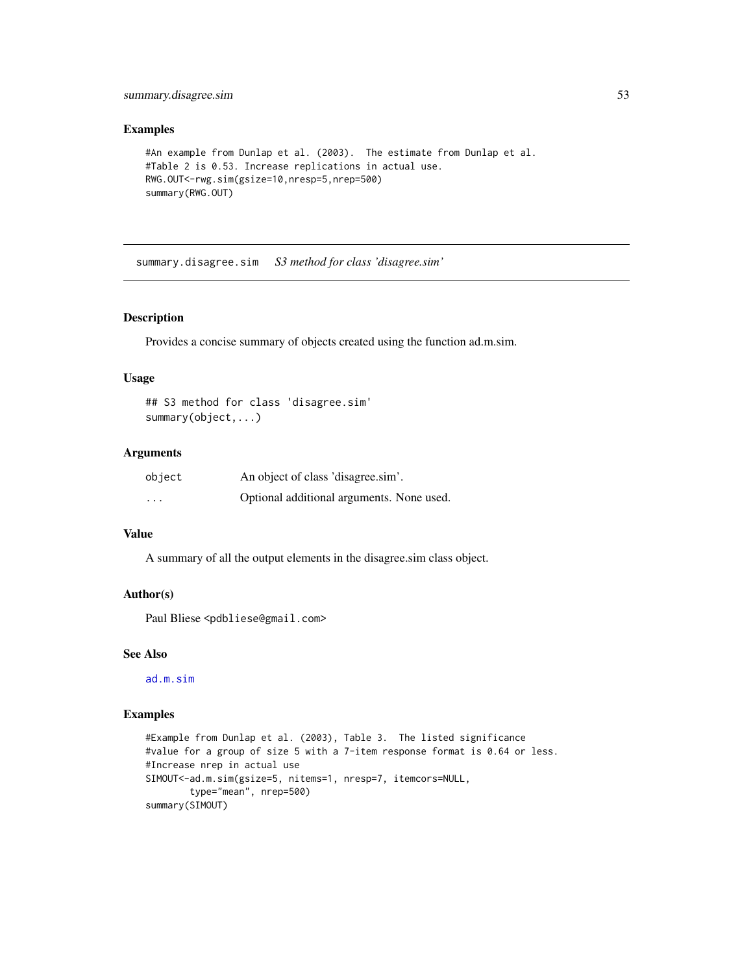# <span id="page-52-0"></span>summary.disagree.sim 53

#### Examples

```
#An example from Dunlap et al. (2003). The estimate from Dunlap et al.
#Table 2 is 0.53. Increase replications in actual use.
RWG.OUT<-rwg.sim(gsize=10,nresp=5,nrep=500)
summary(RWG.OUT)
```
summary.disagree.sim *S3 method for class 'disagree.sim'*

# Description

Provides a concise summary of objects created using the function ad.m.sim.

# Usage

```
## S3 method for class 'disagree.sim'
summary(object,...)
```
# Arguments

| object                  | An object of class 'disagree.sim'.        |
|-------------------------|-------------------------------------------|
| $\cdot$ $\cdot$ $\cdot$ | Optional additional arguments. None used. |

# Value

A summary of all the output elements in the disagree.sim class object.

#### Author(s)

Paul Bliese <pdbliese@gmail.com>

# See Also

[ad.m.sim](#page-3-1)

# Examples

```
#Example from Dunlap et al. (2003), Table 3. The listed significance
#value for a group of size 5 with a 7-item response format is 0.64 or less.
#Increase nrep in actual use
SIMOUT<-ad.m.sim(gsize=5, nitems=1, nresp=7, itemcors=NULL,
       type="mean", nrep=500)
summary(SIMOUT)
```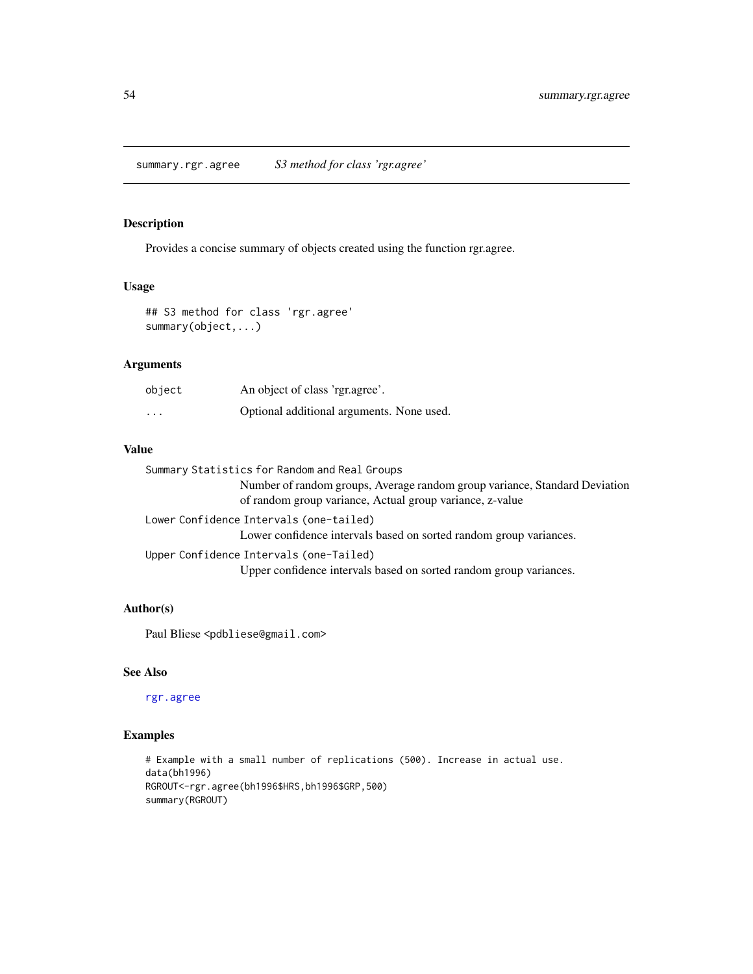<span id="page-53-0"></span>Provides a concise summary of objects created using the function rgr.agree.

# Usage

```
## S3 method for class 'rgr.agree'
summary(object,...)
```
# Arguments

| object                  | An object of class 'rgr.agree'.           |
|-------------------------|-------------------------------------------|
| $\cdot$ $\cdot$ $\cdot$ | Optional additional arguments. None used. |

# Value

| Summary Statistics for Random and Real Groups                                                                                          |
|----------------------------------------------------------------------------------------------------------------------------------------|
| Number of random groups, Average random group variance, Standard Deviation<br>of random group variance, Actual group variance, z-value |
| Lower Confidence Intervals (one-tailed)<br>Lower confidence intervals based on sorted random group variances.                          |
| Upper Confidence Intervals (one-Tailed)                                                                                                |
| Upper confidence intervals based on sorted random group variances.                                                                     |

# Author(s)

Paul Bliese <pdbliese@gmail.com>

# See Also

[rgr.agree](#page-31-1)

# Examples

```
# Example with a small number of replications (500). Increase in actual use.
data(bh1996)
RGROUT<-rgr.agree(bh1996$HRS,bh1996$GRP,500)
summary(RGROUT)
```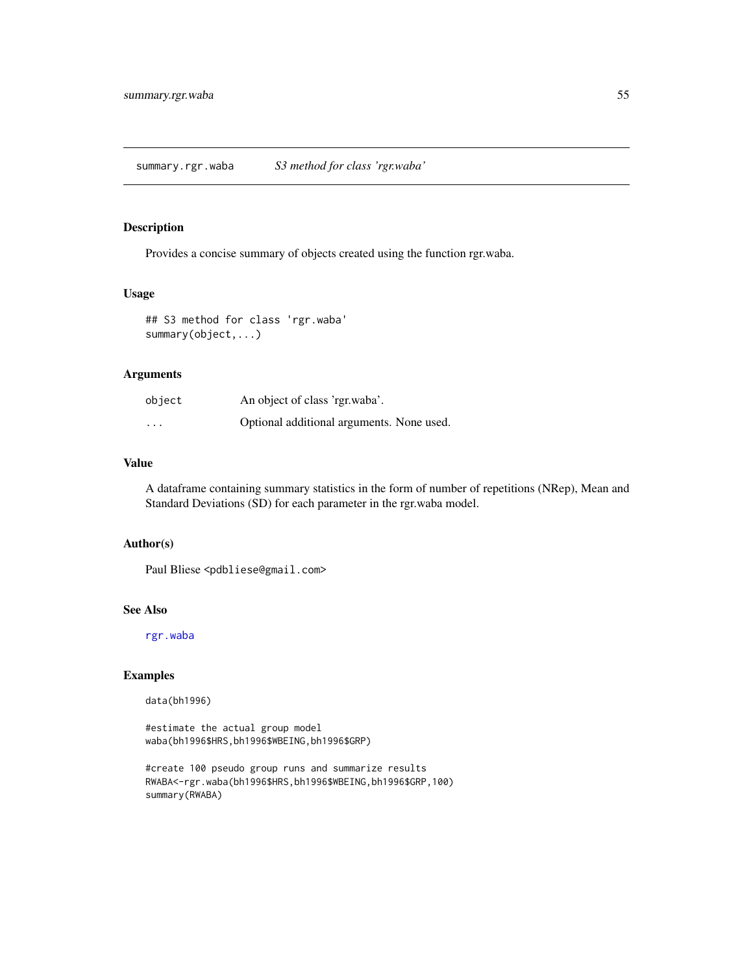<span id="page-54-0"></span>Provides a concise summary of objects created using the function rgr.waba.

# Usage

## S3 method for class 'rgr.waba' summary(object,...)

# Arguments

| object                  | An object of class 'rgr.waba'.            |
|-------------------------|-------------------------------------------|
| $\cdot$ $\cdot$ $\cdot$ | Optional additional arguments. None used. |

# Value

A dataframe containing summary statistics in the form of number of repetitions (NRep), Mean and Standard Deviations (SD) for each parameter in the rgr.waba model.

#### Author(s)

Paul Bliese <pdbliese@gmail.com>

# See Also

[rgr.waba](#page-33-1)

# Examples

data(bh1996)

#estimate the actual group model waba(bh1996\$HRS,bh1996\$WBEING,bh1996\$GRP)

```
#create 100 pseudo group runs and summarize results
RWABA<-rgr.waba(bh1996$HRS,bh1996$WBEING,bh1996$GRP,100)
summary(RWABA)
```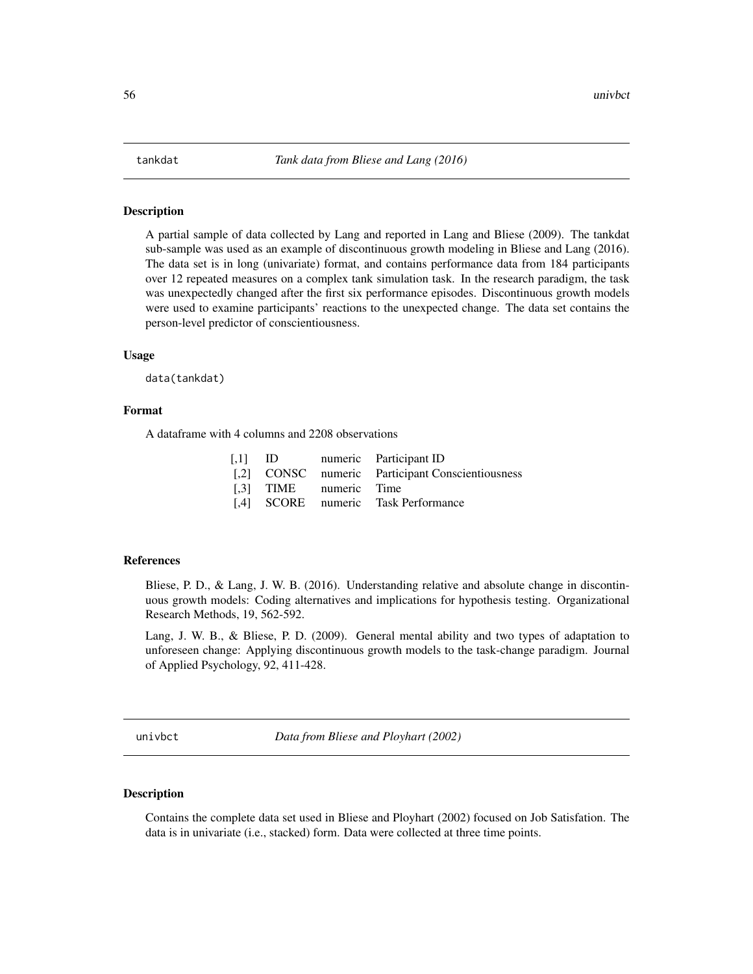<span id="page-55-0"></span>A partial sample of data collected by Lang and reported in Lang and Bliese (2009). The tankdat sub-sample was used as an example of discontinuous growth modeling in Bliese and Lang (2016). The data set is in long (univariate) format, and contains performance data from 184 participants over 12 repeated measures on a complex tank simulation task. In the research paradigm, the task was unexpectedly changed after the first six performance episodes. Discontinuous growth models were used to examine participants' reactions to the unexpected change. The data set contains the person-level predictor of conscientiousness.

#### Usage

data(tankdat)

#### Format

A dataframe with 4 columns and 2208 observations

|                        | [,1] ID numeric Participant ID                   |
|------------------------|--------------------------------------------------|
|                        | [,2] CONSC numeric Participant Conscientiousness |
| [.3] TIME numeric Time |                                                  |
|                        | [,4] SCORE numeric Task Performance              |

#### References

Bliese, P. D., & Lang, J. W. B. (2016). Understanding relative and absolute change in discontinuous growth models: Coding alternatives and implications for hypothesis testing. Organizational Research Methods, 19, 562-592.

Lang, J. W. B., & Bliese, P. D. (2009). General mental ability and two types of adaptation to unforeseen change: Applying discontinuous growth models to the task-change paradigm. Journal of Applied Psychology, 92, 411-428.

univbct *Data from Bliese and Ployhart (2002)*

#### Description

Contains the complete data set used in Bliese and Ployhart (2002) focused on Job Satisfation. The data is in univariate (i.e., stacked) form. Data were collected at three time points.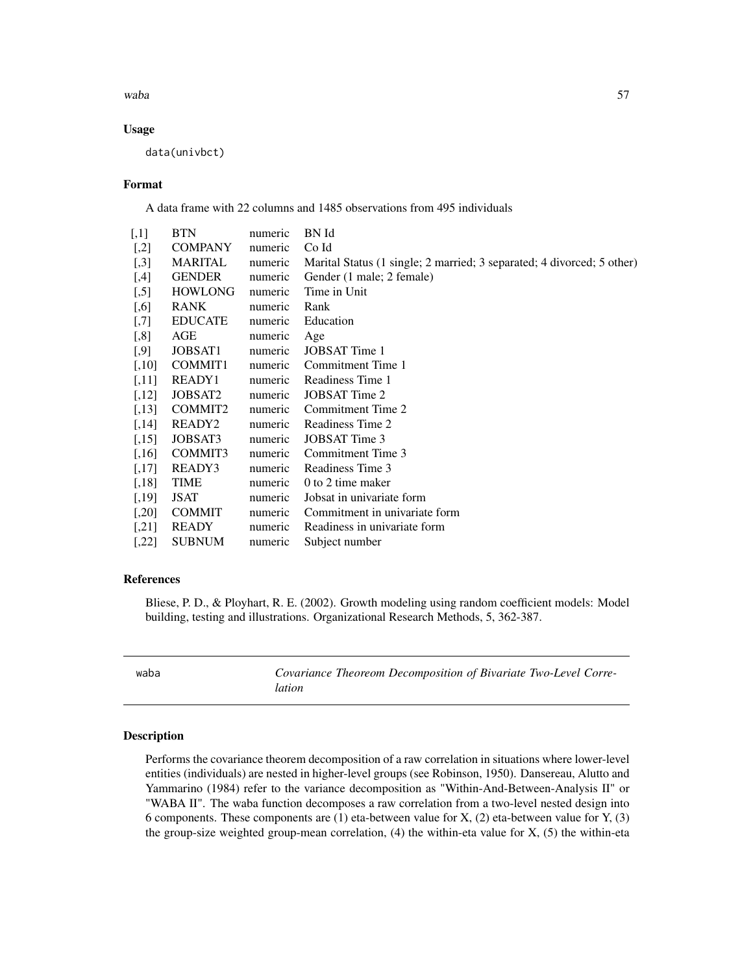<span id="page-56-0"></span>waba 57

# Usage

data(univbct)

#### Format

A data frame with 22 columns and 1485 observations from 495 individuals

| $[$       | BTN                 | numeric | BN Id                                                                  |
|-----------|---------------------|---------|------------------------------------------------------------------------|
| $[$       | <b>COMPANY</b>      | numeric | Co Id                                                                  |
| $[$       | MARITAL             | numeric | Marital Status (1 single; 2 married; 3 separated; 4 divorced; 5 other) |
| $[4]$     | <b>GENDER</b>       | numeric | Gender (1 male; 2 female)                                              |
| $[$       | <b>HOWLONG</b>      | numeric | Time in Unit                                                           |
| $[0.6]$   | <b>RANK</b>         | numeric | Rank                                                                   |
| $[0.7]$   | <b>EDUCATE</b>      | numeric | Education                                                              |
| $[$ 8]    | AGE                 | numeric | Age                                                                    |
| $[.9]$    | JOBSAT1             | numeric | JOBSAT Time 1                                                          |
| $[,10]$   | COMMIT <sub>1</sub> | numeric | Commitment Time 1                                                      |
| $[,11]$   | READY1              | numeric | Readiness Time 1                                                       |
| $[,12]$   | JOBSAT2             | numeric | JOBSAT Time 2                                                          |
| [,13]     | COMMIT2             | numeric | Commitment Time 2                                                      |
| $[,14]$   | READY <sub>2</sub>  | numeric | Readiness Time 2                                                       |
| [,15]     | JOBSAT3             | numeric | JOBSAT Time 3                                                          |
| $[,16]$   | COMMIT3             | numeric | Commitment Time 3                                                      |
| [,17]     | READY3              | numeric | Readiness Time 3                                                       |
| $[,18]$   | TIME                | numeric | 0 to 2 time maker                                                      |
| $[,19]$   | <b>JSAT</b>         | numeric | Jobsat in univariate form                                              |
| $[,20]$   | <b>COMMIT</b>       | numeric | Commitment in univariate form                                          |
| $[$ , 21] | <b>READY</b>        | numeric | Readiness in univariate form                                           |
| [,22]     | <b>SUBNUM</b>       | numeric | Subject number                                                         |

# References

Bliese, P. D., & Ployhart, R. E. (2002). Growth modeling using random coefficient models: Model building, testing and illustrations. Organizational Research Methods, 5, 362-387.

<span id="page-56-1"></span>waba *Covariance Theoreom Decomposition of Bivariate Two-Level Correlation*

#### Description

Performs the covariance theorem decomposition of a raw correlation in situations where lower-level entities (individuals) are nested in higher-level groups (see Robinson, 1950). Dansereau, Alutto and Yammarino (1984) refer to the variance decomposition as "Within-And-Between-Analysis II" or "WABA II". The waba function decomposes a raw correlation from a two-level nested design into 6 components. These components are (1) eta-between value for X, (2) eta-between value for Y, (3) the group-size weighted group-mean correlation,  $(4)$  the within-eta value for X,  $(5)$  the within-eta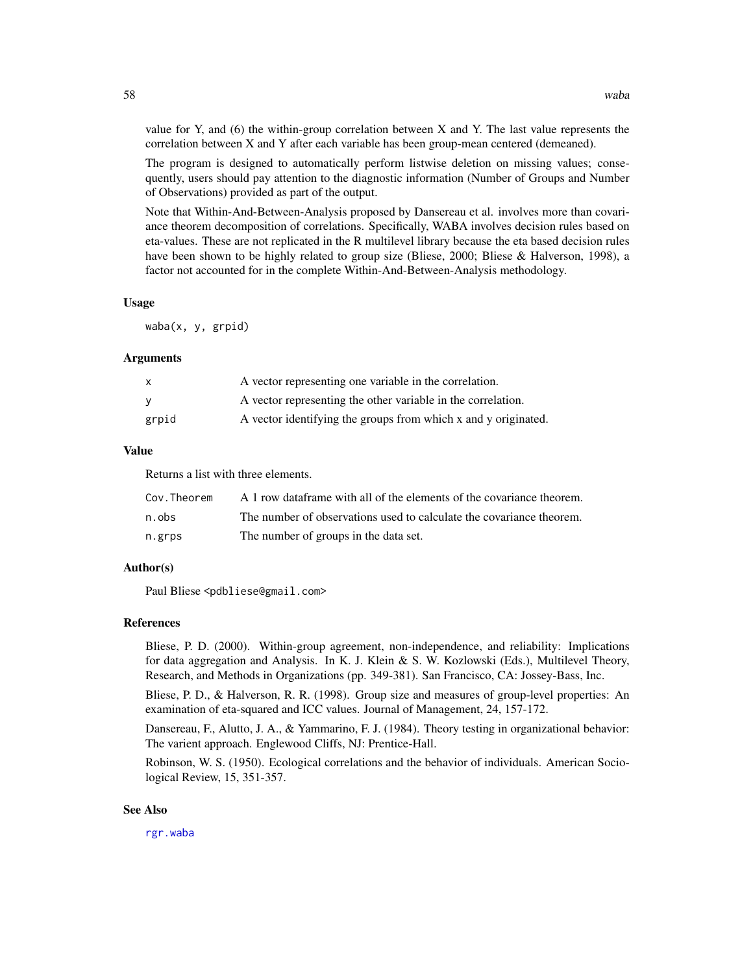value for Y, and (6) the within-group correlation between X and Y. The last value represents the correlation between X and Y after each variable has been group-mean centered (demeaned).

The program is designed to automatically perform listwise deletion on missing values; consequently, users should pay attention to the diagnostic information (Number of Groups and Number of Observations) provided as part of the output.

Note that Within-And-Between-Analysis proposed by Dansereau et al. involves more than covariance theorem decomposition of correlations. Specifically, WABA involves decision rules based on eta-values. These are not replicated in the R multilevel library because the eta based decision rules have been shown to be highly related to group size (Bliese, 2000; Bliese & Halverson, 1998), a factor not accounted for in the complete Within-And-Between-Analysis methodology.

#### Usage

waba(x, y, grpid)

# Arguments

| $\mathsf{x}$ | A vector representing one variable in the correlation.         |
|--------------|----------------------------------------------------------------|
| <b>V</b>     | A vector representing the other variable in the correlation.   |
| grpid        | A vector identifying the groups from which x and y originated. |

#### Value

Returns a list with three elements.

| Cov.Theorem | A 1 row dataframe with all of the elements of the covariance theorem. |
|-------------|-----------------------------------------------------------------------|
| n.obs       | The number of observations used to calculate the covariance theorem.  |
| n.grps      | The number of groups in the data set.                                 |

# Author(s)

Paul Bliese <pdbliese@gmail.com>

#### References

Bliese, P. D. (2000). Within-group agreement, non-independence, and reliability: Implications for data aggregation and Analysis. In K. J. Klein & S. W. Kozlowski (Eds.), Multilevel Theory, Research, and Methods in Organizations (pp. 349-381). San Francisco, CA: Jossey-Bass, Inc.

Bliese, P. D., & Halverson, R. R. (1998). Group size and measures of group-level properties: An examination of eta-squared and ICC values. Journal of Management, 24, 157-172.

Dansereau, F., Alutto, J. A., & Yammarino, F. J. (1984). Theory testing in organizational behavior: The varient approach. Englewood Cliffs, NJ: Prentice-Hall.

Robinson, W. S. (1950). Ecological correlations and the behavior of individuals. American Sociological Review, 15, 351-357.

#### See Also

[rgr.waba](#page-33-1)

<span id="page-57-0"></span>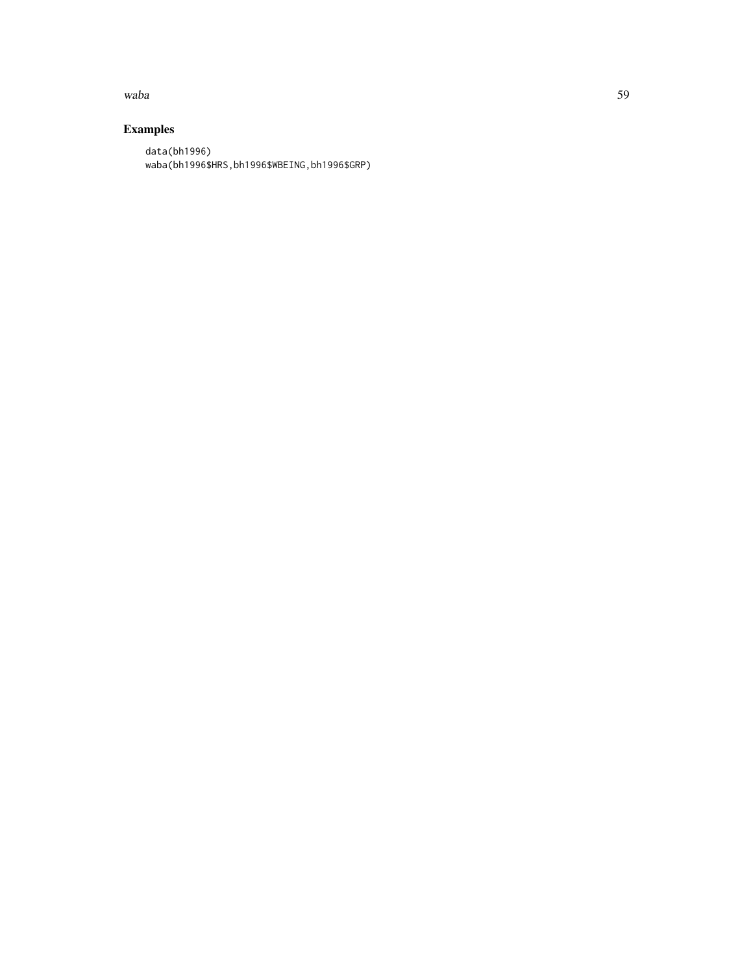#### waba 59 kutoka 59 kutoka 59 kutoka 59 kutoka 59 kutoka 59 kutoka 59 kutoka 59 kutoka 59 kutoka 59 kutoka 59 ku

# Examples

data(bh1996) waba(bh1996\$HRS,bh1996\$WBEING,bh1996\$GRP)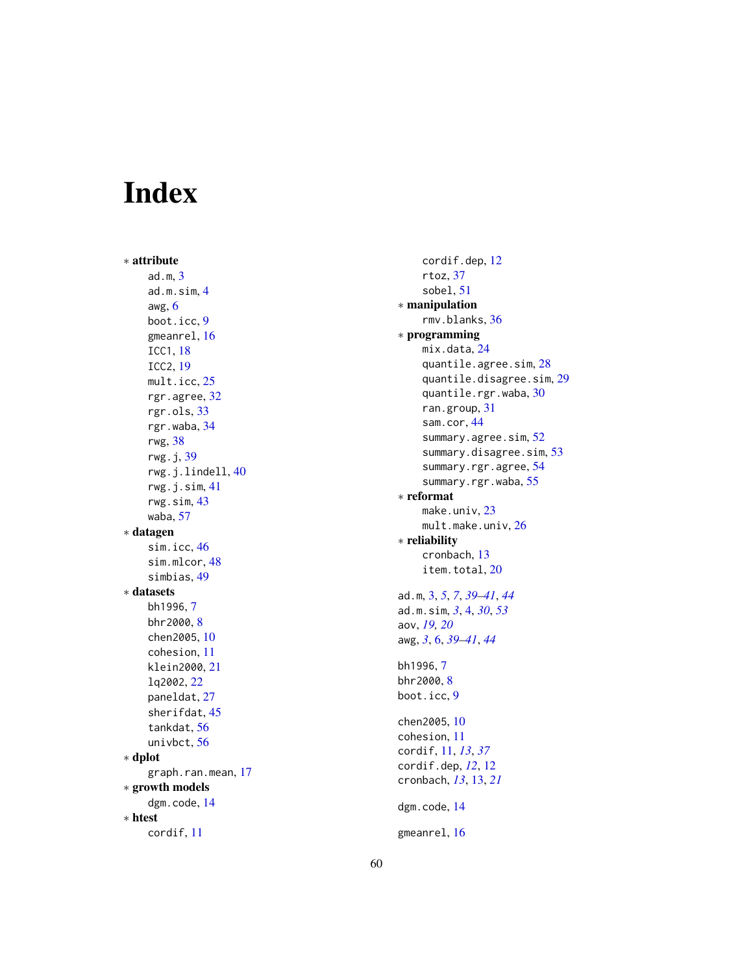# <span id="page-59-0"></span>Index

∗ attribute ad.m , [3](#page-2-0) ad.m.sim , [4](#page-3-0) awg , [6](#page-5-0) boot.icc , [9](#page-8-0) gmeanrel , [16](#page-15-0) ICC1 , [18](#page-17-0) ICC2 , [19](#page-18-0) mult.icc,[25](#page-24-0) rgr.agree , [32](#page-31-0) rgr.ols , [33](#page-32-0) rgr.waba , [34](#page-33-0) rwg , [38](#page-37-0) rwg.j , [39](#page-38-0) rwg.j.lindell , [40](#page-39-0) rwg.j.sim , [41](#page-40-0) rwg.sim , [43](#page-42-0) waba , [57](#page-56-0) ∗ datagen sim.icc , [46](#page-45-0) sim.mlcor, [48](#page-47-0) simbias , [49](#page-48-0) ∗ datasets bh1996 , [7](#page-6-0) bhr2000, [8](#page-7-0) chen2005 , [10](#page-9-0) cohesion , [11](#page-10-0) klein2000 , [21](#page-20-0) lq2002 , [22](#page-21-0) paneldat , [27](#page-26-0) sherifdat , [45](#page-44-0) tankdat , [56](#page-55-0) univbct , [56](#page-55-0) ∗ dplot graph.ran.mean, [17](#page-16-0) ∗ growth models dgm.code , [14](#page-13-0) ∗ htest cordif , [11](#page-10-0)

cordif.dep , [12](#page-11-0) rtoz , [37](#page-36-0) sobel , [51](#page-50-0) ∗ manipulation rmv.blanks , [36](#page-35-0) ∗ programming mix.data, [24](#page-23-0) quantile.agree.sim , [28](#page-27-0) quantile.disagree.sim , [29](#page-28-0) quantile.rgr.waba , [30](#page-29-0) ran.group , [31](#page-30-0) sam.cor , [44](#page-43-0) summary.agree.sim, [52](#page-51-0) summary.disagree.sim, [53](#page-52-0) summary.rgr.agree, [54](#page-53-0) summary.rgr.waba, [55](#page-54-0) ∗ reformat make.univ, [23](#page-22-0) <code>mult.make.univ</code>,  $26$ ∗ reliability cronbach , [13](#page-12-0) item.total, [20](#page-19-0) ad.m , [3](#page-2-0) , *[5](#page-4-0)* , *[7](#page-6-0)* , *[39](#page-38-0) [–41](#page-40-0)* , *[44](#page-43-0)* ad.m.sim , *[3](#page-2-0)* , [4](#page-3-0) , *[30](#page-29-0)* , *[53](#page-52-0)* aov , *[19](#page-18-0) , [20](#page-19-0)* awg , *[3](#page-2-0)* , [6](#page-5-0) , *[39](#page-38-0) [–41](#page-40-0)* , *[44](#page-43-0)* bh1996 , [7](#page-6-0) bhr2000, <mark>[8](#page-7-0)</mark> boot.icc , [9](#page-8-0) chen2005 , [10](#page-9-0) cohesion , [11](#page-10-0) cordif , [11](#page-10-0) , *[13](#page-12-0)* , *[37](#page-36-0)* cordif.dep , *[12](#page-11-0)* , [12](#page-11-0) cronbach , *[13](#page-12-0)* , [13](#page-12-0) , *[21](#page-20-0)* dgm.code , [14](#page-13-0) gmeanrel , [16](#page-15-0)